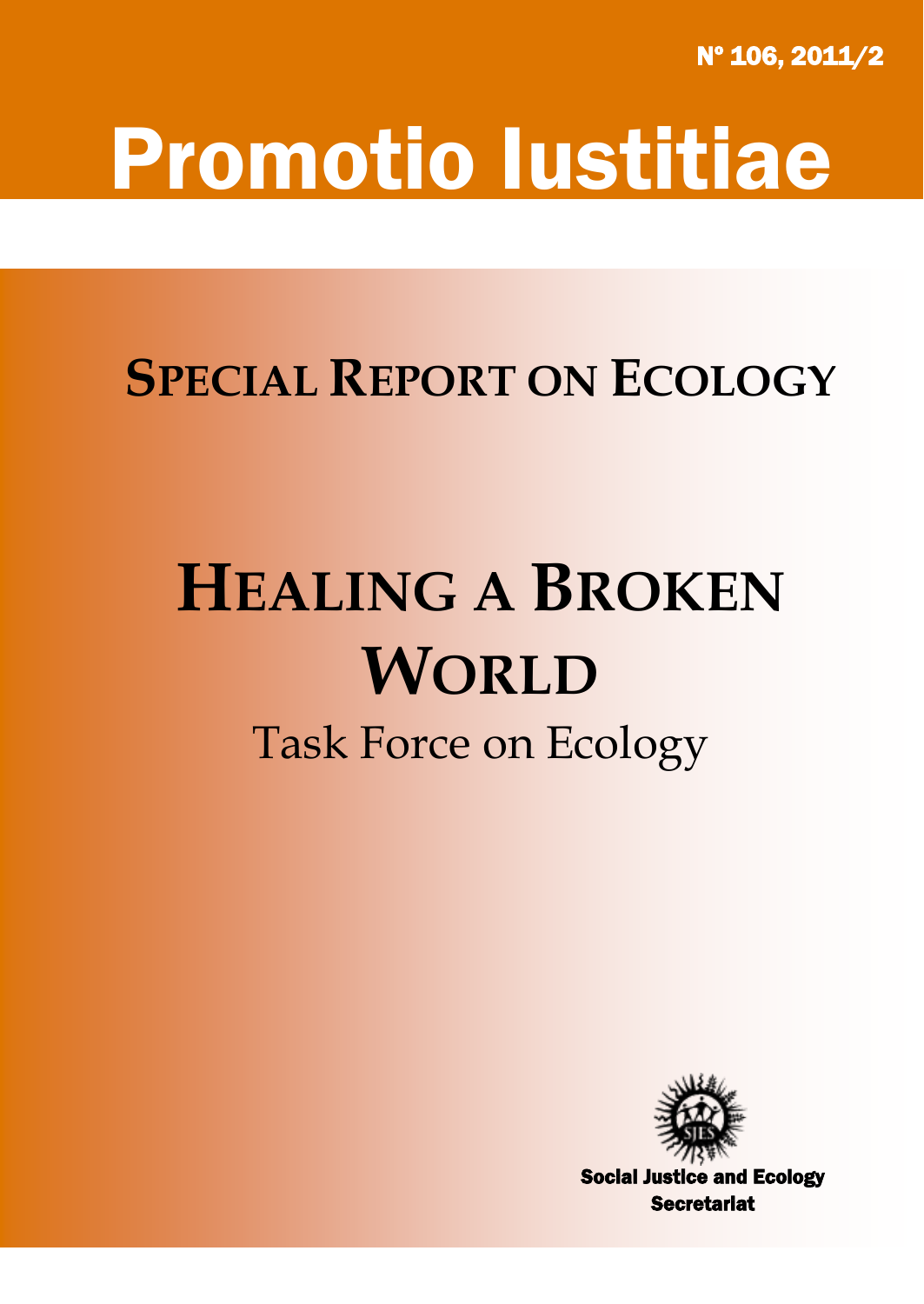Nº 106, 2011/2

## Promotio Iustitiae

## **SPECIAL REPORT ON ECOLOGY**

# **HEALING A BROKEN WORLD**

## Task Force on Ecology



Social Justice and Ecology **Secretariat**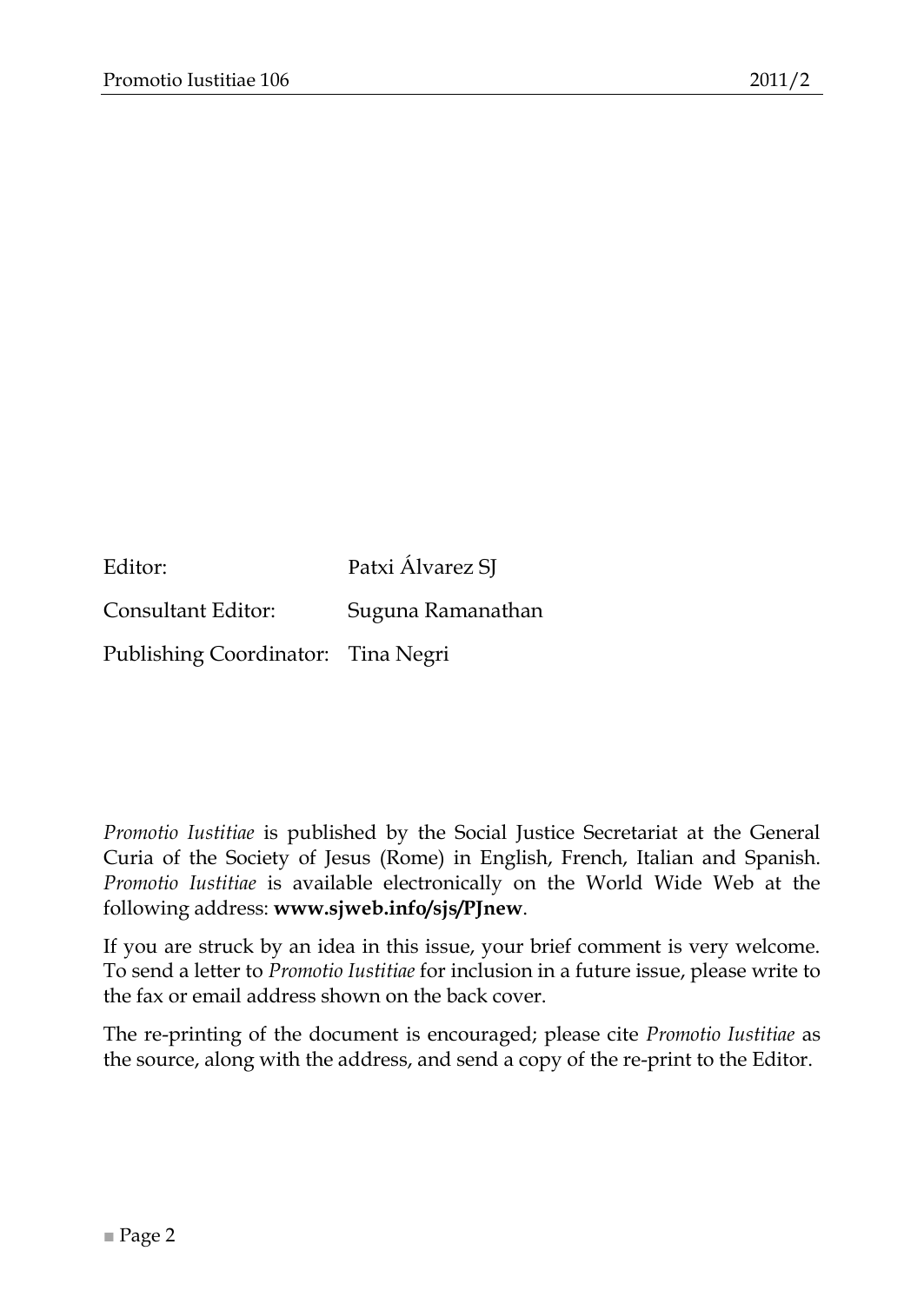| Editor:                            | Patxi Álvarez SJ  |
|------------------------------------|-------------------|
| Consultant Editor:                 | Suguna Ramanathan |
| Publishing Coordinator: Tina Negri |                   |

*Promotio Iustitiae* is published by the Social Justice Secretariat at the General Curia of the Society of Jesus (Rome) in English, French, Italian and Spanish. *Promotio Iustitiae* is available electronically on the World Wide Web at the following address: **www.sjweb.info/sjs/PJnew**.

If you are struck by an idea in this issue, your brief comment is very welcome. To send a letter to *Promotio Iustitiae* for inclusion in a future issue, please write to the fax or email address shown on the back cover.

The re-printing of the document is encouraged; please cite *Promotio Iustitiae* as the source, along with the address, and send a copy of the re-print to the Editor.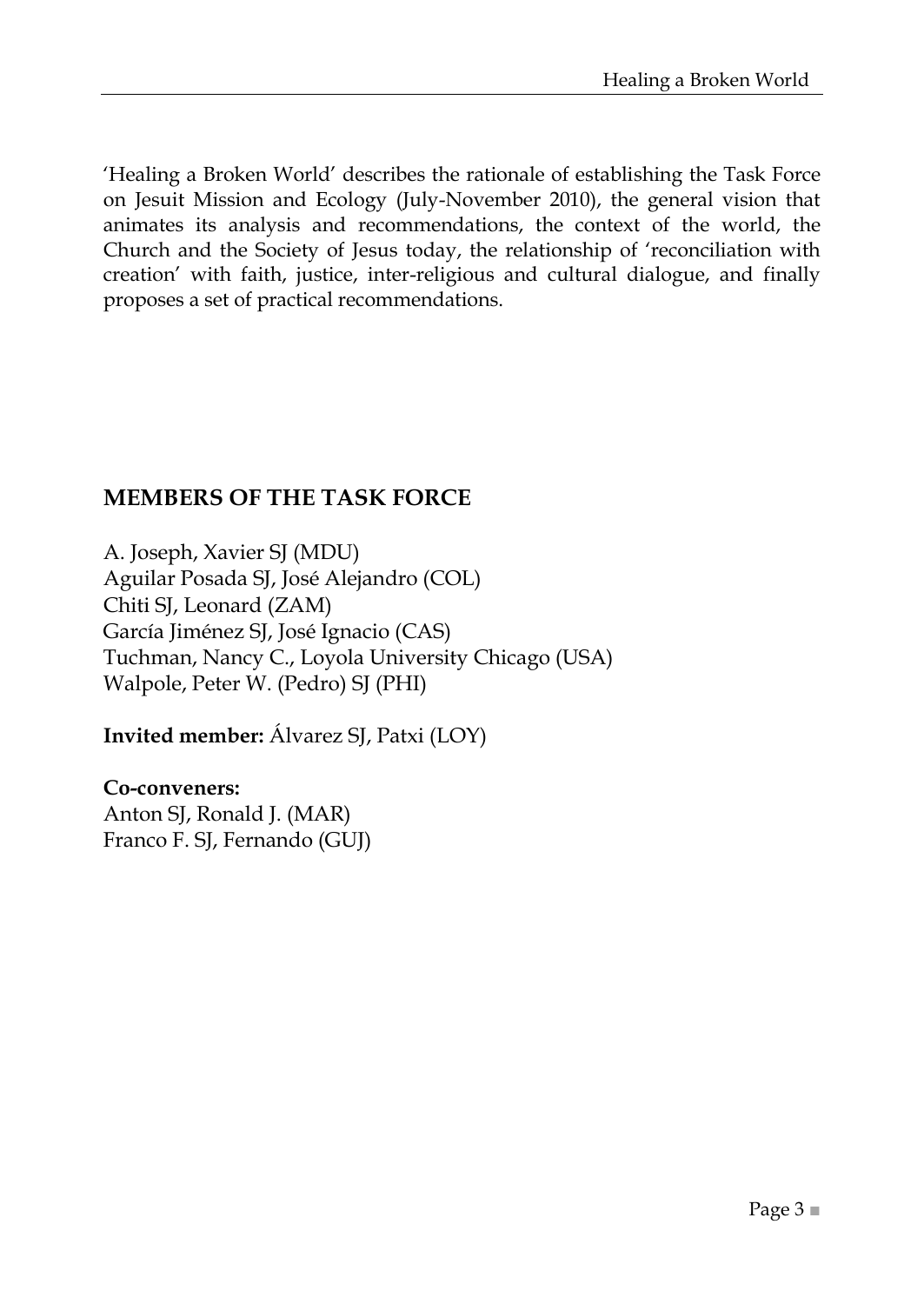‗Healing a Broken World' describes the rationale of establishing the Task Force on Jesuit Mission and Ecology (July-November 2010), the general vision that animates its analysis and recommendations, the context of the world, the Church and the Society of Jesus today, the relationship of ‗reconciliation with creation' with faith, justice, inter-religious and cultural dialogue, and finally proposes a set of practical recommendations.

### **MEMBERS OF THE TASK FORCE**

A. Joseph, Xavier SJ (MDU) Aguilar Posada SJ, José Alejandro (COL) Chiti SJ, Leonard (ZAM) García Jiménez SJ, José Ignacio (CAS) Tuchman, Nancy C., Loyola University Chicago (USA) Walpole, Peter W. (Pedro) SJ (PHI)

**Invited member:** Álvarez SJ, Patxi (LOY)

#### **Co-conveners:** Anton SJ, Ronald J. (MAR) Franco F. SJ, Fernando (GUJ)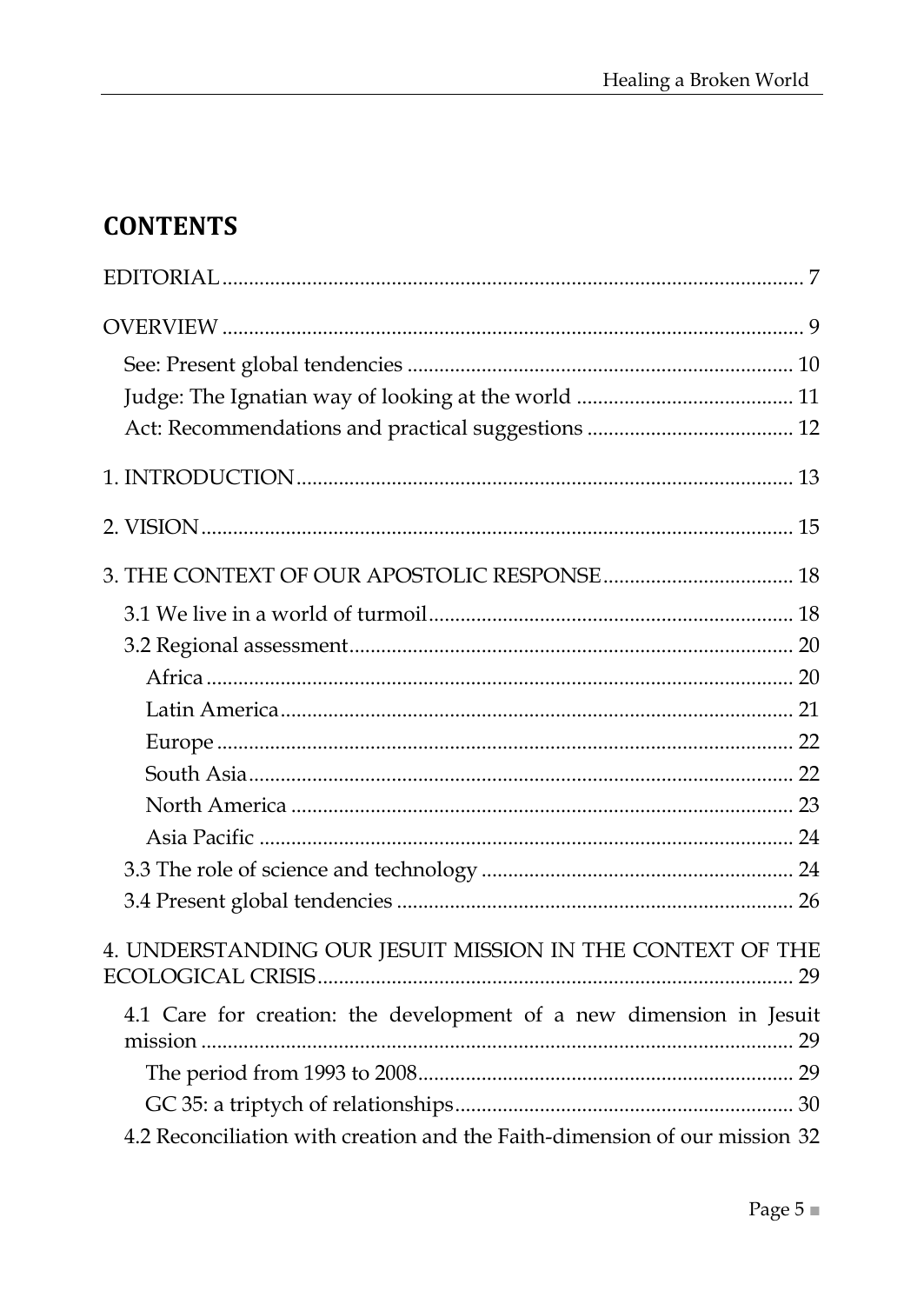## **CONTENTS**

| 4. UNDERSTANDING OUR JESUIT MISSION IN THE CONTEXT OF THE                  |
|----------------------------------------------------------------------------|
| 4.1 Care for creation: the development of a new dimension in Jesuit        |
|                                                                            |
|                                                                            |
| 4.2 Reconciliation with creation and the Faith-dimension of our mission 32 |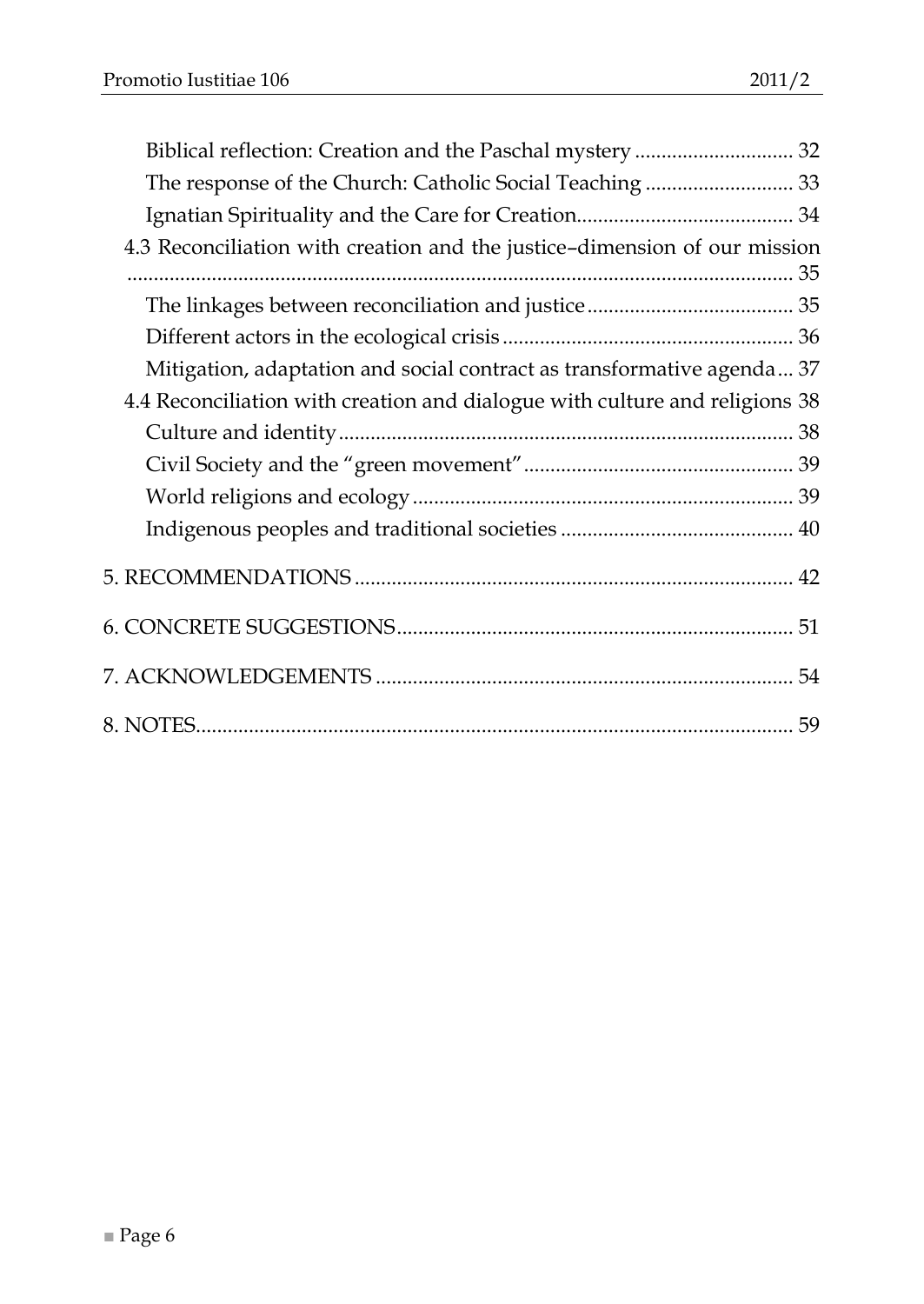| Biblical reflection: Creation and the Paschal mystery  32                   |  |
|-----------------------------------------------------------------------------|--|
|                                                                             |  |
|                                                                             |  |
| 4.3 Reconciliation with creation and the justice-dimension of our mission   |  |
|                                                                             |  |
|                                                                             |  |
| Mitigation, adaptation and social contract as transformative agenda 37      |  |
| 4.4 Reconciliation with creation and dialogue with culture and religions 38 |  |
|                                                                             |  |
|                                                                             |  |
|                                                                             |  |
|                                                                             |  |
|                                                                             |  |
|                                                                             |  |
|                                                                             |  |
|                                                                             |  |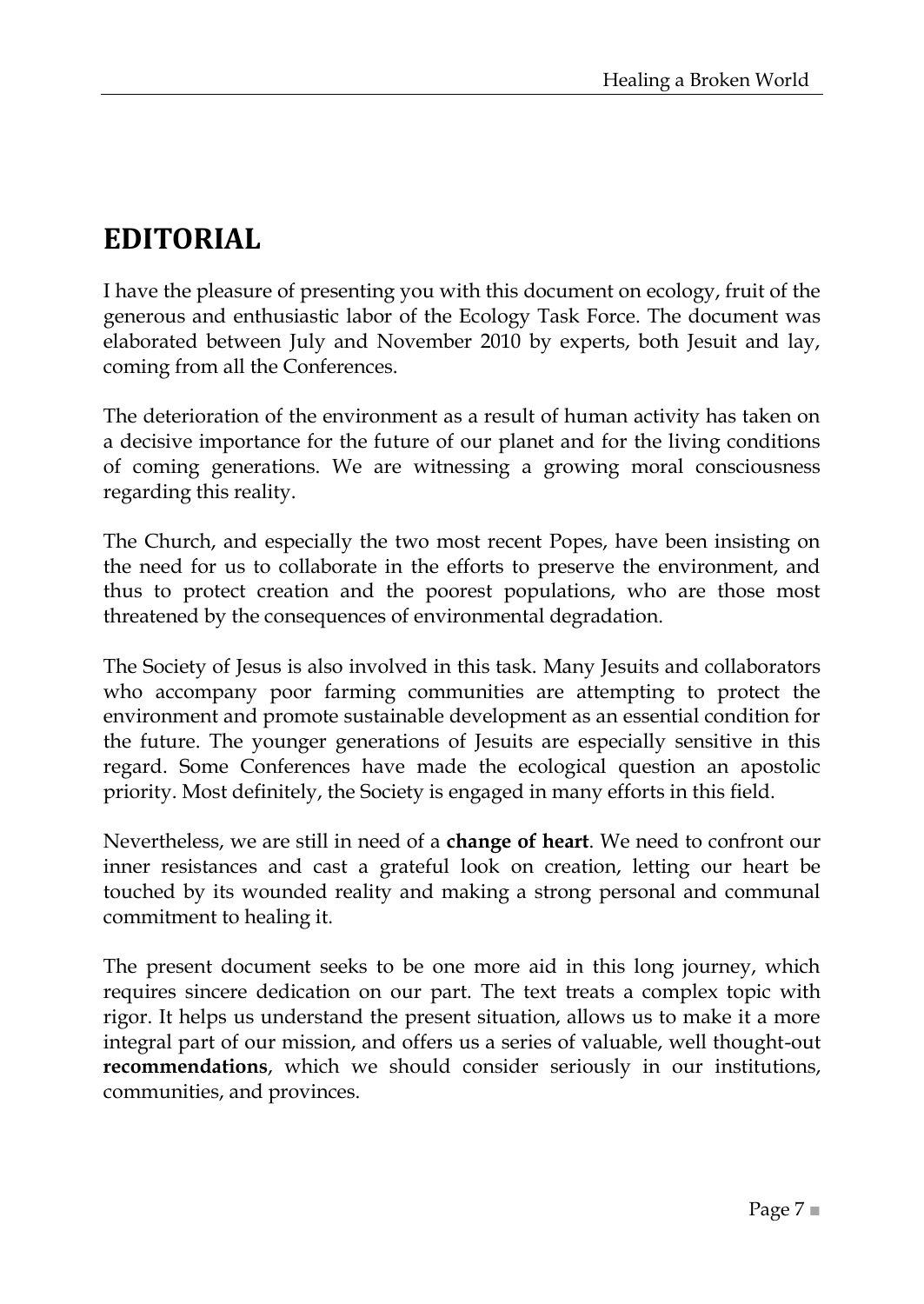## <span id="page-6-0"></span>**EDITORIAL**

I have the pleasure of presenting you with this document on ecology, fruit of the generous and enthusiastic labor of the Ecology Task Force. The document was elaborated between July and November 2010 by experts, both Jesuit and lay, coming from all the Conferences.

The deterioration of the environment as a result of human activity has taken on a decisive importance for the future of our planet and for the living conditions of coming generations. We are witnessing a growing moral consciousness regarding this reality.

The Church, and especially the two most recent Popes, have been insisting on the need for us to collaborate in the efforts to preserve the environment, and thus to protect creation and the poorest populations, who are those most threatened by the consequences of environmental degradation.

The Society of Jesus is also involved in this task. Many Jesuits and collaborators who accompany poor farming communities are attempting to protect the environment and promote sustainable development as an essential condition for the future. The younger generations of Jesuits are especially sensitive in this regard. Some Conferences have made the ecological question an apostolic priority. Most definitely, the Society is engaged in many efforts in this field.

Nevertheless, we are still in need of a **change of heart**. We need to confront our inner resistances and cast a grateful look on creation, letting our heart be touched by its wounded reality and making a strong personal and communal commitment to healing it.

The present document seeks to be one more aid in this long journey, which requires sincere dedication on our part. The text treats a complex topic with rigor. It helps us understand the present situation, allows us to make it a more integral part of our mission, and offers us a series of valuable, well thought-out **recommendations**, which we should consider seriously in our institutions, communities, and provinces.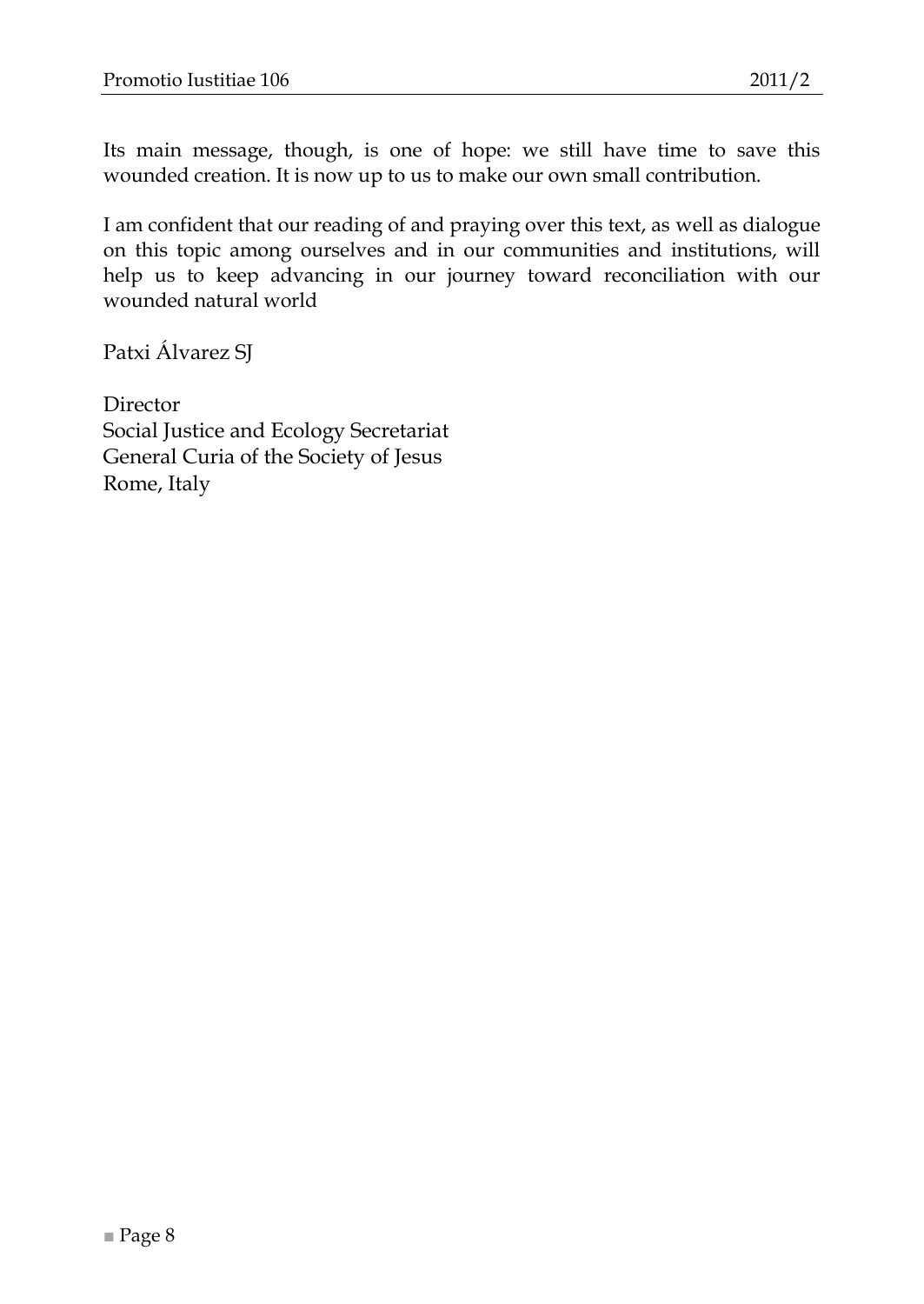Its main message, though, is one of hope: we still have time to save this wounded creation. It is now up to us to make our own small contribution.

I am confident that our reading of and praying over this text, as well as dialogue on this topic among ourselves and in our communities and institutions, will help us to keep advancing in our journey toward reconciliation with our wounded natural world

Patxi Álvarez SJ

Director Social Justice and Ecology Secretariat General Curia of the Society of Jesus Rome, Italy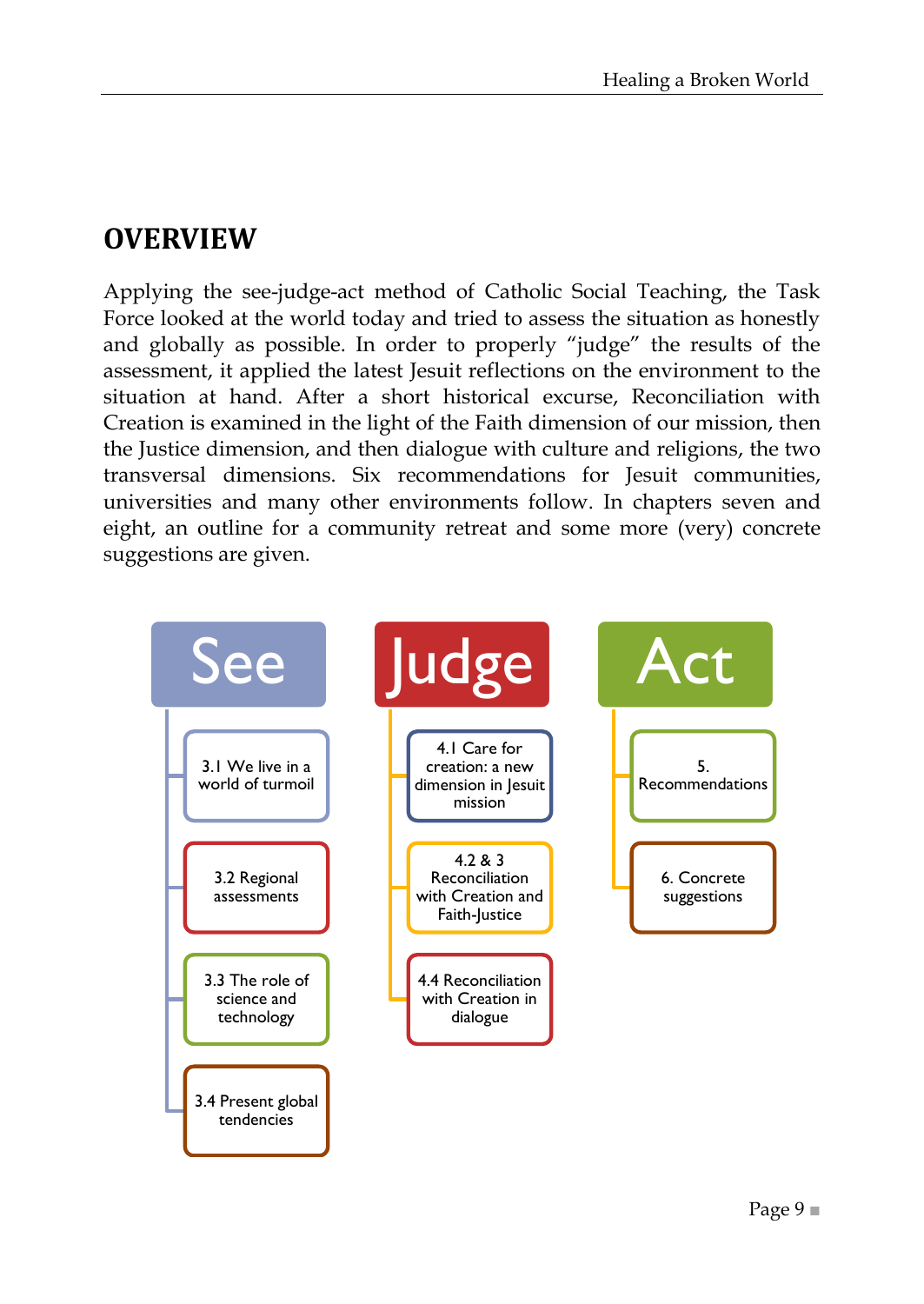## <span id="page-8-0"></span>**OVERVIEW**

Applying the see-judge-act method of Catholic Social Teaching, the Task Force looked at the world today and tried to assess the situation as honestly and globally as possible. In order to properly "judge" the results of the assessment, it applied the latest Jesuit reflections on the environment to the situation at hand. After a short historical excurse, Reconciliation with Creation is examined in the light of the Faith dimension of our mission, then the Justice dimension, and then dialogue with culture and religions, the two transversal dimensions. Six recommendations for Jesuit communities, universities and many other environments follow. In chapters seven and eight, an outline for a community retreat and some more (very) concrete suggestions are given.

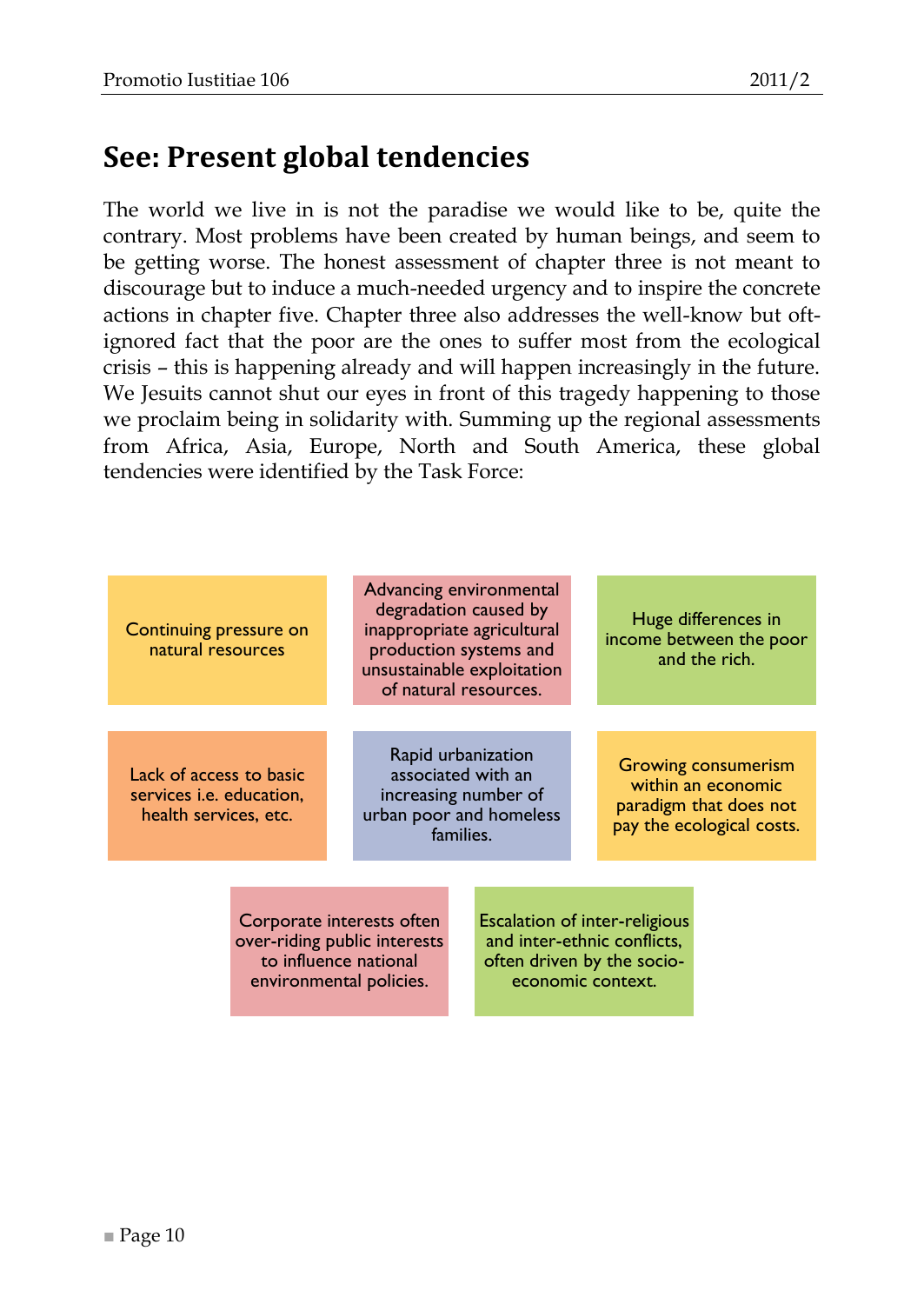<span id="page-9-0"></span>The world we live in is not the paradise we would like to be, quite the contrary. Most problems have been created by human beings, and seem to be getting worse. The honest assessment of chapter three is not meant to discourage but to induce a much-needed urgency and to inspire the concrete actions in chapter five. Chapter three also addresses the well-know but oftignored fact that the poor are the ones to suffer most from the ecological crisis – this is happening already and will happen increasingly in the future. We Jesuits cannot shut our eyes in front of this tragedy happening to those we proclaim being in solidarity with. Summing up the regional assessments from Africa, Asia, Europe, North and South America, these global tendencies were identified by the Task Force:

| Continuing pressure on<br>natural resources                                                                   |  | Advancing environmental<br>degradation caused by<br>inappropriate agricultural<br>production systems and<br>unsustainable exploitation<br>of natural resources. |                                                                                                          |  | Huge differences in<br>income between the poor<br>and the rich.                                         |  |
|---------------------------------------------------------------------------------------------------------------|--|-----------------------------------------------------------------------------------------------------------------------------------------------------------------|----------------------------------------------------------------------------------------------------------|--|---------------------------------------------------------------------------------------------------------|--|
| Lack of access to basic<br>services <i>i.e.</i> education,<br>health services, etc.                           |  |                                                                                                                                                                 | Rapid urbanization<br>associated with an<br>increasing number of<br>urban poor and homeless<br>families. |  | <b>Growing consumerism</b><br>within an economic<br>paradigm that does not<br>pay the ecological costs. |  |
| Corporate interests often<br>over-riding public interests<br>to influence national<br>environmental policies. |  | <b>Escalation of inter-religious</b><br>and inter-ethnic conflicts,<br>often driven by the socio-<br>economic context.                                          |                                                                                                          |  |                                                                                                         |  |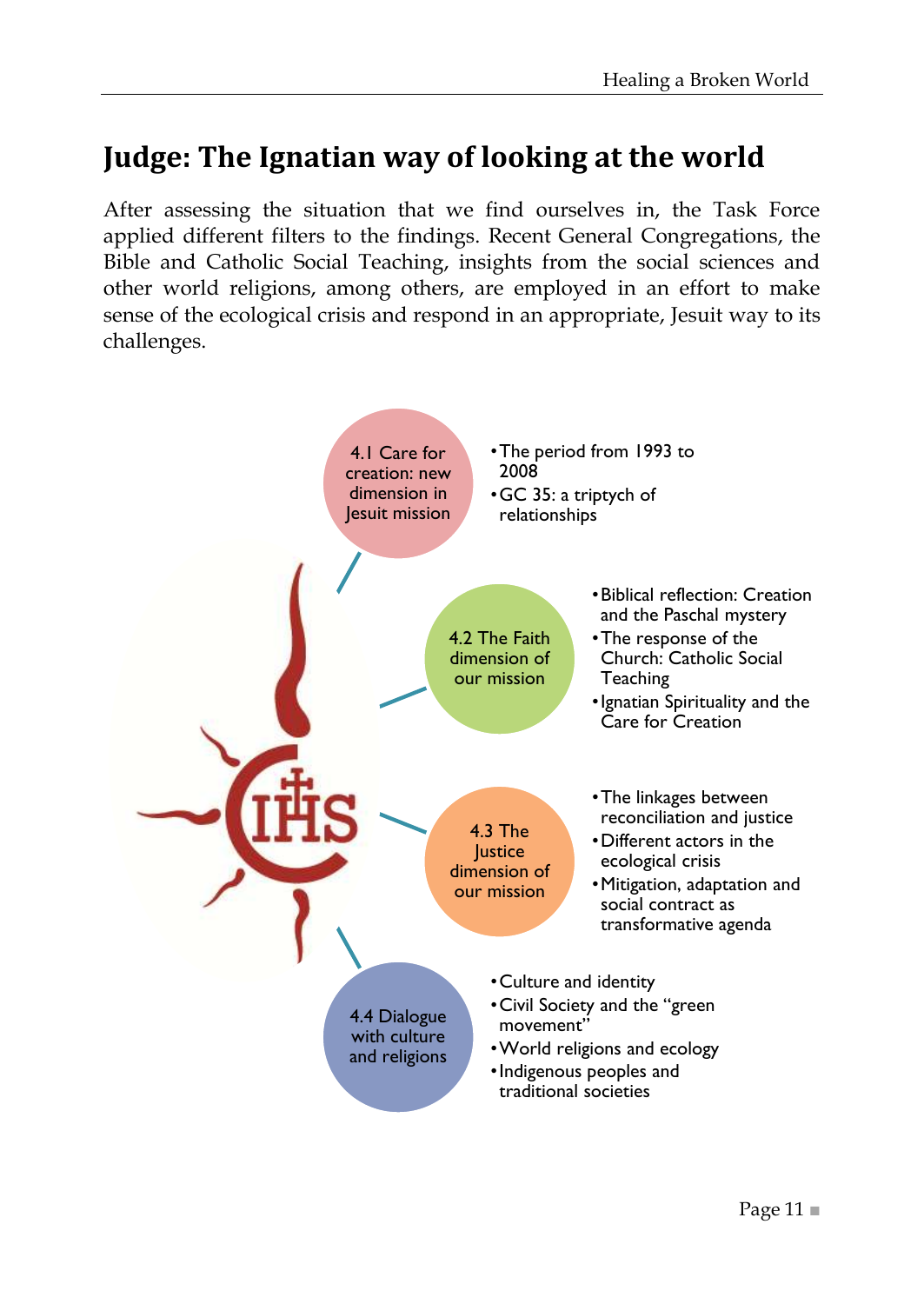## <span id="page-10-0"></span>**Judge: The Ignatian way of looking at the world**

After assessing the situation that we find ourselves in, the Task Force applied different filters to the findings. Recent General Congregations, the Bible and Catholic Social Teaching, insights from the social sciences and other world religions, among others, are employed in an effort to make sense of the ecological crisis and respond in an appropriate, Jesuit way to its challenges.

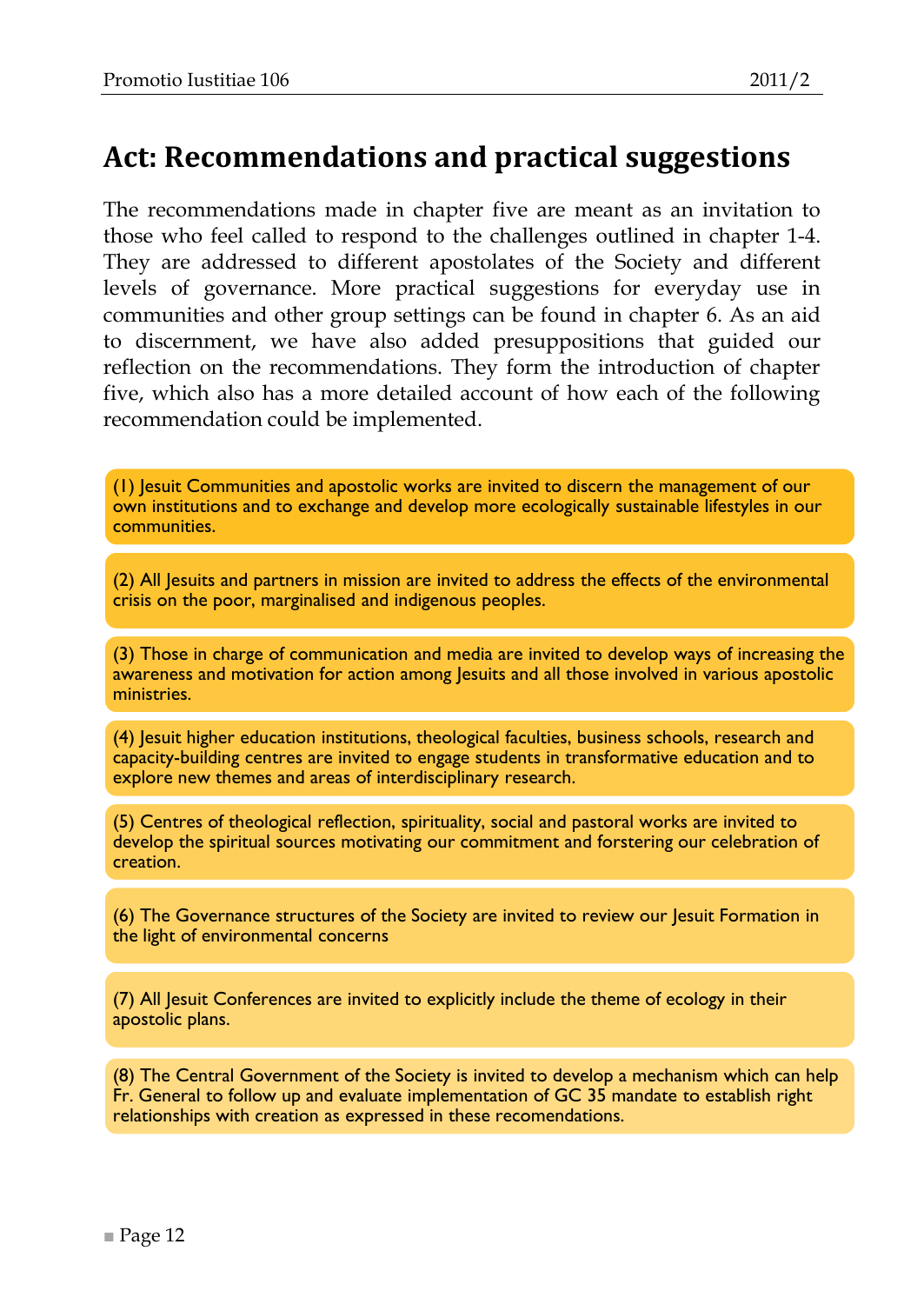## <span id="page-11-0"></span>**Act: Recommendations and practical suggestions**

The recommendations made in chapter five are meant as an invitation to those who feel called to respond to the challenges outlined in chapter 1-4. They are addressed to different apostolates of the Society and different levels of governance. More practical suggestions for everyday use in communities and other group settings can be found in chapter 6. As an aid to discernment, we have also added presuppositions that guided our reflection on the recommendations. They form the introduction of chapter five, which also has a more detailed account of how each of the following recommendation could be implemented.

(1) Jesuit Communities and apostolic works are invited to discern the management of our own institutions and to exchange and develop more ecologically sustainable lifestyles in our communities.

(2) All Jesuits and partners in mission are invited to address the effects of the environmental crisis on the poor, marginalised and indigenous peoples.

(3) Those in charge of communication and media are invited to develop ways of increasing the awareness and motivation for action among lesuits and all those involved in various apostolic ministries.

(4) Jesuit higher education institutions, theological faculties, business schools, research and capacity-building centres are invited to engage students in transformative education and to explore new themes and areas of interdisciplinary research.

(5) Centres of theological reflection, spirituality, social and pastoral works are invited to develop the spiritual sources motivating our commitment and forstering our celebration of creation.

(6) The Governance structures of the Society are invited to review our Jesuit Formation in the light of environmental concerns

(7) All Jesuit Conferences are invited to explicitly include the theme of ecology in their apostolic plans.

(8) The Central Government of the Society is invited to develop a mechanism which can help Fr. General to follow up and evaluate implementation of GC 35 mandate to establish right relationships with creation as expressed in these recomendations.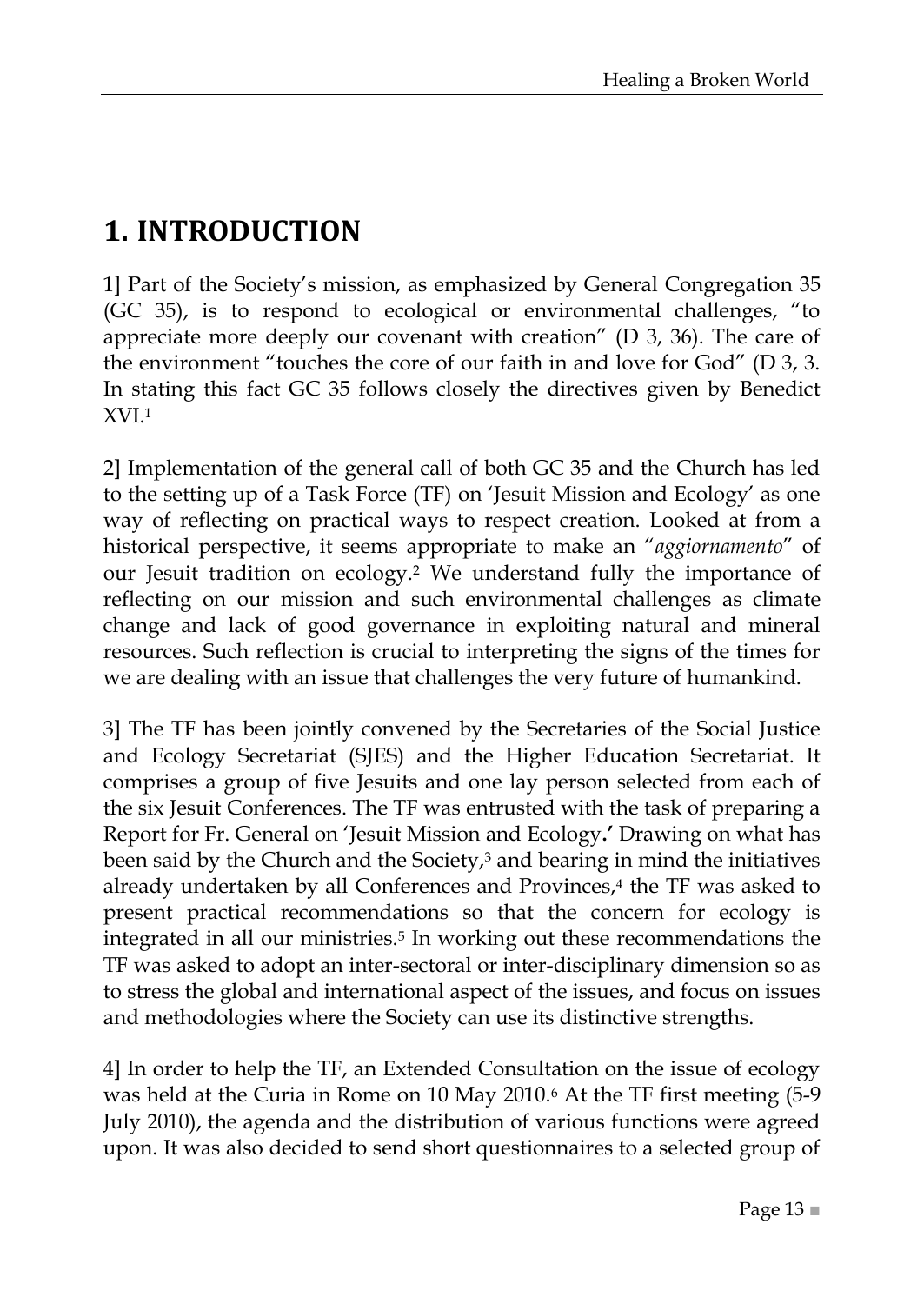## <span id="page-12-0"></span>**1. INTRODUCTION**

1] Part of the Society's mission, as emphasized by General Congregation 35 (GC 35), is to respond to ecological or environmental challenges, "to appreciate more deeply our covenant with creation" ( $D$  3, 36). The care of the environment "touches the core of our faith in and love for  $God$ " (D 3, 3. In stating this fact GC 35 follows closely the directives given by Benedict XVI.<sup>1</sup>

2] Implementation of the general call of both GC 35 and the Church has led to the setting up of a Task Force (TF) on 'Jesuit Mission and Ecology' as one way of reflecting on practical ways to respect creation. Looked at from a historical perspective, it seems appropriate to make an "aggiornamento" of our Jesuit tradition on ecology.<sup>2</sup> We understand fully the importance of reflecting on our mission and such environmental challenges as climate change and lack of good governance in exploiting natural and mineral resources. Such reflection is crucial to interpreting the signs of the times for we are dealing with an issue that challenges the very future of humankind.

3] The TF has been jointly convened by the Secretaries of the Social Justice and Ecology Secretariat (SJES) and the Higher Education Secretariat. It comprises a group of five Jesuits and one lay person selected from each of the six Jesuit Conferences. The TF was entrusted with the task of preparing a Report for Fr. General on ‗Jesuit Mission and Ecology**.'** Drawing on what has been said by the Church and the Society, $3$  and bearing in mind the initiatives already undertaken by all Conferences and Provinces,<sup>4</sup> the TF was asked to present practical recommendations so that the concern for ecology is integrated in all our ministries.<sup>5</sup> In working out these recommendations the TF was asked to adopt an inter-sectoral or inter-disciplinary dimension so as to stress the global and international aspect of the issues, and focus on issues and methodologies where the Society can use its distinctive strengths.

4] In order to help the TF, an Extended Consultation on the issue of ecology was held at the Curia in Rome on 10 May 2010.<sup>6</sup> At the TF first meeting (5-9 July 2010), the agenda and the distribution of various functions were agreed upon. It was also decided to send short questionnaires to a selected group of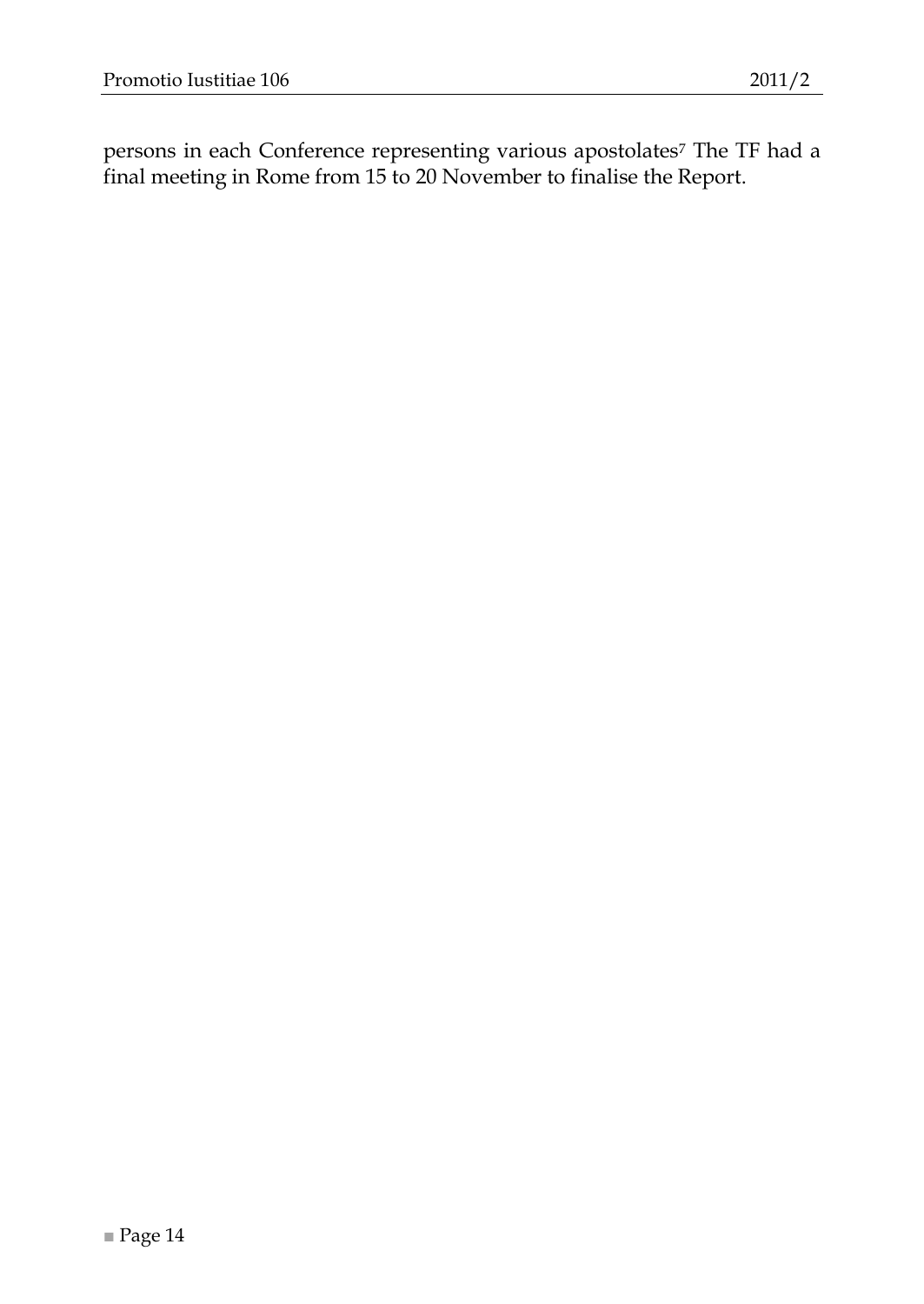persons in each Conference representing various apostolates<sup>7</sup> The TF had a final meeting in Rome from 15 to 20 November to finalise the Report.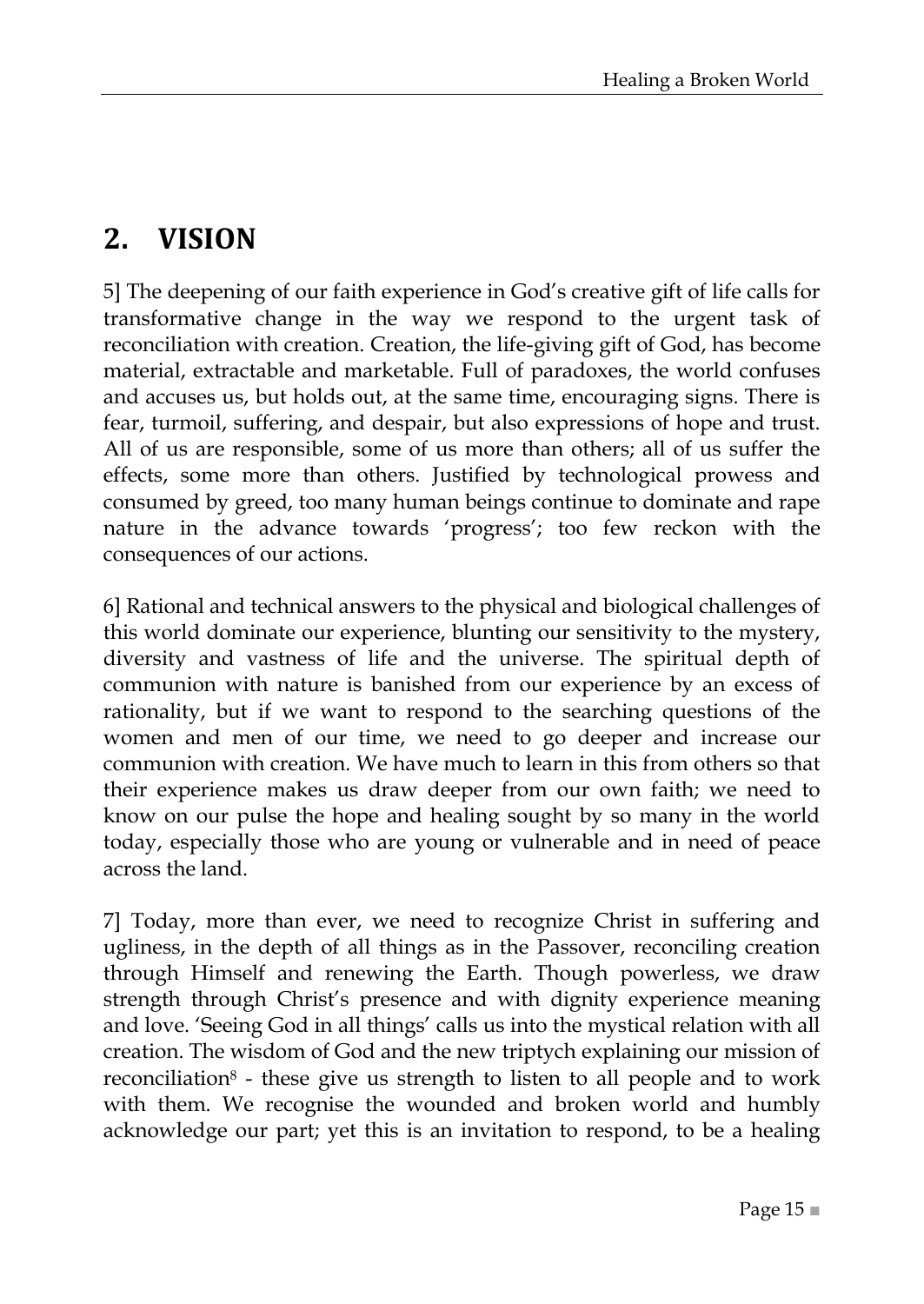## <span id="page-14-0"></span>**2. VISION**

5] The deepening of our faith experience in God's creative gift of life calls for transformative change in the way we respond to the urgent task of reconciliation with creation. Creation, the life-giving gift of God, has become material, extractable and marketable. Full of paradoxes, the world confuses and accuses us, but holds out, at the same time, encouraging signs. There is fear, turmoil, suffering, and despair, but also expressions of hope and trust. All of us are responsible, some of us more than others; all of us suffer the effects, some more than others. Justified by technological prowess and consumed by greed, too many human beings continue to dominate and rape nature in the advance towards 'progress'; too few reckon with the consequences of our actions.

6] Rational and technical answers to the physical and biological challenges of this world dominate our experience, blunting our sensitivity to the mystery, diversity and vastness of life and the universe. The spiritual depth of communion with nature is banished from our experience by an excess of rationality, but if we want to respond to the searching questions of the women and men of our time, we need to go deeper and increase our communion with creation. We have much to learn in this from others so that their experience makes us draw deeper from our own faith; we need to know on our pulse the hope and healing sought by so many in the world today, especially those who are young or vulnerable and in need of peace across the land.

7] Today, more than ever, we need to recognize Christ in suffering and ugliness, in the depth of all things as in the Passover, reconciling creation through Himself and renewing the Earth. Though powerless, we draw strength through Christ's presence and with dignity experience meaning and love. 'Seeing God in all things' calls us into the mystical relation with all creation. The wisdom of God and the new triptych explaining our mission of reconciliation<sup>8</sup> - these give us strength to listen to all people and to work with them. We recognise the wounded and broken world and humbly acknowledge our part; yet this is an invitation to respond, to be a healing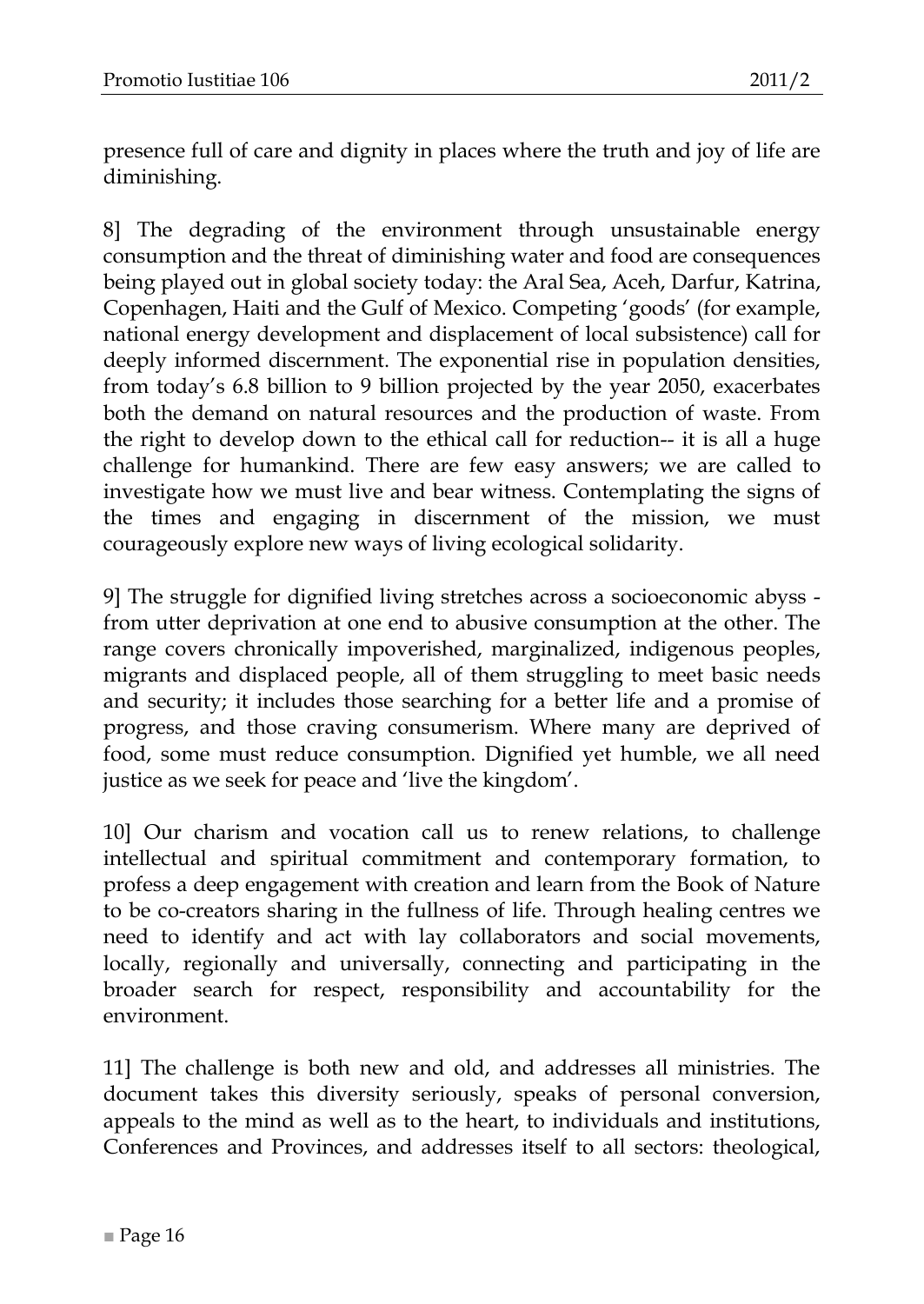presence full of care and dignity in places where the truth and joy of life are diminishing.

8] The degrading of the environment through unsustainable energy consumption and the threat of diminishing water and food are consequences being played out in global society today: the Aral Sea, Aceh, Darfur, Katrina, Copenhagen, Haiti and the Gulf of Mexico. Competing ‗goods' (for example, national energy development and displacement of local subsistence) call for deeply informed discernment. The exponential rise in population densities, from today's 6.8 billion to 9 billion projected by the year 2050, exacerbates both the demand on natural resources and the production of waste. From the right to develop down to the ethical call for reduction-- it is all a huge challenge for humankind. There are few easy answers; we are called to investigate how we must live and bear witness. Contemplating the signs of the times and engaging in discernment of the mission, we must courageously explore new ways of living ecological solidarity.

9] The struggle for dignified living stretches across a socioeconomic abyss from utter deprivation at one end to abusive consumption at the other. The range covers chronically impoverished, marginalized, indigenous peoples, migrants and displaced people, all of them struggling to meet basic needs and security; it includes those searching for a better life and a promise of progress, and those craving consumerism. Where many are deprived of food, some must reduce consumption. Dignified yet humble, we all need justice as we seek for peace and 'live the kingdom'.

10] Our charism and vocation call us to renew relations, to challenge intellectual and spiritual commitment and contemporary formation, to profess a deep engagement with creation and learn from the Book of Nature to be co-creators sharing in the fullness of life. Through healing centres we need to identify and act with lay collaborators and social movements, locally, regionally and universally, connecting and participating in the broader search for respect, responsibility and accountability for the environment.

11] The challenge is both new and old, and addresses all ministries. The document takes this diversity seriously, speaks of personal conversion, appeals to the mind as well as to the heart, to individuals and institutions, Conferences and Provinces, and addresses itself to all sectors: theological,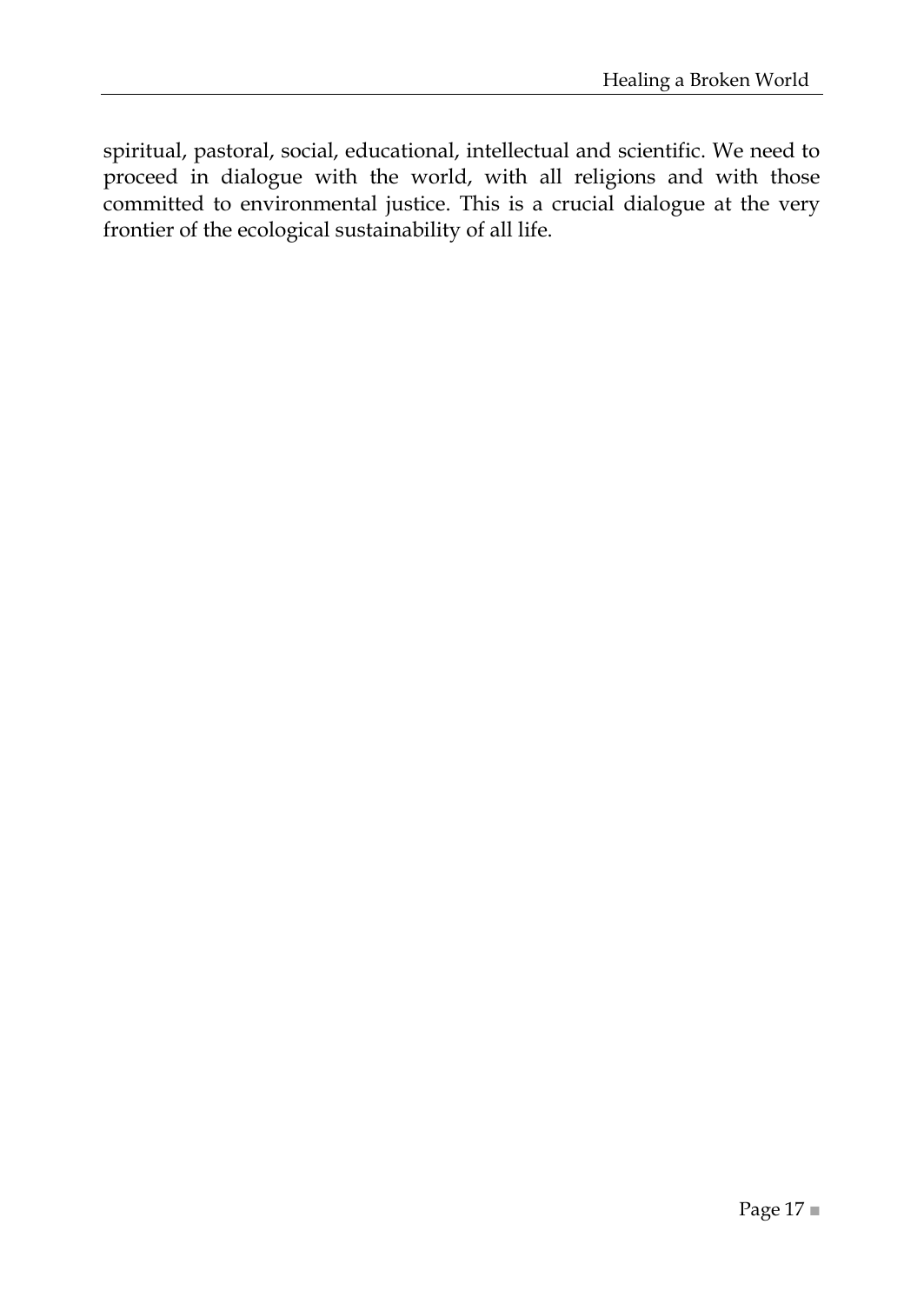spiritual, pastoral, social, educational, intellectual and scientific. We need to proceed in dialogue with the world, with all religions and with those committed to environmental justice. This is a crucial dialogue at the very frontier of the ecological sustainability of all life.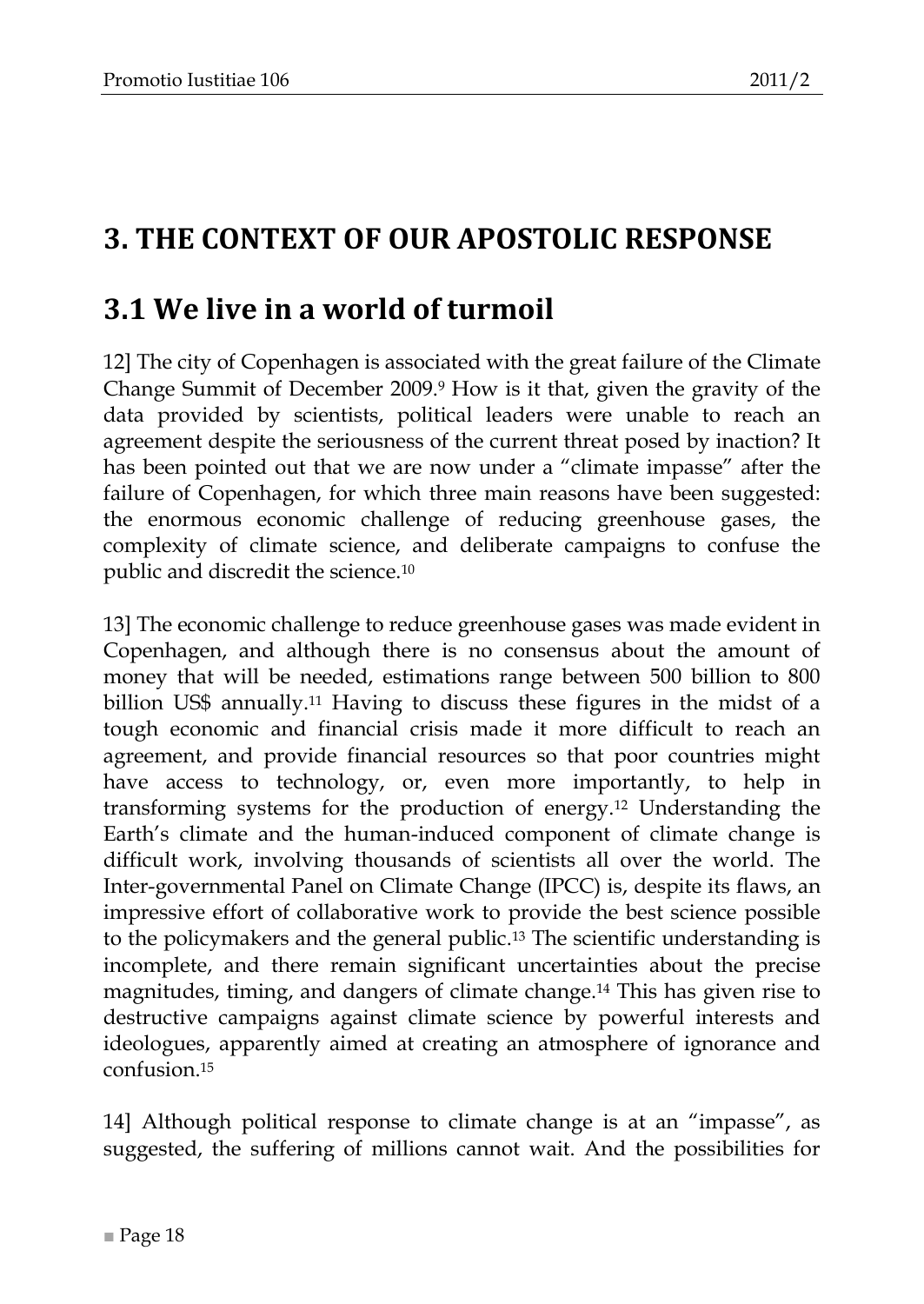## <span id="page-17-0"></span>**3. THE CONTEXT OF OUR APOSTOLIC RESPONSE**

## <span id="page-17-1"></span>**3.1 We live in a world of turmoil**

12] The city of Copenhagen is associated with the great failure of the Climate Change Summit of December 2009.<sup>9</sup> How is it that, given the gravity of the data provided by scientists, political leaders were unable to reach an agreement despite the seriousness of the current threat posed by inaction? It has been pointed out that we are now under a "climate impasse" after the failure of Copenhagen, for which three main reasons have been suggested: the enormous economic challenge of reducing greenhouse gases, the complexity of climate science, and deliberate campaigns to confuse the public and discredit the science.<sup>10</sup>

13] The economic challenge to reduce greenhouse gases was made evident in Copenhagen, and although there is no consensus about the amount of money that will be needed, estimations range between 500 billion to 800 billion US\$ annually.<sup>11</sup> Having to discuss these figures in the midst of a tough economic and financial crisis made it more difficult to reach an agreement, and provide financial resources so that poor countries might have access to technology, or, even more importantly, to help in transforming systems for the production of energy.<sup>12</sup> Understanding the Earth's climate and the human-induced component of climate change is difficult work, involving thousands of scientists all over the world. The Inter-governmental Panel on Climate Change (IPCC) is, despite its flaws, an impressive effort of collaborative work to provide the best science possible to the policymakers and the general public.<sup>13</sup> The scientific understanding is incomplete, and there remain significant uncertainties about the precise magnitudes, timing, and dangers of climate change.<sup>14</sup> This has given rise to destructive campaigns against climate science by powerful interests and ideologues, apparently aimed at creating an atmosphere of ignorance and confusion.<sup>15</sup>

14] Although political response to climate change is at an "impasse", as suggested, the suffering of millions cannot wait. And the possibilities for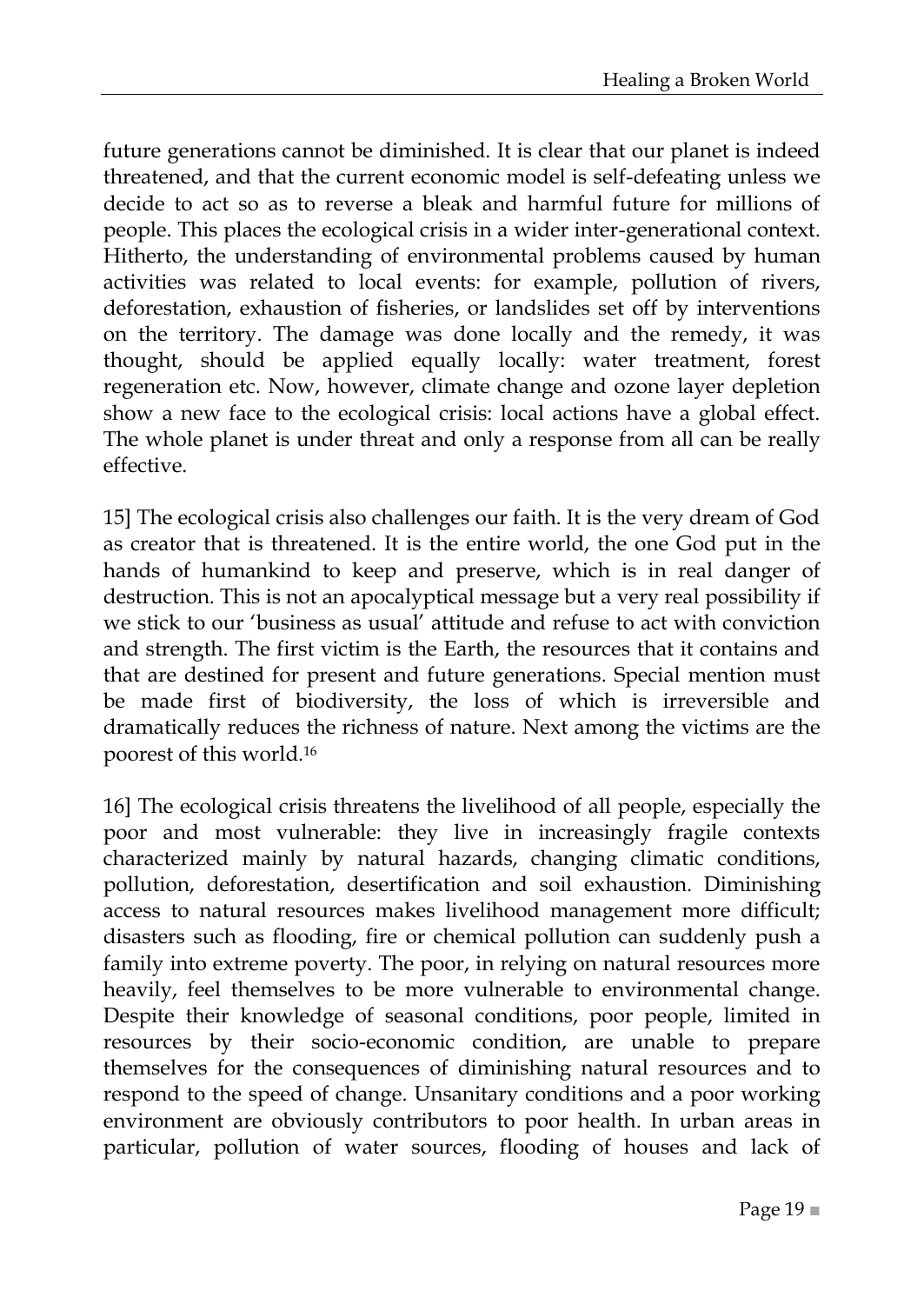future generations cannot be diminished. It is clear that our planet is indeed threatened, and that the current economic model is self-defeating unless we decide to act so as to reverse a bleak and harmful future for millions of people. This places the ecological crisis in a wider inter-generational context. Hitherto, the understanding of environmental problems caused by human activities was related to local events: for example, pollution of rivers, deforestation, exhaustion of fisheries, or landslides set off by interventions on the territory. The damage was done locally and the remedy, it was thought, should be applied equally locally: water treatment, forest regeneration etc. Now, however, climate change and ozone layer depletion show a new face to the ecological crisis: local actions have a global effect. The whole planet is under threat and only a response from all can be really effective.

15] The ecological crisis also challenges our faith. It is the very dream of God as creator that is threatened. It is the entire world, the one God put in the hands of humankind to keep and preserve, which is in real danger of destruction. This is not an apocalyptical message but a very real possibility if we stick to our 'business as usual' attitude and refuse to act with conviction and strength. The first victim is the Earth, the resources that it contains and that are destined for present and future generations. Special mention must be made first of biodiversity, the loss of which is irreversible and dramatically reduces the richness of nature. Next among the victims are the poorest of this world.<sup>16</sup>

16] The ecological crisis threatens the livelihood of all people, especially the poor and most vulnerable: they live in increasingly fragile contexts characterized mainly by natural hazards, changing climatic conditions, pollution, deforestation, desertification and soil exhaustion. Diminishing access to natural resources makes livelihood management more difficult; disasters such as flooding, fire or chemical pollution can suddenly push a family into extreme poverty. The poor, in relying on natural resources more heavily, feel themselves to be more vulnerable to environmental change. Despite their knowledge of seasonal conditions, poor people, limited in resources by their socio-economic condition, are unable to prepare themselves for the consequences of diminishing natural resources and to respond to the speed of change. Unsanitary conditions and a poor working environment are obviously contributors to poor health. In urban areas in particular, pollution of water sources, flooding of houses and lack of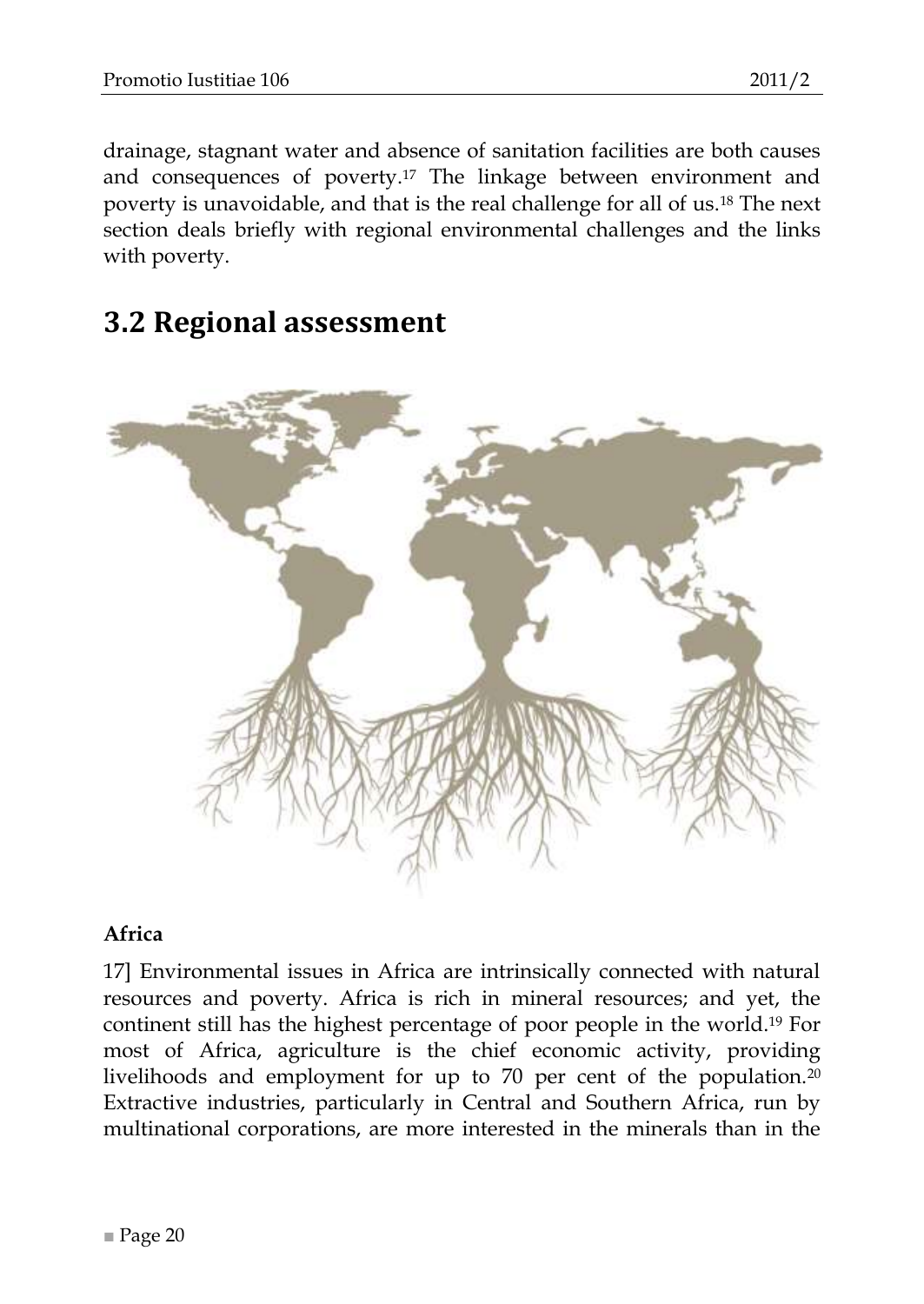drainage, stagnant water and absence of sanitation facilities are both causes and consequences of poverty.<sup>17</sup> The linkage between environment and poverty is unavoidable, and that is the real challenge for all of us.<sup>18</sup> The next section deals briefly with regional environmental challenges and the links with poverty.

### <span id="page-19-0"></span>**3.2 Regional assessment**

#### <span id="page-19-1"></span>**Africa**

17] Environmental issues in Africa are intrinsically connected with natural resources and poverty. Africa is rich in mineral resources; and yet, the continent still has the highest percentage of poor people in the world.<sup>19</sup> For most of Africa, agriculture is the chief economic activity, providing livelihoods and employment for up to 70 per cent of the population.<sup>20</sup> Extractive industries, particularly in Central and Southern Africa, run by multinational corporations, are more interested in the minerals than in the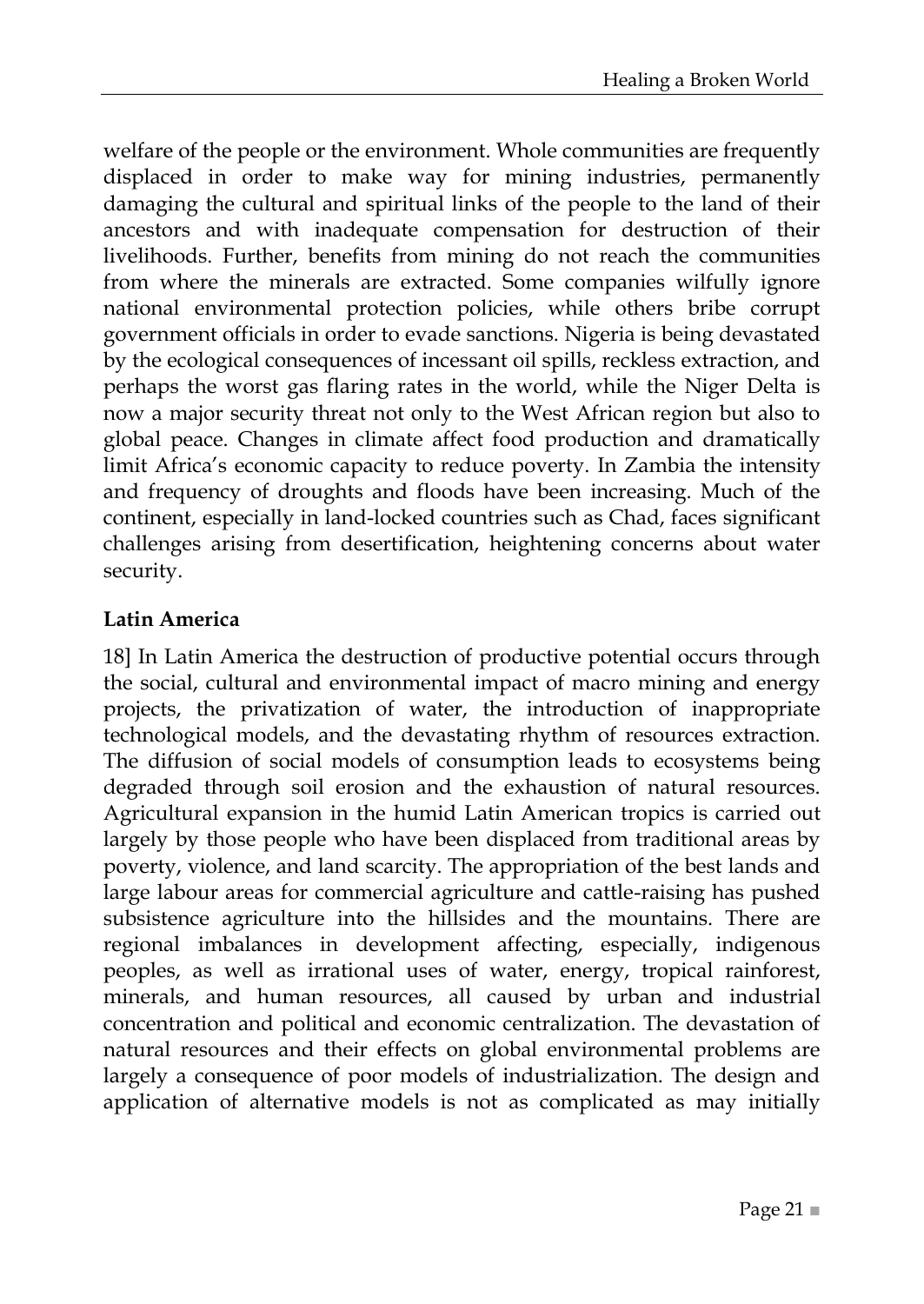welfare of the people or the environment. Whole communities are frequently displaced in order to make way for mining industries, permanently damaging the cultural and spiritual links of the people to the land of their ancestors and with inadequate compensation for destruction of their livelihoods. Further, benefits from mining do not reach the communities from where the minerals are extracted. Some companies wilfully ignore national environmental protection policies, while others bribe corrupt government officials in order to evade sanctions. Nigeria is being devastated by the ecological consequences of incessant oil spills, reckless extraction, and perhaps the worst gas flaring rates in the world, while the Niger Delta is now a major security threat not only to the West African region but also to global peace. Changes in climate affect food production and dramatically limit Africa's economic capacity to reduce poverty. In Zambia the intensity and frequency of droughts and floods have been increasing. Much of the continent, especially in land-locked countries such as Chad, faces significant challenges arising from desertification, heightening concerns about water security.

#### <span id="page-20-0"></span>**Latin America**

18] In Latin America the destruction of productive potential occurs through the social, cultural and environmental impact of macro mining and energy projects, the privatization of water, the introduction of inappropriate technological models, and the devastating rhythm of resources extraction. The diffusion of social models of consumption leads to ecosystems being degraded through soil erosion and the exhaustion of natural resources. Agricultural expansion in the humid Latin American tropics is carried out largely by those people who have been displaced from traditional areas by poverty, violence, and land scarcity. The appropriation of the best lands and large labour areas for commercial agriculture and cattle-raising has pushed subsistence agriculture into the hillsides and the mountains. There are regional imbalances in development affecting, especially, indigenous peoples, as well as irrational uses of water, energy, tropical rainforest, minerals, and human resources, all caused by urban and industrial concentration and political and economic centralization. The devastation of natural resources and their effects on global environmental problems are largely a consequence of poor models of industrialization. The design and application of alternative models is not as complicated as may initially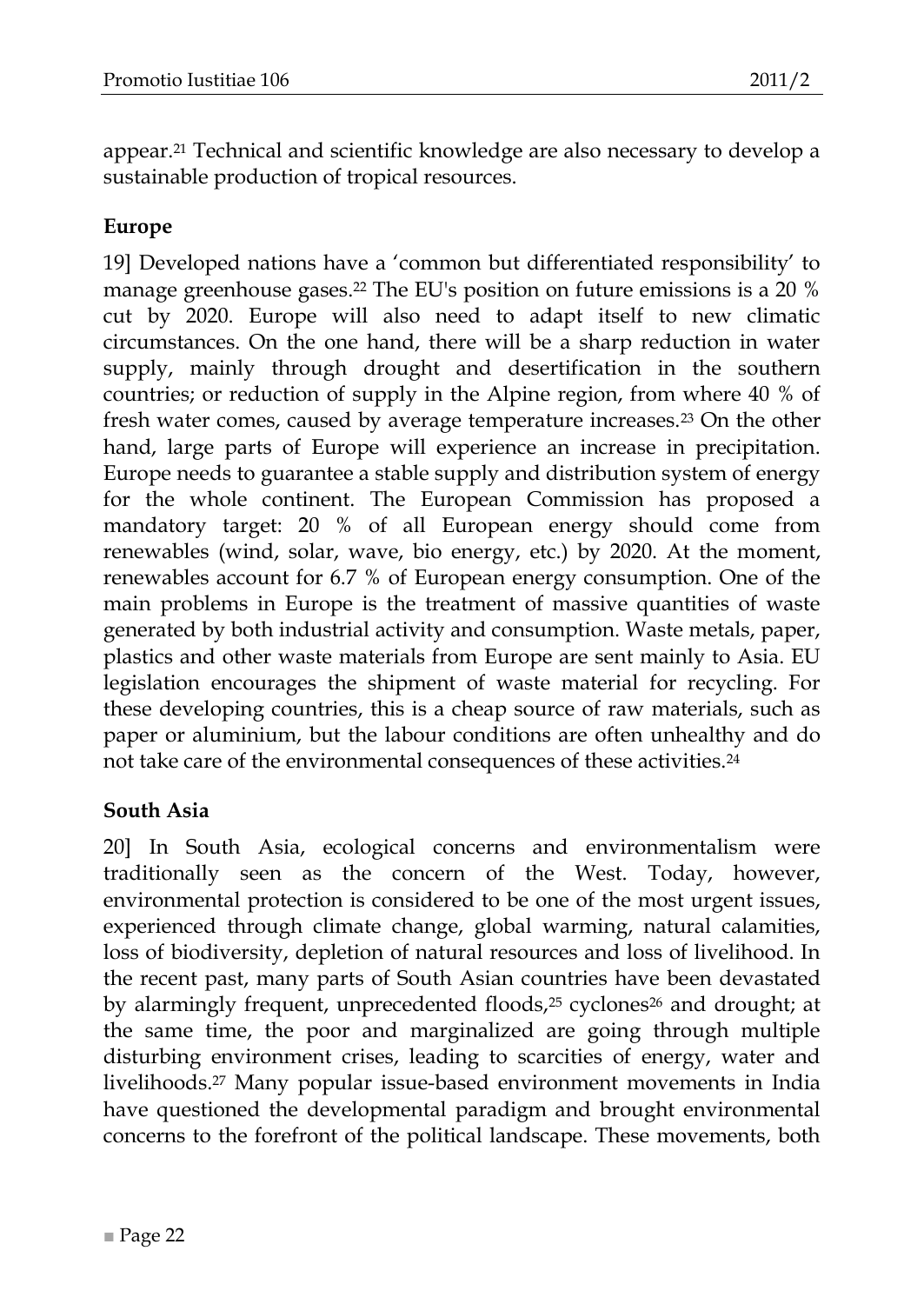appear.<sup>21</sup> Technical and scientific knowledge are also necessary to develop a sustainable production of tropical resources.

#### <span id="page-21-0"></span>**Europe**

19] Developed nations have a 'common but differentiated responsibility' to manage greenhouse gases.<sup>22</sup> The EU's position on future emissions is a 20 % cut by 2020. Europe will also need to adapt itself to new climatic circumstances. On the one hand, there will be a sharp reduction in water supply, mainly through drought and desertification in the southern countries; or reduction of supply in the Alpine region, from where 40 % of fresh water comes, caused by average temperature increases.<sup>23</sup> On the other hand, large parts of Europe will experience an increase in precipitation. Europe needs to guarantee a stable supply and distribution system of energy for the whole continent. The European Commission has proposed a mandatory target: 20 % of all European energy should come from renewables (wind, solar, wave, bio energy, etc.) by 2020. At the moment, renewables account for 6.7 % of European energy consumption. One of the main problems in Europe is the treatment of massive quantities of waste generated by both industrial activity and consumption. Waste metals, paper, plastics and other waste materials from Europe are sent mainly to Asia. EU legislation encourages the shipment of waste material for recycling. For these developing countries, this is a cheap source of raw materials, such as paper or aluminium, but the labour conditions are often unhealthy and do not take care of the environmental consequences of these activities.<sup>24</sup>

#### <span id="page-21-1"></span>**South Asia**

20] In South Asia, ecological concerns and environmentalism were traditionally seen as the concern of the West. Today, however, environmental protection is considered to be one of the most urgent issues, experienced through climate change, global warming, natural calamities, loss of biodiversity, depletion of natural resources and loss of livelihood. In the recent past, many parts of South Asian countries have been devastated by alarmingly frequent, unprecedented floods,<sup>25</sup> cyclones<sup>26</sup> and drought; at the same time, the poor and marginalized are going through multiple disturbing environment crises, leading to scarcities of energy, water and livelihoods.<sup>27</sup> Many popular issue-based environment movements in India have questioned the developmental paradigm and brought environmental concerns to the forefront of the political landscape. These movements, both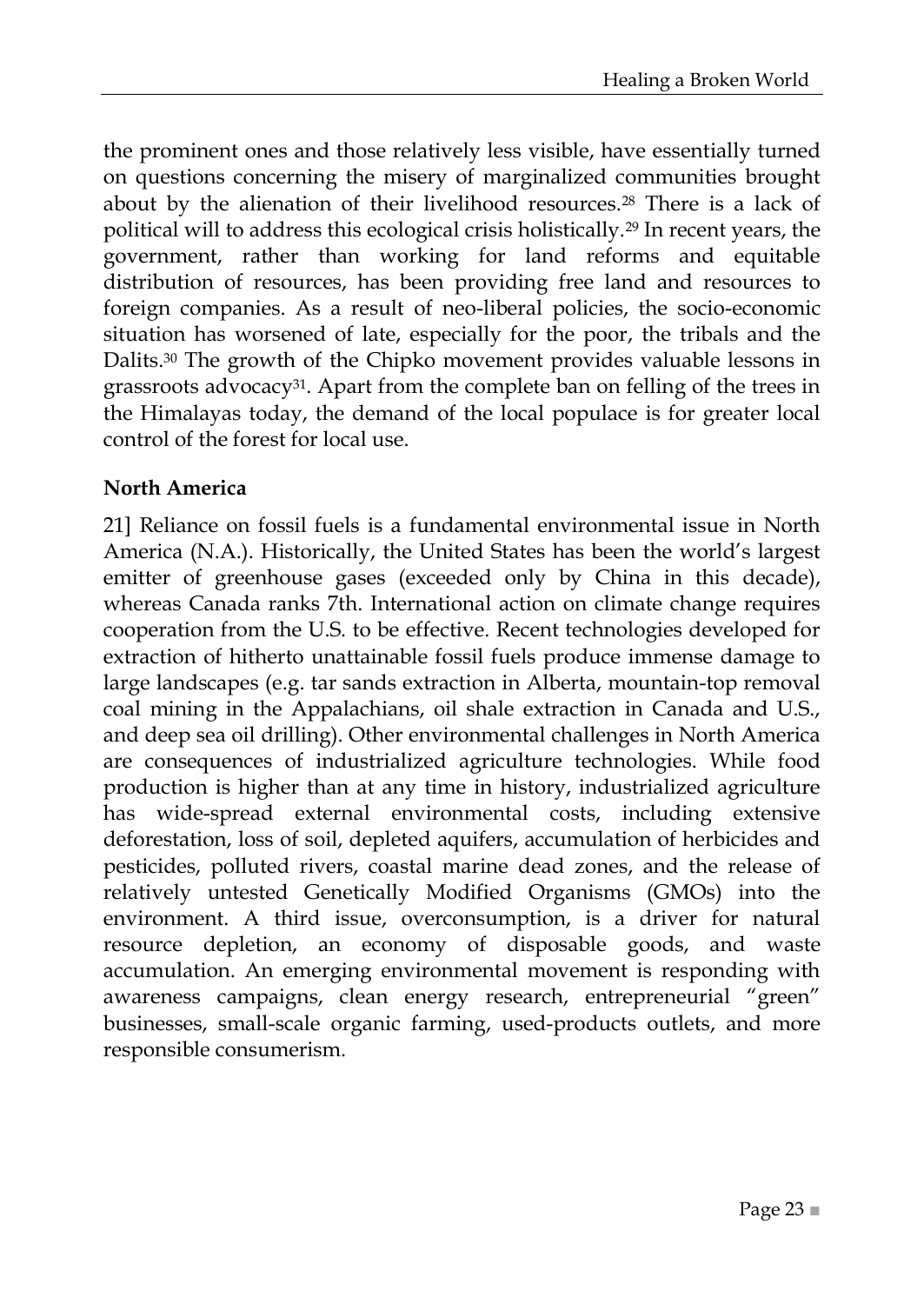the prominent ones and those relatively less visible, have essentially turned on questions concerning the misery of marginalized communities brought about by the alienation of their livelihood resources.<sup>28</sup> There is a lack of political will to address this ecological crisis holistically.<sup>29</sup> In recent years, the government, rather than working for land reforms and equitable distribution of resources, has been providing free land and resources to foreign companies. As a result of neo-liberal policies, the socio-economic situation has worsened of late, especially for the poor, the tribals and the Dalits.<sup>30</sup> The growth of the Chipko movement provides valuable lessons in grassroots advocacy<sup>31</sup>. Apart from the complete ban on felling of the trees in the Himalayas today, the demand of the local populace is for greater local control of the forest for local use.

#### <span id="page-22-0"></span>**North America**

21] Reliance on fossil fuels is a fundamental environmental issue in North America (N.A.). Historically, the United States has been the world's largest emitter of greenhouse gases (exceeded only by China in this decade), whereas Canada ranks 7th. International action on climate change requires cooperation from the U.S. to be effective. Recent technologies developed for extraction of hitherto unattainable fossil fuels produce immense damage to large landscapes (e.g. tar sands extraction in Alberta, mountain-top removal coal mining in the Appalachians, oil shale extraction in Canada and U.S., and deep sea oil drilling). Other environmental challenges in North America are consequences of industrialized agriculture technologies. While food production is higher than at any time in history, industrialized agriculture has wide-spread external environmental costs, including extensive deforestation, loss of soil, depleted aquifers, accumulation of herbicides and pesticides, polluted rivers, coastal marine dead zones, and the release of relatively untested Genetically Modified Organisms (GMOs) into the environment. A third issue, overconsumption, is a driver for natural resource depletion, an economy of disposable goods, and waste accumulation. An emerging environmental movement is responding with awareness campaigns, clean energy research, entrepreneurial "green" businesses, small-scale organic farming, used-products outlets, and more responsible consumerism.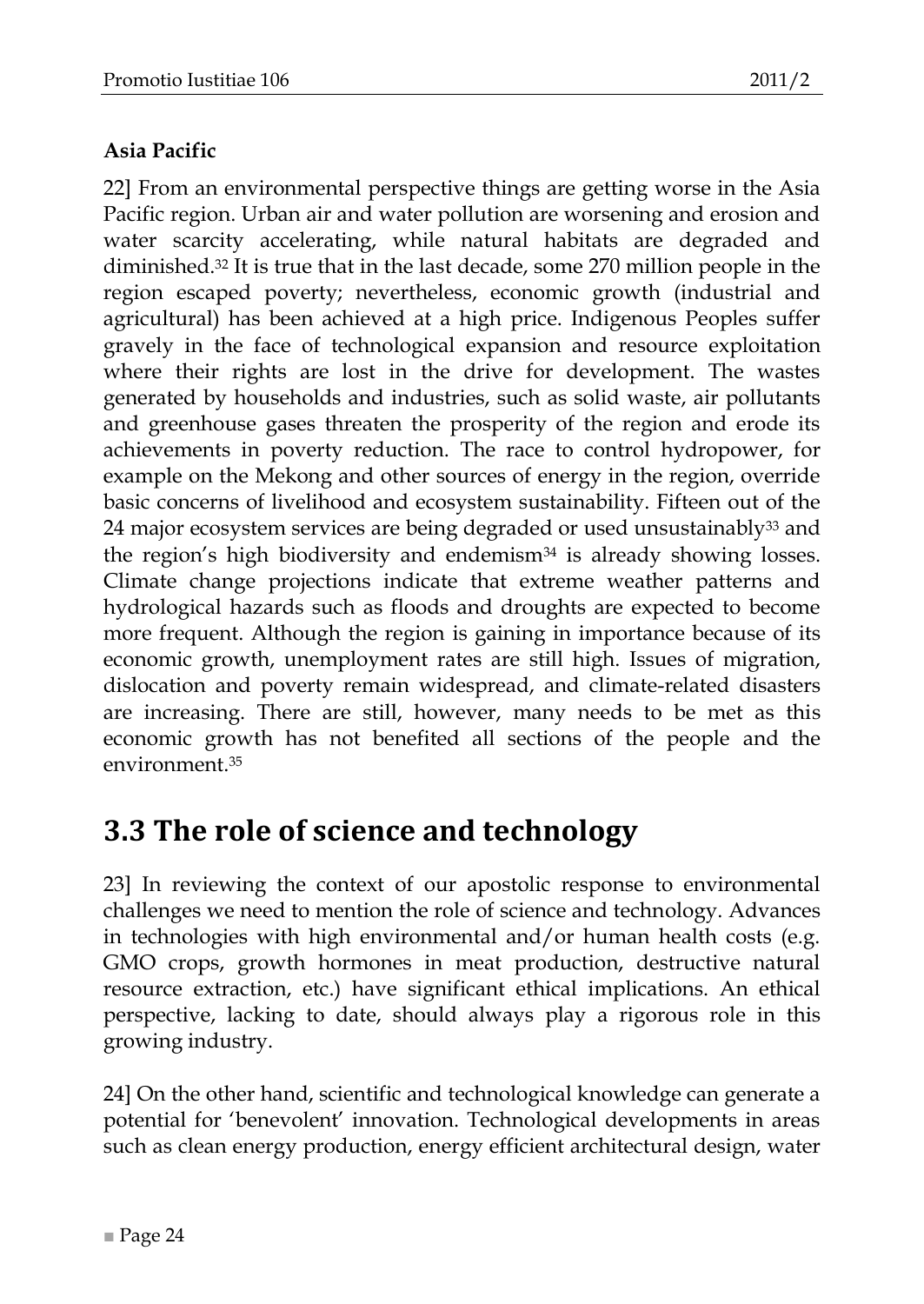#### <span id="page-23-0"></span>**Asia Pacific**

22] From an environmental perspective things are getting worse in the Asia Pacific region. Urban air and water pollution are worsening and erosion and water scarcity accelerating, while natural habitats are degraded and diminished.<sup>32</sup> It is true that in the last decade, some 270 million people in the region escaped poverty; nevertheless, economic growth (industrial and agricultural) has been achieved at a high price. Indigenous Peoples suffer gravely in the face of technological expansion and resource exploitation where their rights are lost in the drive for development. The wastes generated by households and industries, such as solid waste, air pollutants and greenhouse gases threaten the prosperity of the region and erode its achievements in poverty reduction. The race to control hydropower, for example on the Mekong and other sources of energy in the region, override basic concerns of livelihood and ecosystem sustainability. Fifteen out of the 24 major ecosystem services are being degraded or used unsustainably<sup>33</sup> and the region's high biodiversity and endemism<sup>34</sup> is already showing losses. Climate change projections indicate that extreme weather patterns and hydrological hazards such as floods and droughts are expected to become more frequent. Although the region is gaining in importance because of its economic growth, unemployment rates are still high. Issues of migration, dislocation and poverty remain widespread, and climate-related disasters are increasing. There are still, however, many needs to be met as this economic growth has not benefited all sections of the people and the environment<sup>35</sup>

## <span id="page-23-1"></span>**3.3 The role of science and technology**

23] In reviewing the context of our apostolic response to environmental challenges we need to mention the role of science and technology. Advances in technologies with high environmental and/or human health costs (e.g. GMO crops, growth hormones in meat production, destructive natural resource extraction, etc.) have significant ethical implications. An ethical perspective, lacking to date, should always play a rigorous role in this growing industry.

24] On the other hand, scientific and technological knowledge can generate a potential for 'benevolent' innovation. Technological developments in areas such as clean energy production, energy efficient architectural design, water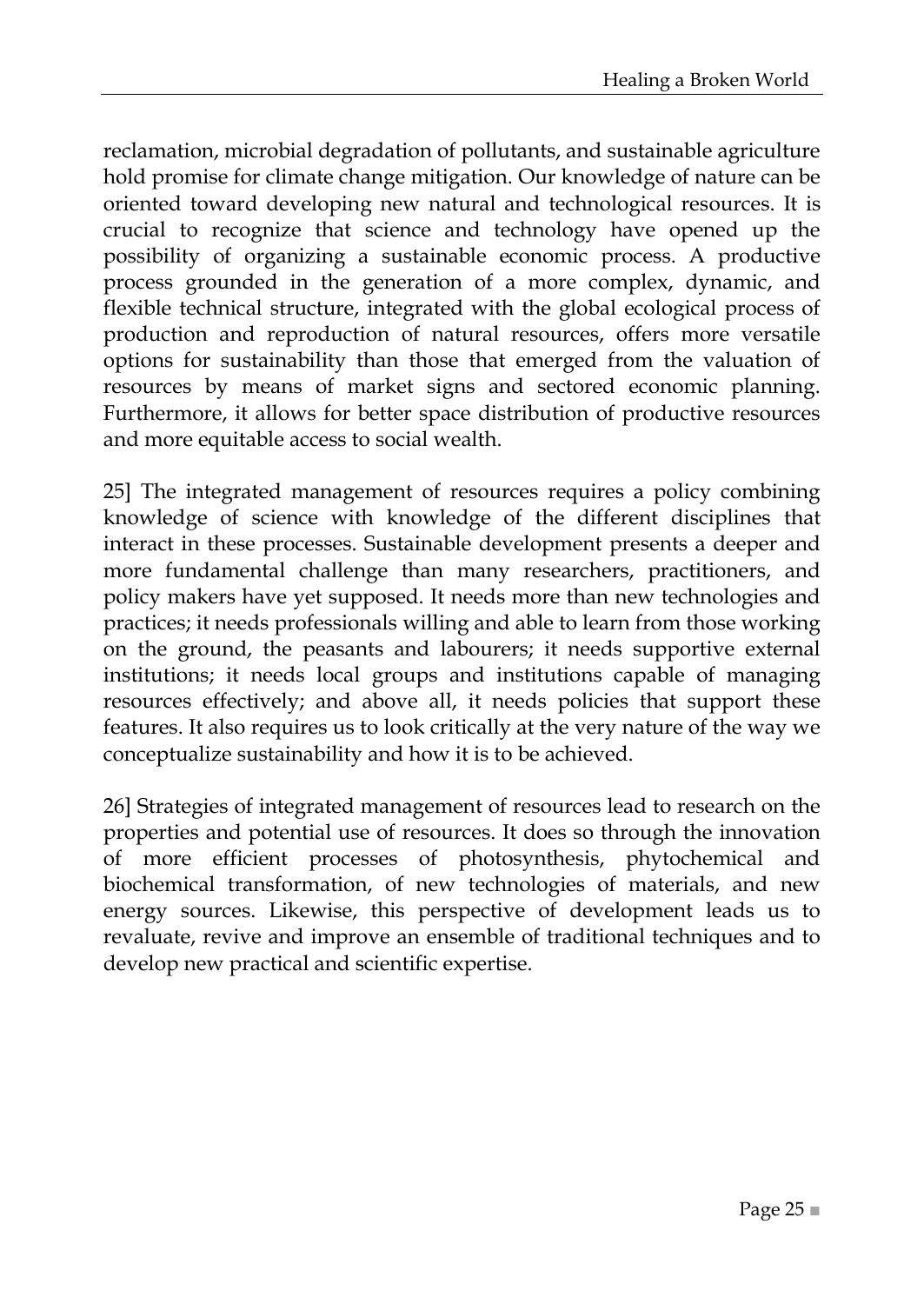reclamation, microbial degradation of pollutants, and sustainable agriculture hold promise for climate change mitigation. Our knowledge of nature can be oriented toward developing new natural and technological resources. It is crucial to recognize that science and technology have opened up the possibility of organizing a sustainable economic process. A productive process grounded in the generation of a more complex, dynamic, and flexible technical structure, integrated with the global ecological process of production and reproduction of natural resources, offers more versatile options for sustainability than those that emerged from the valuation of resources by means of market signs and sectored economic planning. Furthermore, it allows for better space distribution of productive resources and more equitable access to social wealth.

25] The integrated management of resources requires a policy combining knowledge of science with knowledge of the different disciplines that interact in these processes. Sustainable development presents a deeper and more fundamental challenge than many researchers, practitioners, and policy makers have yet supposed. It needs more than new technologies and practices; it needs professionals willing and able to learn from those working on the ground, the peasants and labourers; it needs supportive external institutions; it needs local groups and institutions capable of managing resources effectively; and above all, it needs policies that support these features. It also requires us to look critically at the very nature of the way we conceptualize sustainability and how it is to be achieved.

26] Strategies of integrated management of resources lead to research on the properties and potential use of resources. It does so through the innovation of more efficient processes of photosynthesis, phytochemical and biochemical transformation, of new technologies of materials, and new energy sources. Likewise, this perspective of development leads us to revaluate, revive and improve an ensemble of traditional techniques and to develop new practical and scientific expertise.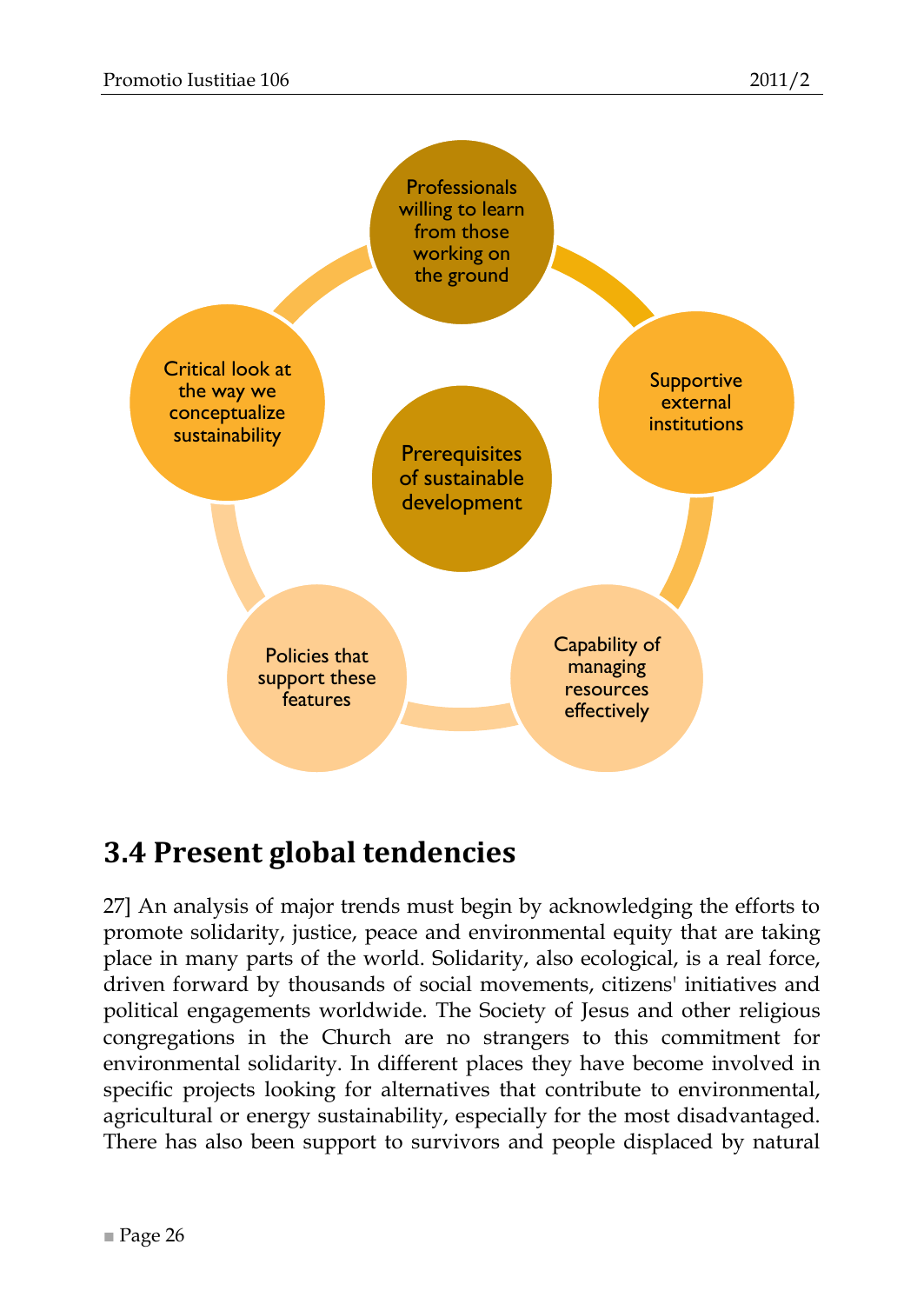

## <span id="page-25-0"></span>**3.4 Present global tendencies**

27] An analysis of major trends must begin by acknowledging the efforts to promote solidarity, justice, peace and environmental equity that are taking place in many parts of the world. Solidarity, also ecological, is a real force, driven forward by thousands of social movements, citizens' initiatives and political engagements worldwide. The Society of Jesus and other religious congregations in the Church are no strangers to this commitment for environmental solidarity. In different places they have become involved in specific projects looking for alternatives that contribute to environmental, agricultural or energy sustainability, especially for the most disadvantaged. There has also been support to survivors and people displaced by natural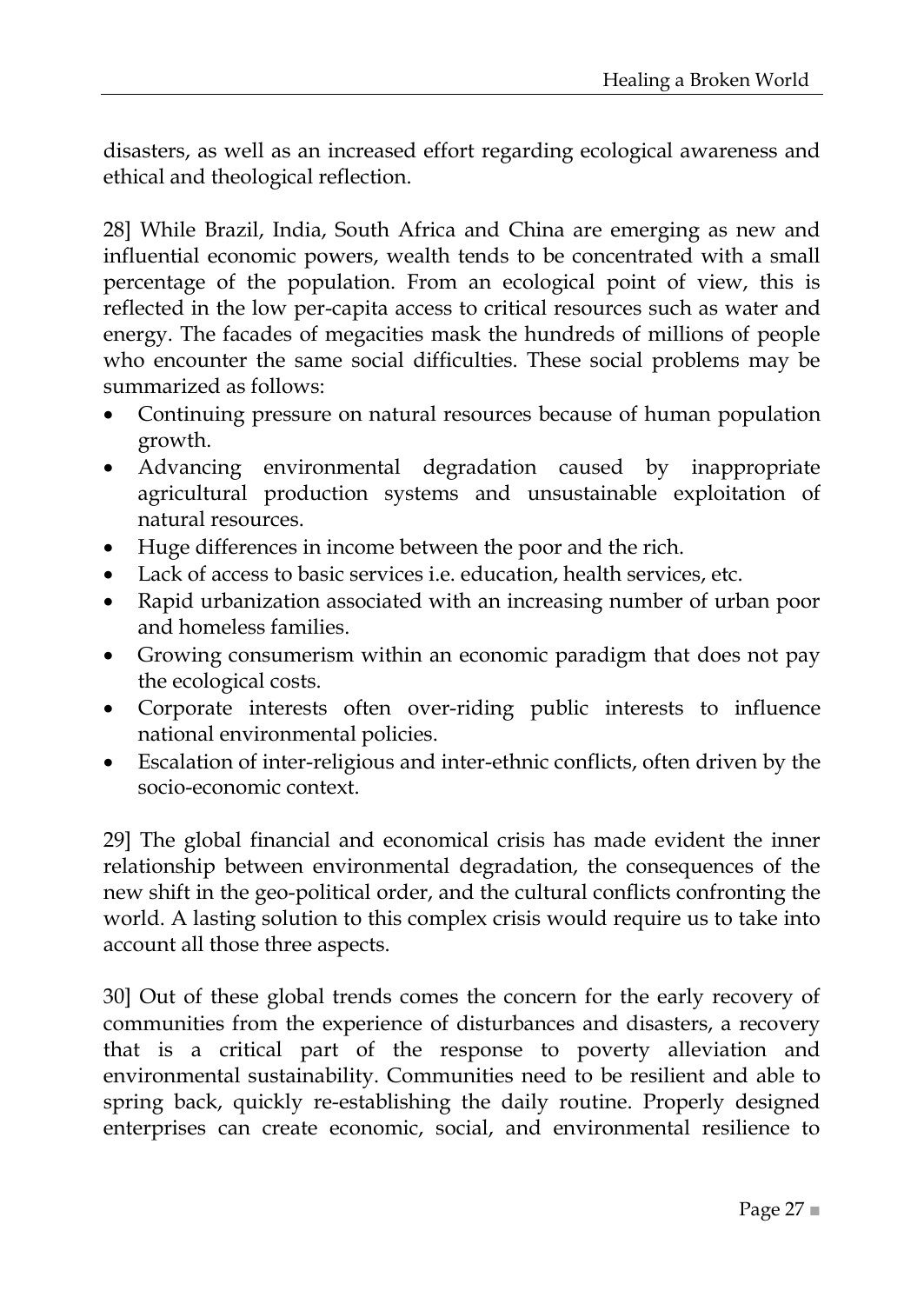disasters, as well as an increased effort regarding ecological awareness and ethical and theological reflection.

28] While Brazil, India, South Africa and China are emerging as new and influential economic powers, wealth tends to be concentrated with a small percentage of the population. From an ecological point of view, this is reflected in the low per-capita access to critical resources such as water and energy. The facades of megacities mask the hundreds of millions of people who encounter the same social difficulties. These social problems may be summarized as follows:

- Continuing pressure on natural resources because of human population growth.
- Advancing environmental degradation caused by inappropriate agricultural production systems and unsustainable exploitation of natural resources.
- Huge differences in income between the poor and the rich.
- Lack of access to basic services i.e. education, health services, etc.
- Rapid urbanization associated with an increasing number of urban poor and homeless families.
- Growing consumerism within an economic paradigm that does not pay the ecological costs.
- Corporate interests often over-riding public interests to influence national environmental policies.
- Escalation of inter-religious and inter-ethnic conflicts, often driven by the socio-economic context.

29] The global financial and economical crisis has made evident the inner relationship between environmental degradation, the consequences of the new shift in the geo-political order, and the cultural conflicts confronting the world. A lasting solution to this complex crisis would require us to take into account all those three aspects.

30] Out of these global trends comes the concern for the early recovery of communities from the experience of disturbances and disasters, a recovery that is a critical part of the response to poverty alleviation and environmental sustainability. Communities need to be resilient and able to spring back, quickly re-establishing the daily routine. Properly designed enterprises can create economic, social, and environmental resilience to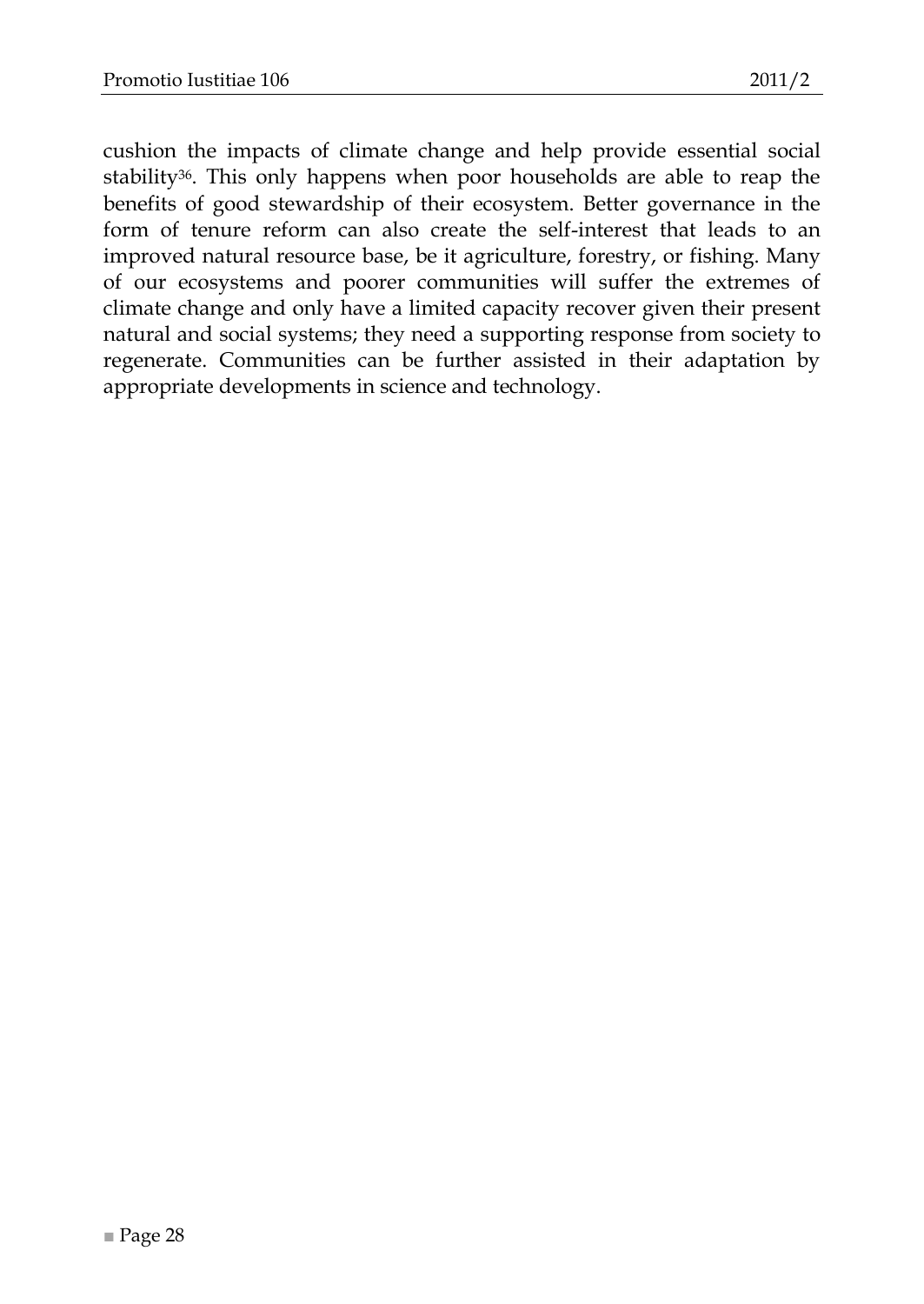cushion the impacts of climate change and help provide essential social stability36. This only happens when poor households are able to reap the benefits of good stewardship of their ecosystem. Better governance in the form of tenure reform can also create the self-interest that leads to an improved natural resource base, be it agriculture, forestry, or fishing. Many of our ecosystems and poorer communities will suffer the extremes of climate change and only have a limited capacity recover given their present natural and social systems; they need a supporting response from society to regenerate. Communities can be further assisted in their adaptation by appropriate developments in science and technology.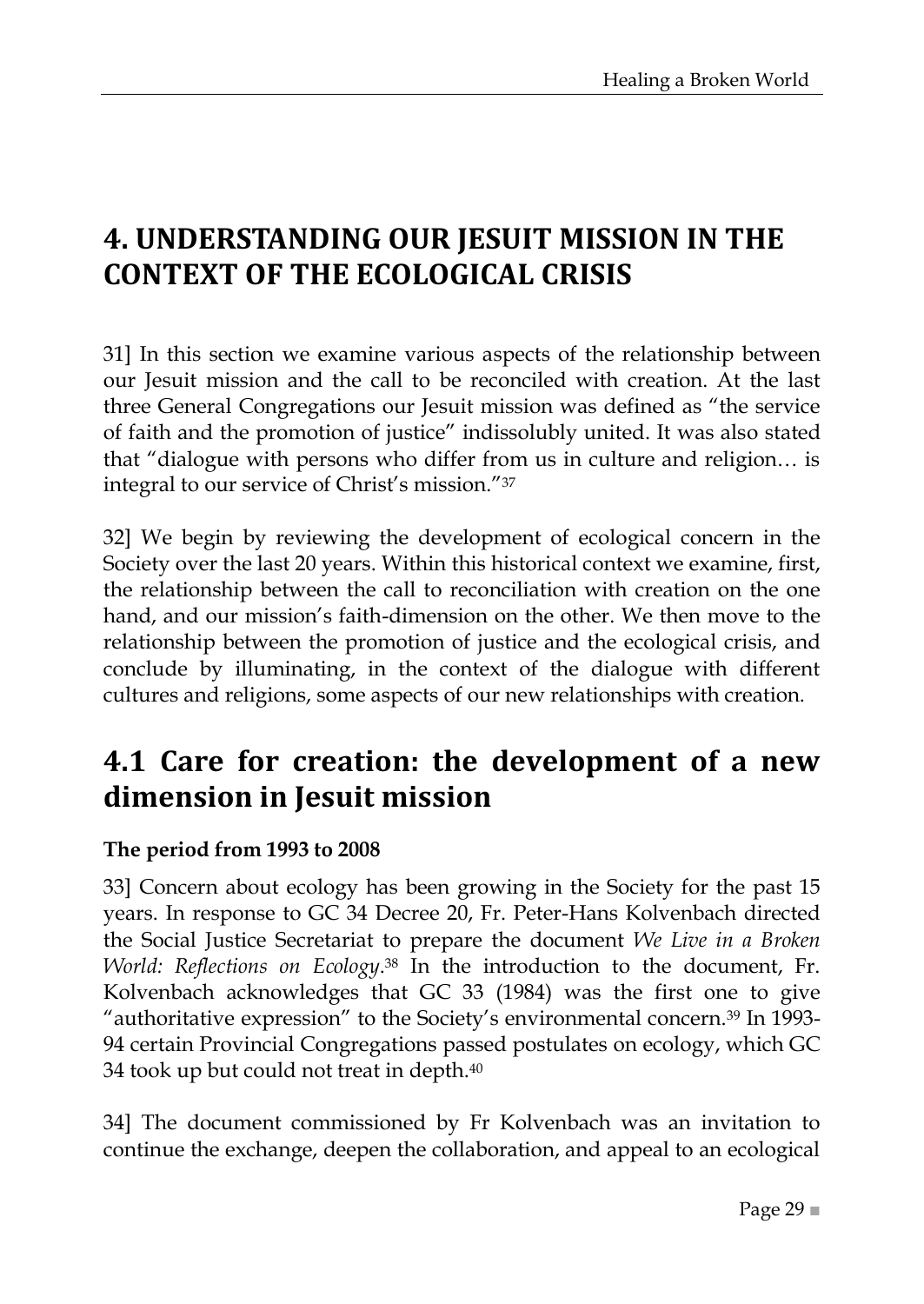## <span id="page-28-0"></span>**4. UNDERSTANDING OUR JESUIT MISSION IN THE CONTEXT OF THE ECOLOGICAL CRISIS**

31] In this section we examine various aspects of the relationship between our Jesuit mission and the call to be reconciled with creation. At the last three General Congregations our Jesuit mission was defined as "the service of faith and the promotion of justice" indissolubly united. It was also stated that "dialogue with persons who differ from us in culture and religion... is integral to our service of Christ's mission."37

32] We begin by reviewing the development of ecological concern in the Society over the last 20 years. Within this historical context we examine, first, the relationship between the call to reconciliation with creation on the one hand, and our mission's faith-dimension on the other. We then move to the relationship between the promotion of justice and the ecological crisis, and conclude by illuminating, in the context of the dialogue with different cultures and religions, some aspects of our new relationships with creation.

## <span id="page-28-1"></span>**4.1 Care for creation: the development of a new dimension in Jesuit mission**

#### <span id="page-28-2"></span>**The period from 1993 to 2008**

33] Concern about ecology has been growing in the Society for the past 15 years. In response to GC 34 Decree 20, Fr. Peter-Hans Kolvenbach directed the Social Justice Secretariat to prepare the document *We Live in a Broken World: Reflections on Ecology*. <sup>38</sup> In the introduction to the document, Fr. Kolvenbach acknowledges that GC 33 (1984) was the first one to give "authoritative expression" to the Society's environmental concern.<sup>39</sup> In 1993-94 certain Provincial Congregations passed postulates on ecology, which GC 34 took up but could not treat in depth.<sup>40</sup>

34] The document commissioned by Fr Kolvenbach was an invitation to continue the exchange, deepen the collaboration, and appeal to an ecological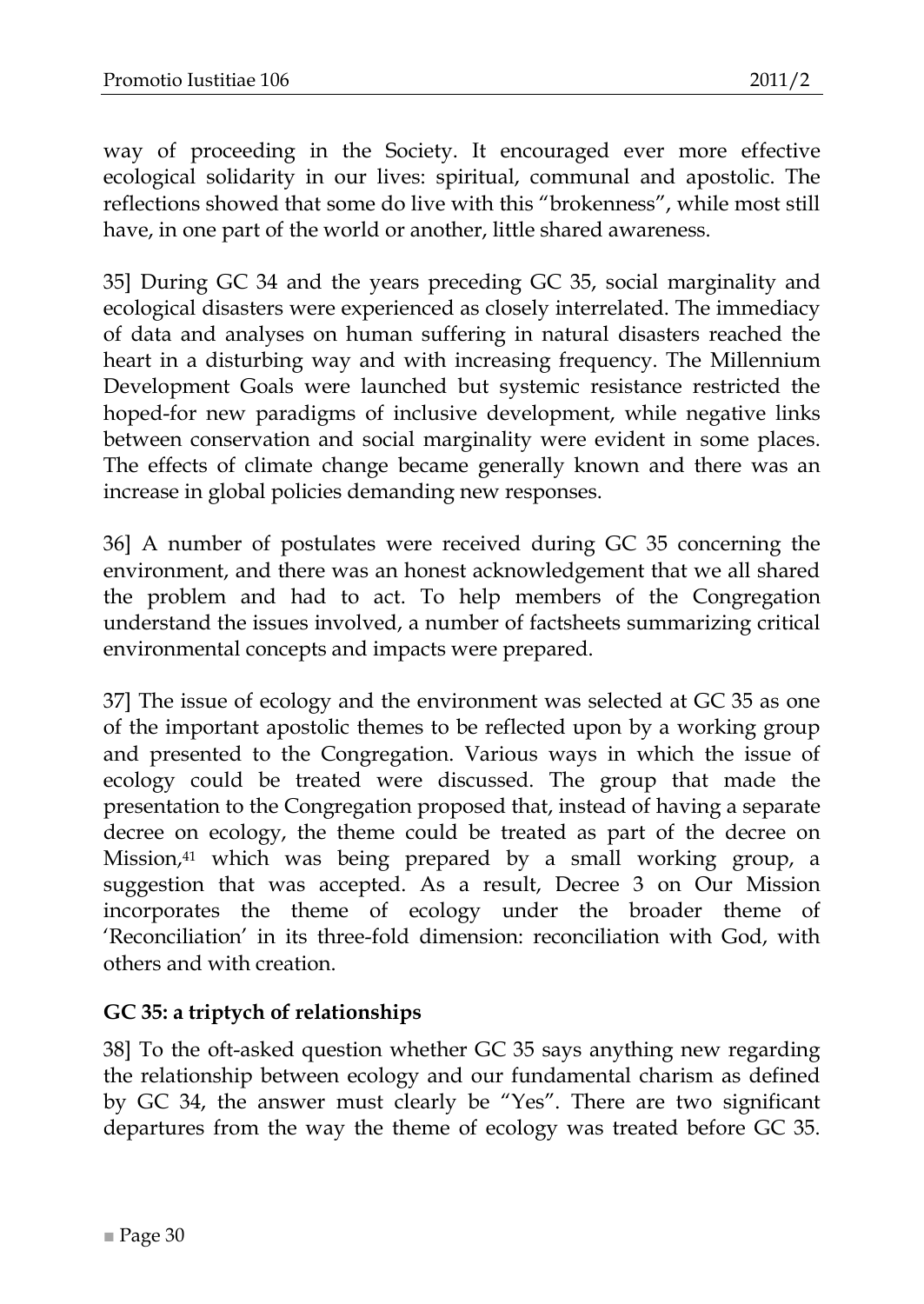way of proceeding in the Society. It encouraged ever more effective ecological solidarity in our lives: spiritual, communal and apostolic. The reflections showed that some do live with this "brokenness", while most still have, in one part of the world or another, little shared awareness.

35] During GC 34 and the years preceding GC 35, social marginality and ecological disasters were experienced as closely interrelated. The immediacy of data and analyses on human suffering in natural disasters reached the heart in a disturbing way and with increasing frequency. The Millennium Development Goals were launched but systemic resistance restricted the hoped-for new paradigms of inclusive development, while negative links between conservation and social marginality were evident in some places. The effects of climate change became generally known and there was an increase in global policies demanding new responses.

36] A number of postulates were received during GC 35 concerning the environment, and there was an honest acknowledgement that we all shared the problem and had to act. To help members of the Congregation understand the issues involved, a number of factsheets summarizing critical environmental concepts and impacts were prepared.

37] The issue of ecology and the environment was selected at GC 35 as one of the important apostolic themes to be reflected upon by a working group and presented to the Congregation. Various ways in which the issue of ecology could be treated were discussed. The group that made the presentation to the Congregation proposed that, instead of having a separate decree on ecology, the theme could be treated as part of the decree on Mission,<sup>41</sup> which was being prepared by a small working group, a suggestion that was accepted. As a result, Decree 3 on Our Mission incorporates the theme of ecology under the broader theme of ‗Reconciliation' in its three-fold dimension: reconciliation with God, with others and with creation.

#### <span id="page-29-0"></span>**GC 35: a triptych of relationships**

38] To the oft-asked question whether GC 35 says anything new regarding the relationship between ecology and our fundamental charism as defined by GC 34, the answer must clearly be "Yes". There are two significant departures from the way the theme of ecology was treated before GC 35.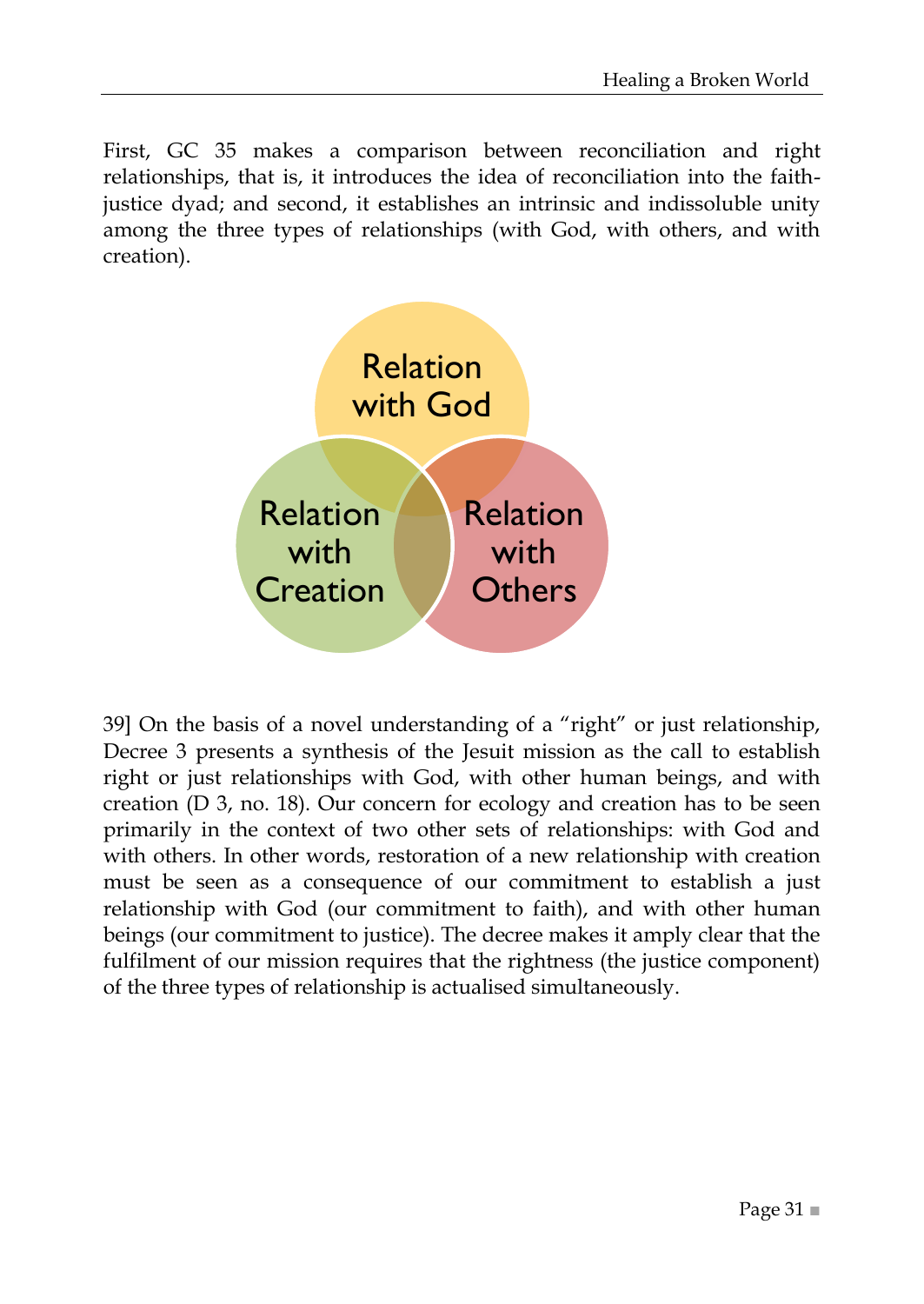First, GC 35 makes a comparison between reconciliation and right relationships, that is, it introduces the idea of reconciliation into the faithjustice dyad; and second, it establishes an intrinsic and indissoluble unity among the three types of relationships (with God, with others, and with creation).



39] On the basis of a novel understanding of a "right" or just relationship, Decree 3 presents a synthesis of the Jesuit mission as the call to establish right or just relationships with God, with other human beings, and with creation (D 3, no. 18). Our concern for ecology and creation has to be seen primarily in the context of two other sets of relationships: with God and with others. In other words, restoration of a new relationship with creation must be seen as a consequence of our commitment to establish a just relationship with God (our commitment to faith), and with other human beings (our commitment to justice). The decree makes it amply clear that the fulfilment of our mission requires that the rightness (the justice component) of the three types of relationship is actualised simultaneously.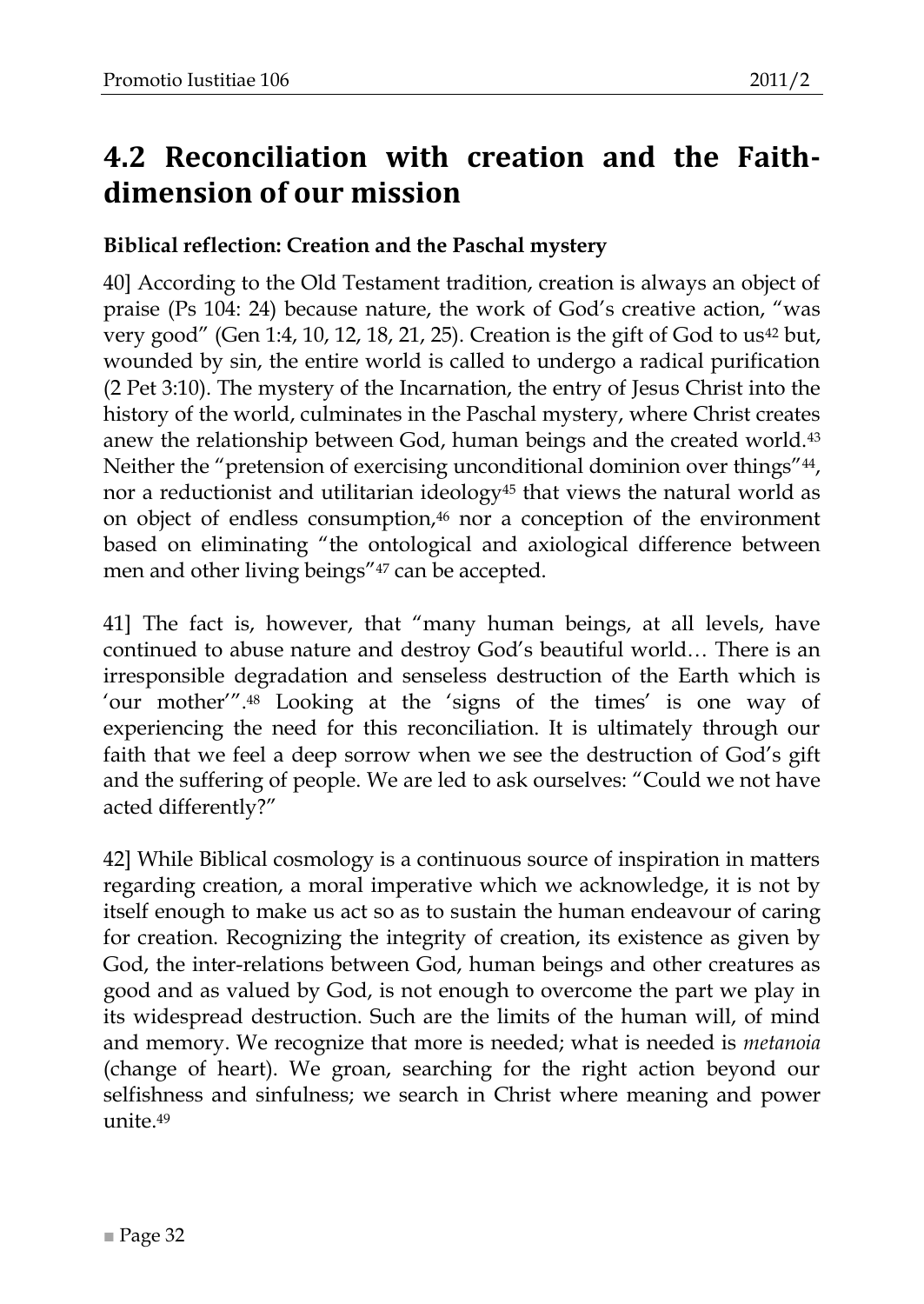## <span id="page-31-0"></span>**4.2 Reconciliation with creation and the Faithdimension of our mission**

#### <span id="page-31-1"></span>**Biblical reflection: Creation and the Paschal mystery**

40] According to the Old Testament tradition, creation is always an object of praise (Ps 104: 24) because nature, the work of God's creative action, "was very good" (Gen 1:4, 10, 12, 18, 21, 25). Creation is the gift of God to us<sup>42</sup> but, wounded by sin, the entire world is called to undergo a radical purification (2 Pet 3:10). The mystery of the Incarnation, the entry of Jesus Christ into the history of the world, culminates in the Paschal mystery, where Christ creates anew the relationship between God, human beings and the created world.<sup>43</sup> Neither the "pretension of exercising unconditional dominion over things"<sup>44</sup>, nor a reductionist and utilitarian ideology<sup>45</sup> that views the natural world as on object of endless consumption,<sup>46</sup> nor a conception of the environment based on eliminating "the ontological and axiological difference between men and other living beings"<sup>47</sup> can be accepted.

41] The fact is, however, that "many human beings, at all levels, have continued to abuse nature and destroy God's beautiful world… There is an irresponsible degradation and senseless destruction of the Earth which is 'our mother'".<sup>48</sup> Looking at the 'signs of the times' is one way of experiencing the need for this reconciliation. It is ultimately through our faith that we feel a deep sorrow when we see the destruction of God's gift and the suffering of people. We are led to ask ourselves: "Could we not have acted differently?"

42] While Biblical cosmology is a continuous source of inspiration in matters regarding creation, a moral imperative which we acknowledge, it is not by itself enough to make us act so as to sustain the human endeavour of caring for creation. Recognizing the integrity of creation, its existence as given by God, the inter-relations between God, human beings and other creatures as good and as valued by God, is not enough to overcome the part we play in its widespread destruction. Such are the limits of the human will, of mind and memory. We recognize that more is needed; what is needed is *metanoia*  (change of heart). We groan, searching for the right action beyond our selfishness and sinfulness; we search in Christ where meaning and power unite.49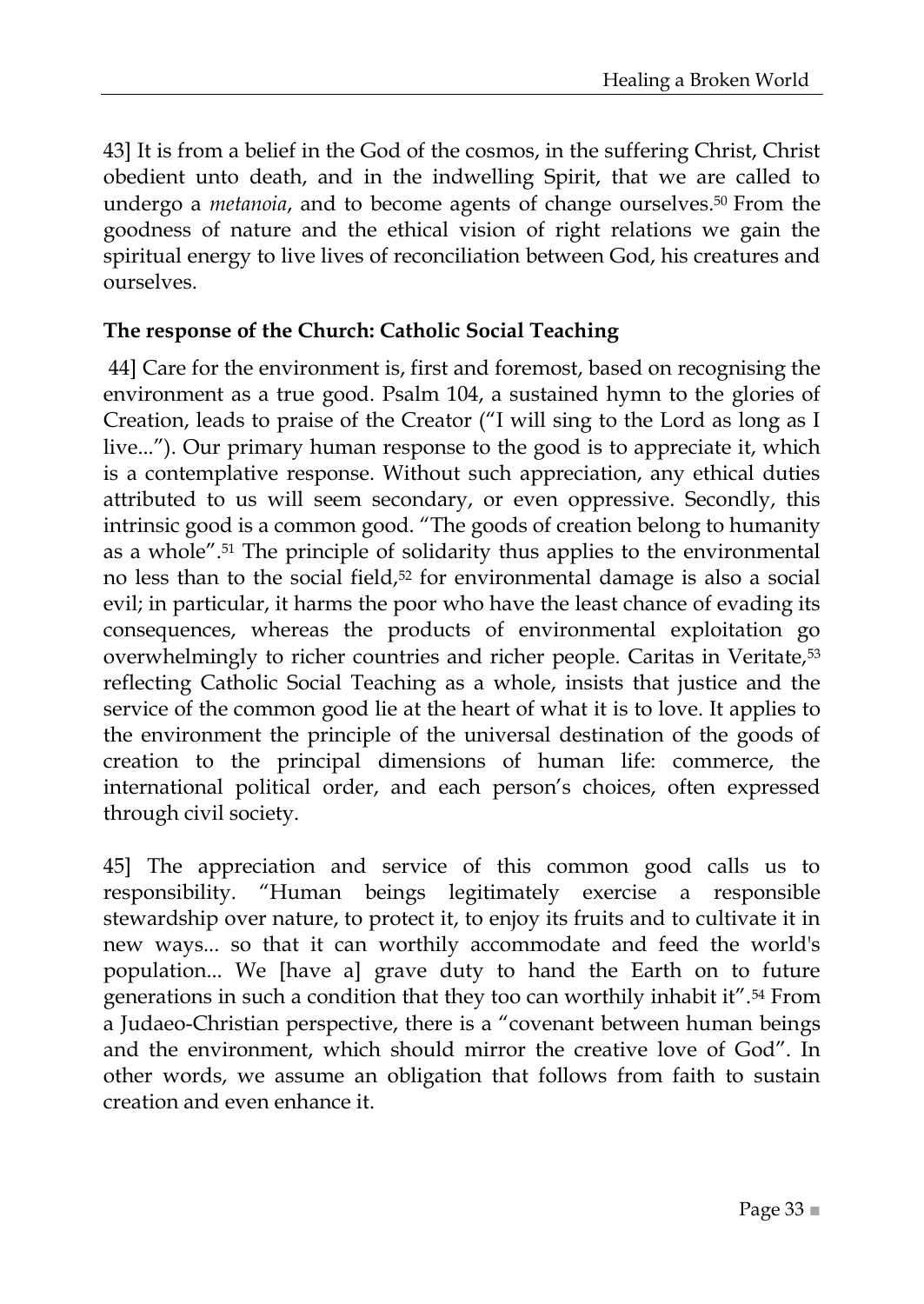43] It is from a belief in the God of the cosmos, in the suffering Christ, Christ obedient unto death, and in the indwelling Spirit, that we are called to undergo a *metanoia*, and to become agents of change ourselves.<sup>50</sup> From the goodness of nature and the ethical vision of right relations we gain the spiritual energy to live lives of reconciliation between God, his creatures and ourselves.

#### <span id="page-32-0"></span>**The response of the Church: Catholic Social Teaching**

44] Care for the environment is, first and foremost, based on recognising the environment as a true good. Psalm 104, a sustained hymn to the glories of Creation, leads to praise of the Creator ("I will sing to the Lord as long as I live..."). Our primary human response to the good is to appreciate it, which is a contemplative response. Without such appreciation, any ethical duties attributed to us will seem secondary, or even oppressive. Secondly, this intrinsic good is a common good. "The goods of creation belong to humanity as a whole".<sup>51</sup> The principle of solidarity thus applies to the environmental no less than to the social field,<sup>52</sup> for environmental damage is also a social evil; in particular, it harms the poor who have the least chance of evading its consequences, whereas the products of environmental exploitation go overwhelmingly to richer countries and richer people. Caritas in Veritate,<sup>53</sup> reflecting Catholic Social Teaching as a whole, insists that justice and the service of the common good lie at the heart of what it is to love. It applies to the environment the principle of the universal destination of the goods of creation to the principal dimensions of human life: commerce, the international political order, and each person's choices, often expressed through civil society.

45] The appreciation and service of this common good calls us to responsibility. "Human beings legitimately exercise a responsible stewardship over nature, to protect it, to enjoy its fruits and to cultivate it in new ways... so that it can worthily accommodate and feed the world's population... We [have a] grave duty to hand the Earth on to future generations in such a condition that they too can worthily inhabit it".<sup>54</sup> From a Judaeo-Christian perspective, there is a "covenant between human beings and the environment, which should mirror the creative love of God". In other words, we assume an obligation that follows from faith to sustain creation and even enhance it.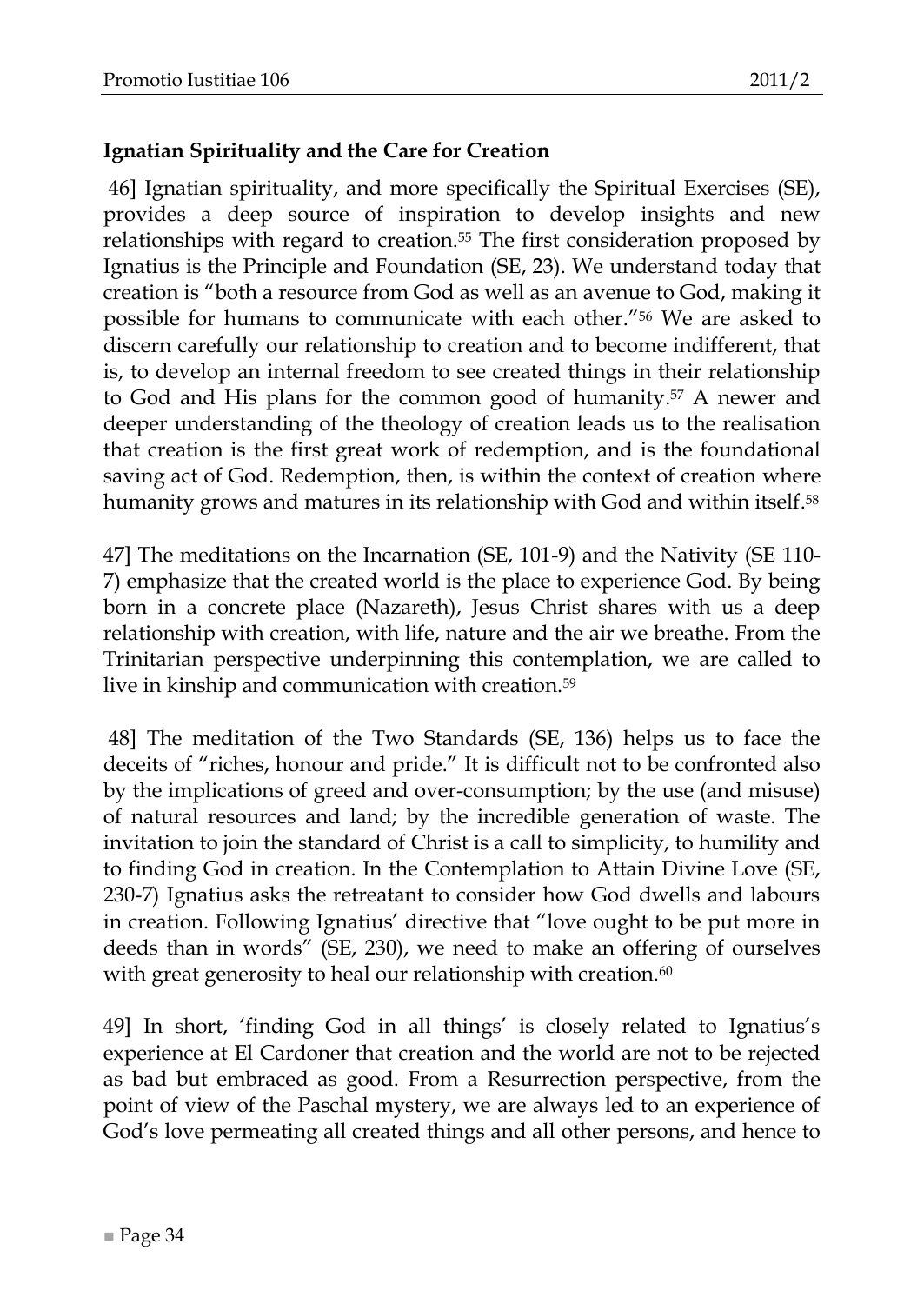#### <span id="page-33-0"></span>**Ignatian Spirituality and the Care for Creation**

46] Ignatian spirituality, and more specifically the Spiritual Exercises (SE), provides a deep source of inspiration to develop insights and new relationships with regard to creation.<sup>55</sup> The first consideration proposed by Ignatius is the Principle and Foundation (SE, 23). We understand today that creation is "both a resource from God as well as an avenue to God, making it possible for humans to communicate with each other.<sup>"56</sup> We are asked to discern carefully our relationship to creation and to become indifferent, that is, to develop an internal freedom to see created things in their relationship to God and His plans for the common good of humanity. <sup>57</sup> A newer and deeper understanding of the theology of creation leads us to the realisation that creation is the first great work of redemption, and is the foundational saving act of God. Redemption, then, is within the context of creation where humanity grows and matures in its relationship with God and within itself. 58

47] The meditations on the Incarnation (SE, 101-9) and the Nativity (SE 110- 7) emphasize that the created world is the place to experience God. By being born in a concrete place (Nazareth), Jesus Christ shares with us a deep relationship with creation, with life, nature and the air we breathe. From the Trinitarian perspective underpinning this contemplation, we are called to live in kinship and communication with creation.<sup>59</sup>

48] The meditation of the Two Standards (SE, 136) helps us to face the deceits of "riches, honour and pride." It is difficult not to be confronted also by the implications of greed and over-consumption; by the use (and misuse) of natural resources and land; by the incredible generation of waste. The invitation to join the standard of Christ is a call to simplicity, to humility and to finding God in creation. In the Contemplation to Attain Divine Love (SE, 230-7) Ignatius asks the retreatant to consider how God dwells and labours in creation. Following Ignatius' directive that "love ought to be put more in deeds than in words" (SE, 230), we need to make an offering of ourselves with great generosity to heal our relationship with creation.<sup>60</sup>

49] In short, ‗finding God in all things' is closely related to Ignatius's experience at El Cardoner that creation and the world are not to be rejected as bad but embraced as good. From a Resurrection perspective, from the point of view of the Paschal mystery, we are always led to an experience of God's love permeating all created things and all other persons, and hence to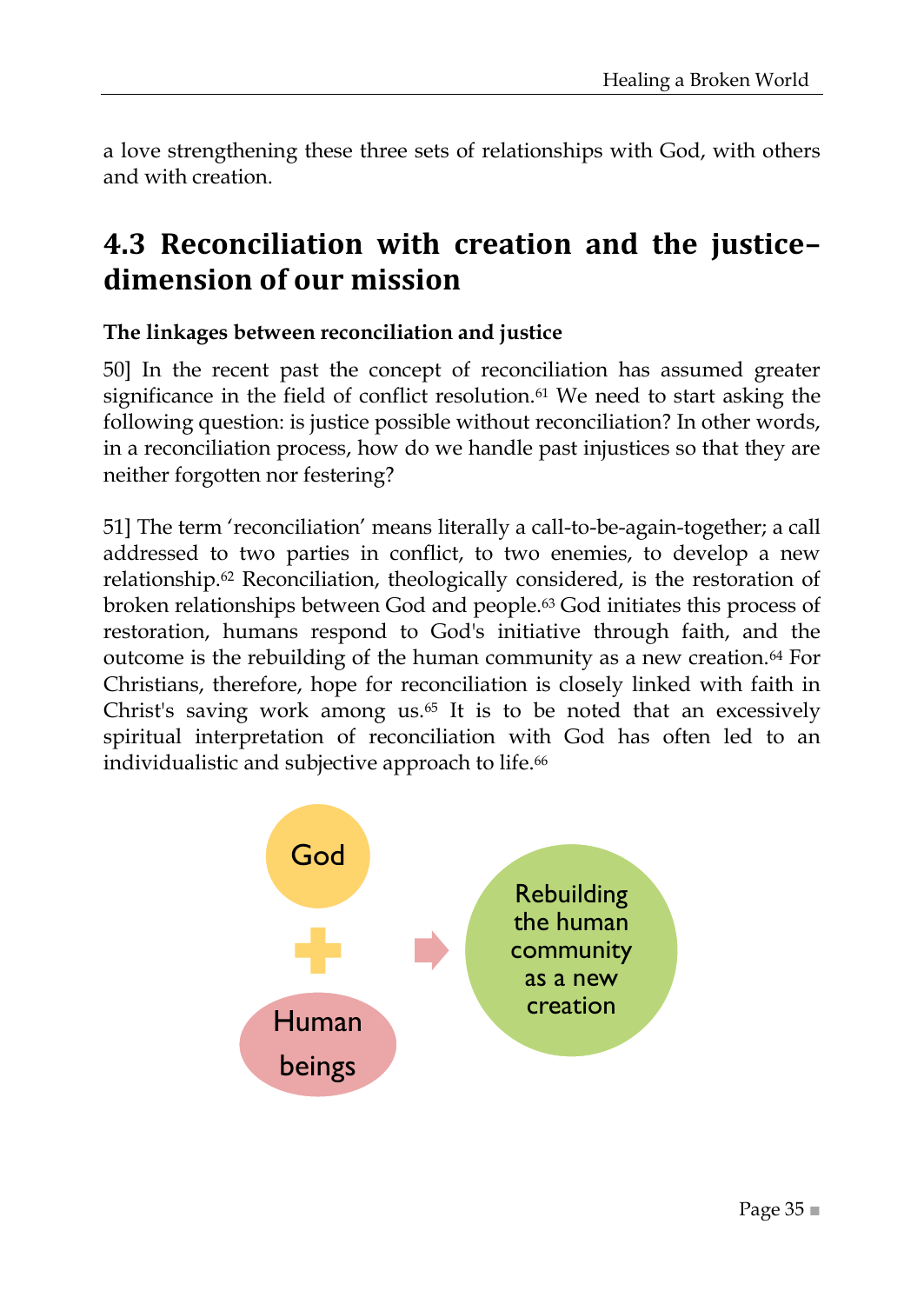a love strengthening these three sets of relationships with God, with others and with creation.

## <span id="page-34-0"></span>**4.3 Reconciliation with creation and the justice– dimension of our mission**

#### <span id="page-34-1"></span>**The linkages between reconciliation and justice**

50] In the recent past the concept of reconciliation has assumed greater significance in the field of conflict resolution.<sup>61</sup> We need to start asking the following question: is justice possible without reconciliation? In other words, in a reconciliation process, how do we handle past injustices so that they are neither forgotten nor festering?

51] The term ‗reconciliation' means literally a call-to-be-again-together; a call addressed to two parties in conflict, to two enemies, to develop a new relationship.<sup>62</sup> Reconciliation, theologically considered, is the restoration of broken relationships between God and people.<sup>63</sup> God initiates this process of restoration, humans respond to God's initiative through faith, and the outcome is the rebuilding of the human community as a new creation.<sup>64</sup> For Christians, therefore, hope for reconciliation is closely linked with faith in Christ's saving work among us. $65$  It is to be noted that an excessively spiritual interpretation of reconciliation with God has often led to an individualistic and subjective approach to life.<sup>66</sup>

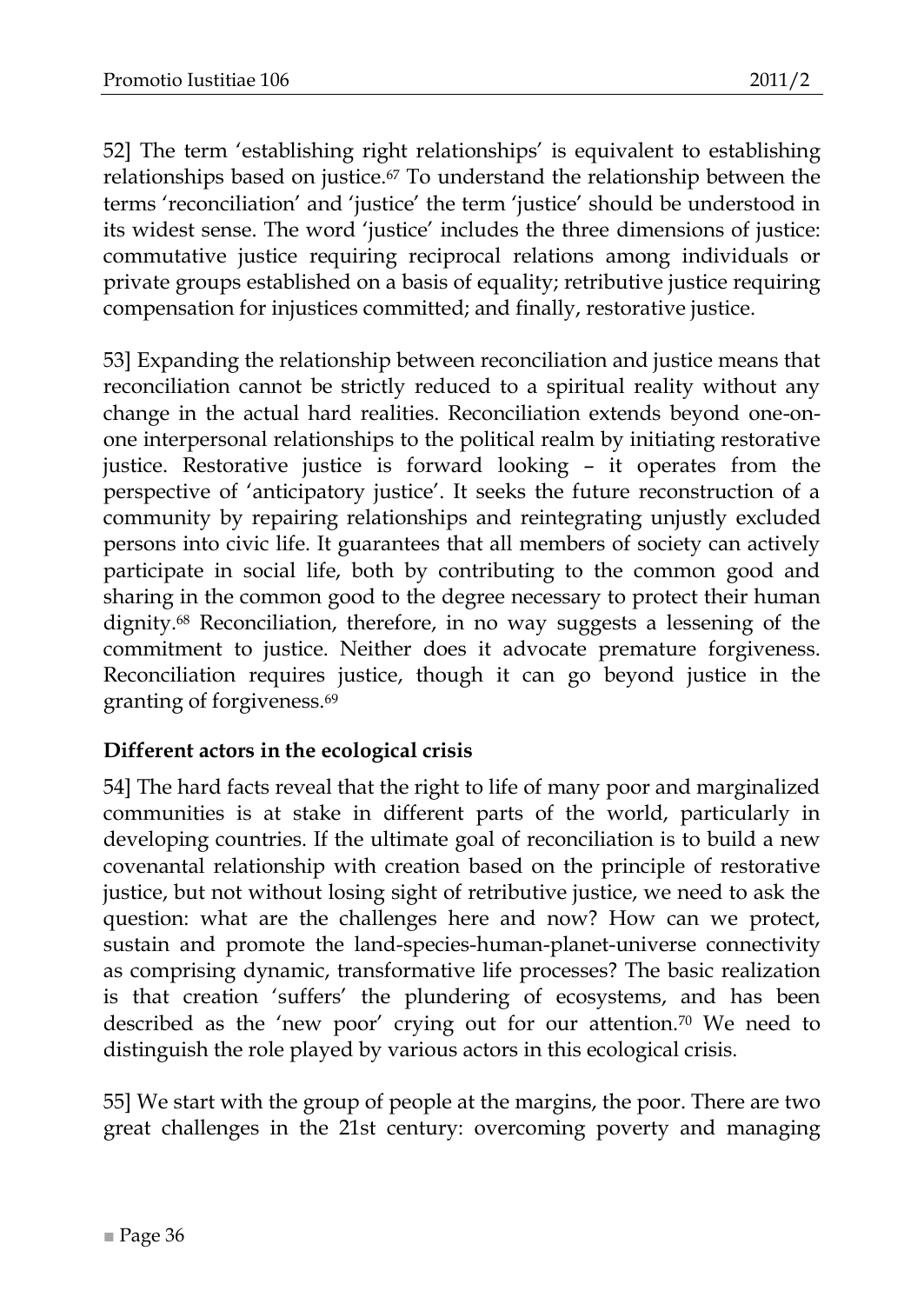52] The term ‗establishing right relationships' is equivalent to establishing relationships based on justice.<sup>67</sup> To understand the relationship between the terms ‗reconciliation' and ‗justice' the term ‗justice' should be understood in its widest sense. The word ‗justice' includes the three dimensions of justice: commutative justice requiring reciprocal relations among individuals or private groups established on a basis of equality; retributive justice requiring compensation for injustices committed; and finally, restorative justice.

53] Expanding the relationship between reconciliation and justice means that reconciliation cannot be strictly reduced to a spiritual reality without any change in the actual hard realities. Reconciliation extends beyond one-onone interpersonal relationships to the political realm by initiating restorative justice. Restorative justice is forward looking – it operates from the perspective of ‗anticipatory justice'. It seeks the future reconstruction of a community by repairing relationships and reintegrating unjustly excluded persons into civic life. It guarantees that all members of society can actively participate in social life, both by contributing to the common good and sharing in the common good to the degree necessary to protect their human dignity.<sup>68</sup> Reconciliation, therefore, in no way suggests a lessening of the commitment to justice. Neither does it advocate premature forgiveness. Reconciliation requires justice, though it can go beyond justice in the granting of forgiveness.<sup>69</sup>

#### <span id="page-35-0"></span>**Different actors in the ecological crisis**

54] The hard facts reveal that the right to life of many poor and marginalized communities is at stake in different parts of the world, particularly in developing countries. If the ultimate goal of reconciliation is to build a new covenantal relationship with creation based on the principle of restorative justice, but not without losing sight of retributive justice, we need to ask the question: what are the challenges here and now? How can we protect, sustain and promote the land-species-human-planet-universe connectivity as comprising dynamic, transformative life processes? The basic realization is that creation 'suffers' the plundering of ecosystems, and has been described as the 'new poor' crying out for our attention.<sup>70</sup> We need to distinguish the role played by various actors in this ecological crisis.

55] We start with the group of people at the margins, the poor. There are two great challenges in the 21st century: overcoming poverty and managing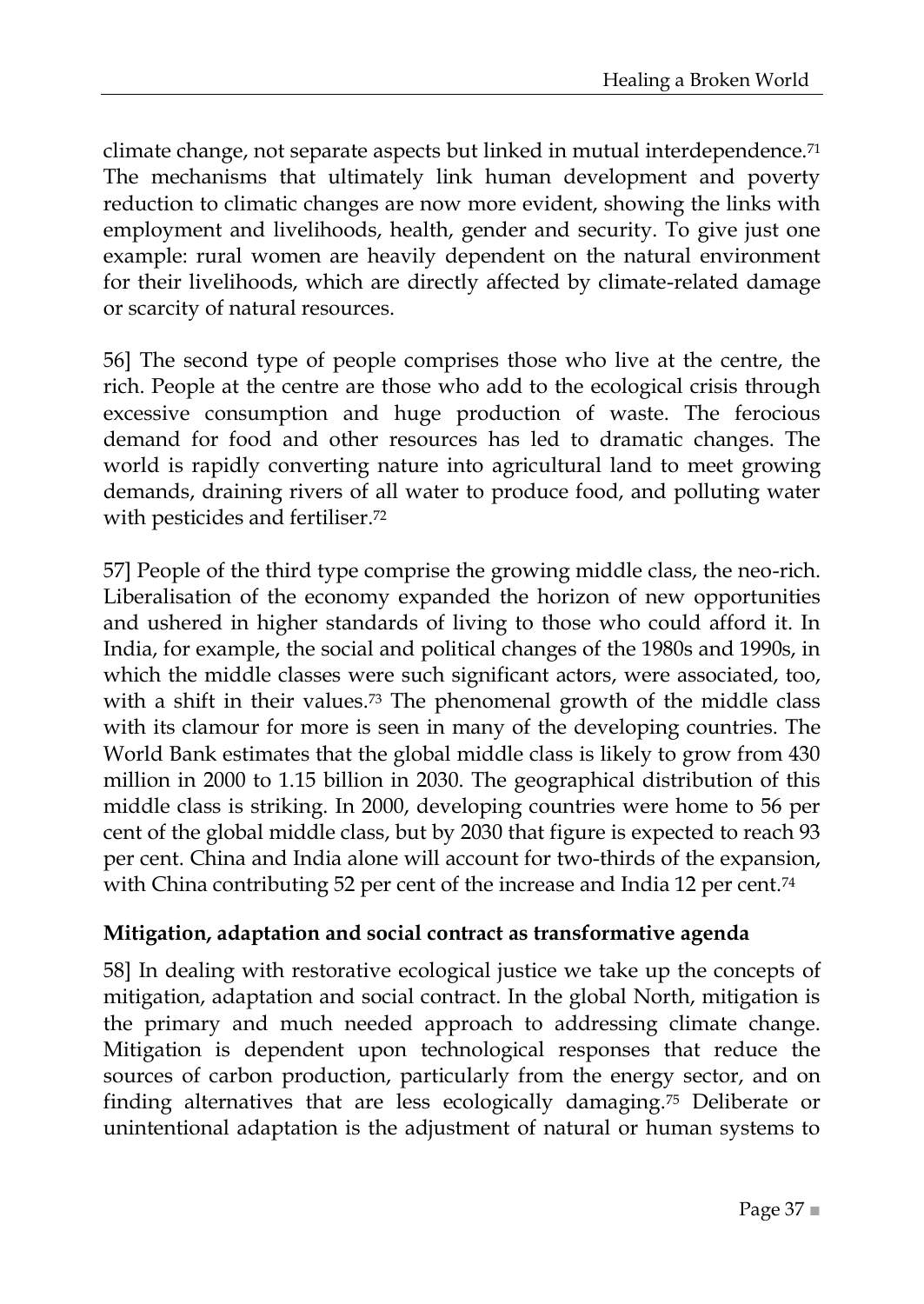climate change, not separate aspects but linked in mutual interdependence.<sup>71</sup> The mechanisms that ultimately link human development and poverty reduction to climatic changes are now more evident, showing the links with employment and livelihoods, health, gender and security. To give just one example: rural women are heavily dependent on the natural environment for their livelihoods, which are directly affected by climate-related damage or scarcity of natural resources.

56] The second type of people comprises those who live at the centre, the rich. People at the centre are those who add to the ecological crisis through excessive consumption and huge production of waste. The ferocious demand for food and other resources has led to dramatic changes. The world is rapidly converting nature into agricultural land to meet growing demands, draining rivers of all water to produce food, and polluting water with pesticides and fertiliser.<sup>72</sup>

57] People of the third type comprise the growing middle class, the neo-rich. Liberalisation of the economy expanded the horizon of new opportunities and ushered in higher standards of living to those who could afford it. In India, for example, the social and political changes of the 1980s and 1990s, in which the middle classes were such significant actors, were associated, too, with a shift in their values.<sup>73</sup> The phenomenal growth of the middle class with its clamour for more is seen in many of the developing countries. The World Bank estimates that the global middle class is likely to grow from 430 million in 2000 to 1.15 billion in 2030. The geographical distribution of this middle class is striking. In 2000, developing countries were home to 56 per cent of the global middle class, but by 2030 that figure is expected to reach 93 per cent. China and India alone will account for two-thirds of the expansion, with China contributing 52 per cent of the increase and India 12 per cent.<sup>74</sup>

#### <span id="page-36-0"></span>**Mitigation, adaptation and social contract as transformative agenda**

58] In dealing with restorative ecological justice we take up the concepts of mitigation, adaptation and social contract. In the global North, mitigation is the primary and much needed approach to addressing climate change. Mitigation is dependent upon technological responses that reduce the sources of carbon production, particularly from the energy sector, and on finding alternatives that are less ecologically damaging.<sup>75</sup> Deliberate or unintentional adaptation is the adjustment of natural or human systems to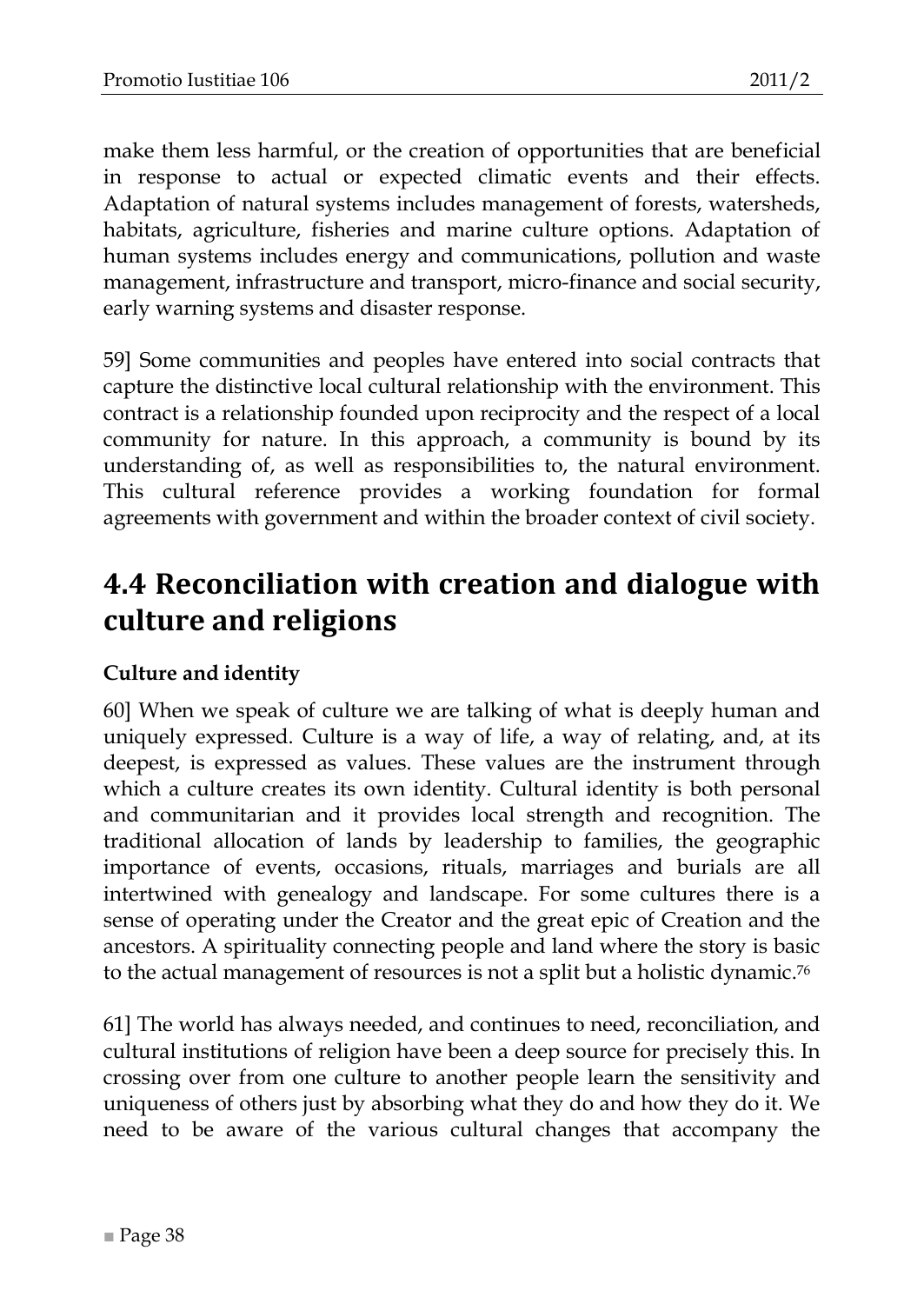make them less harmful, or the creation of opportunities that are beneficial in response to actual or expected climatic events and their effects. Adaptation of natural systems includes management of forests, watersheds, habitats, agriculture, fisheries and marine culture options. Adaptation of human systems includes energy and communications, pollution and waste management, infrastructure and transport, micro-finance and social security, early warning systems and disaster response.

59] Some communities and peoples have entered into social contracts that capture the distinctive local cultural relationship with the environment. This contract is a relationship founded upon reciprocity and the respect of a local community for nature. In this approach, a community is bound by its understanding of, as well as responsibilities to, the natural environment. This cultural reference provides a working foundation for formal agreements with government and within the broader context of civil society.

## <span id="page-37-0"></span>**4.4 Reconciliation with creation and dialogue with culture and religions**

#### <span id="page-37-1"></span>**Culture and identity**

60] When we speak of culture we are talking of what is deeply human and uniquely expressed. Culture is a way of life, a way of relating, and, at its deepest, is expressed as values. These values are the instrument through which a culture creates its own identity. Cultural identity is both personal and communitarian and it provides local strength and recognition. The traditional allocation of lands by leadership to families, the geographic importance of events, occasions, rituals, marriages and burials are all intertwined with genealogy and landscape. For some cultures there is a sense of operating under the Creator and the great epic of Creation and the ancestors. A spirituality connecting people and land where the story is basic to the actual management of resources is not a split but a holistic dynamic.<sup>76</sup>

61] The world has always needed, and continues to need, reconciliation, and cultural institutions of religion have been a deep source for precisely this. In crossing over from one culture to another people learn the sensitivity and uniqueness of others just by absorbing what they do and how they do it. We need to be aware of the various cultural changes that accompany the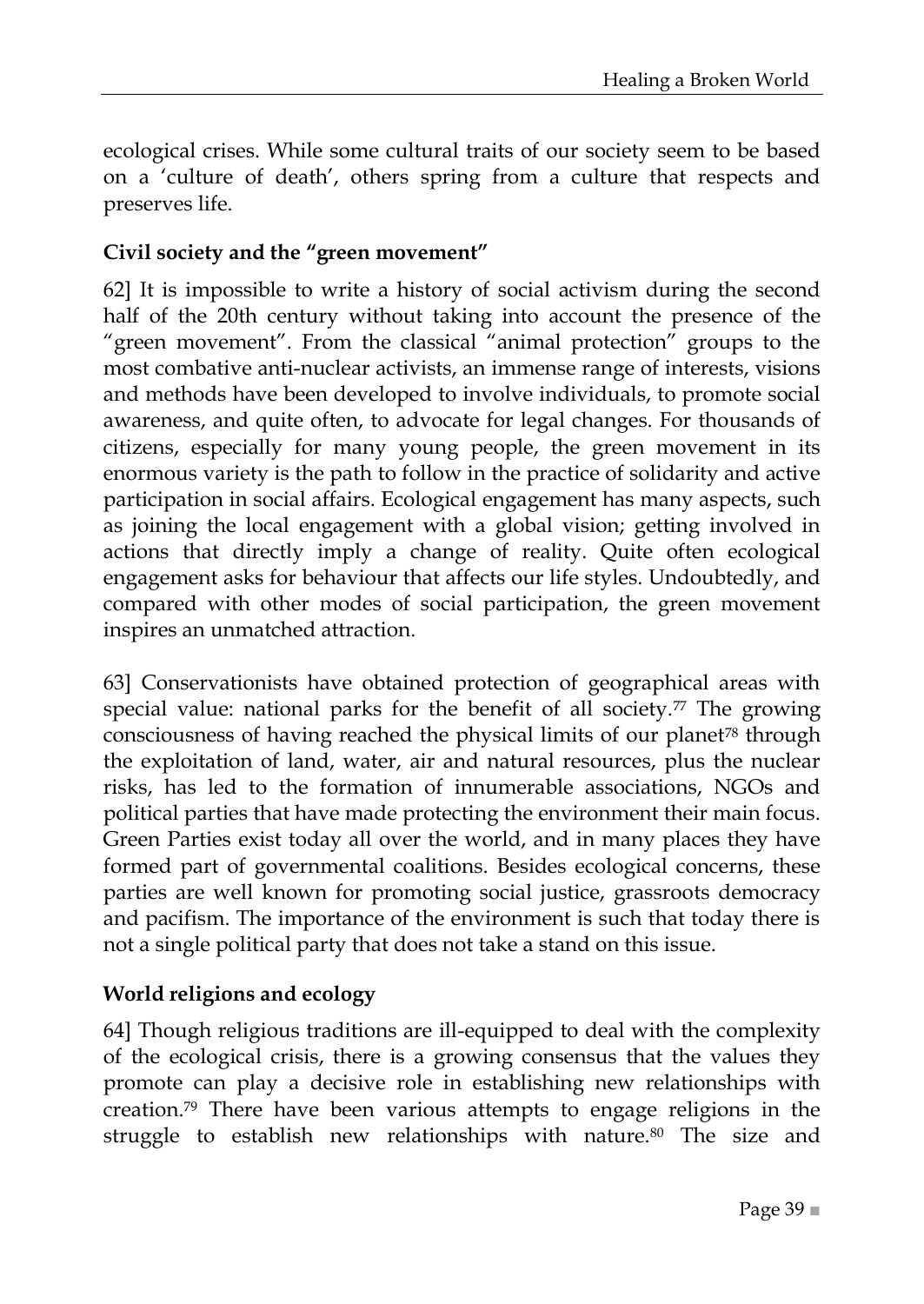ecological crises. While some cultural traits of our society seem to be based on a ‗culture of death', others spring from a culture that respects and preserves life.

#### <span id="page-38-0"></span>**Civil society and the "green movement"**

62] It is impossible to write a history of social activism during the second half of the 20th century without taking into account the presence of the "green movement". From the classical "animal protection" groups to the most combative anti-nuclear activists, an immense range of interests, visions and methods have been developed to involve individuals, to promote social awareness, and quite often, to advocate for legal changes. For thousands of citizens, especially for many young people, the green movement in its enormous variety is the path to follow in the practice of solidarity and active participation in social affairs. Ecological engagement has many aspects, such as joining the local engagement with a global vision; getting involved in actions that directly imply a change of reality. Quite often ecological engagement asks for behaviour that affects our life styles. Undoubtedly, and compared with other modes of social participation, the green movement inspires an unmatched attraction.

63] Conservationists have obtained protection of geographical areas with special value: national parks for the benefit of all society.<sup>77</sup> The growing consciousness of having reached the physical limits of our planet<sup>78</sup> through the exploitation of land, water, air and natural resources, plus the nuclear risks, has led to the formation of innumerable associations, NGOs and political parties that have made protecting the environment their main focus. Green Parties exist today all over the world, and in many places they have formed part of governmental coalitions. Besides ecological concerns, these parties are well known for promoting social justice, grassroots democracy and pacifism. The importance of the environment is such that today there is not a single political party that does not take a stand on this issue.

#### <span id="page-38-1"></span>**World religions and ecology**

64] Though religious traditions are ill-equipped to deal with the complexity of the ecological crisis, there is a growing consensus that the values they promote can play a decisive role in establishing new relationships with creation.<sup>79</sup> There have been various attempts to engage religions in the struggle to establish new relationships with nature.<sup>80</sup> The size and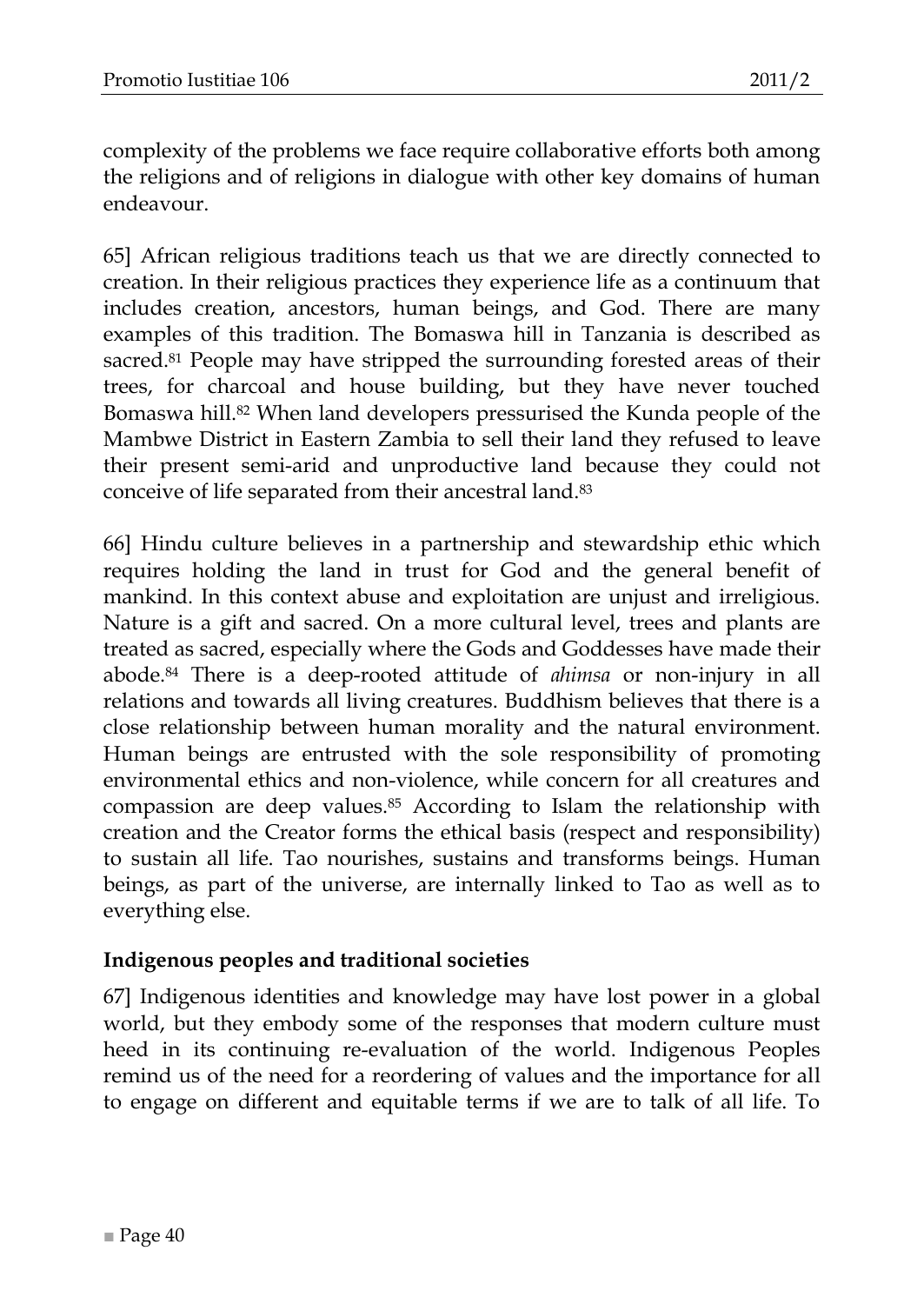complexity of the problems we face require collaborative efforts both among the religions and of religions in dialogue with other key domains of human endeavour.

65] African religious traditions teach us that we are directly connected to creation. In their religious practices they experience life as a continuum that includes creation, ancestors, human beings, and God. There are many examples of this tradition. The Bomaswa hill in Tanzania is described as sacred.<sup>81</sup> People may have stripped the surrounding forested areas of their trees, for charcoal and house building, but they have never touched Bomaswa hill.<sup>82</sup> When land developers pressurised the Kunda people of the Mambwe District in Eastern Zambia to sell their land they refused to leave their present semi-arid and unproductive land because they could not conceive of life separated from their ancestral land.<sup>83</sup>

66] Hindu culture believes in a partnership and stewardship ethic which requires holding the land in trust for God and the general benefit of mankind. In this context abuse and exploitation are unjust and irreligious. Nature is a gift and sacred. On a more cultural level, trees and plants are treated as sacred, especially where the Gods and Goddesses have made their abode.<sup>84</sup> There is a deep-rooted attitude of *ahimsa* or non-injury in all relations and towards all living creatures. Buddhism believes that there is a close relationship between human morality and the natural environment. Human beings are entrusted with the sole responsibility of promoting environmental ethics and non-violence, while concern for all creatures and compassion are deep values.<sup>85</sup> According to Islam the relationship with creation and the Creator forms the ethical basis (respect and responsibility) to sustain all life. Tao nourishes, sustains and transforms beings. Human beings, as part of the universe, are internally linked to Tao as well as to everything else.

#### <span id="page-39-0"></span>**Indigenous peoples and traditional societies**

67] Indigenous identities and knowledge may have lost power in a global world, but they embody some of the responses that modern culture must heed in its continuing re-evaluation of the world. Indigenous Peoples remind us of the need for a reordering of values and the importance for all to engage on different and equitable terms if we are to talk of all life. To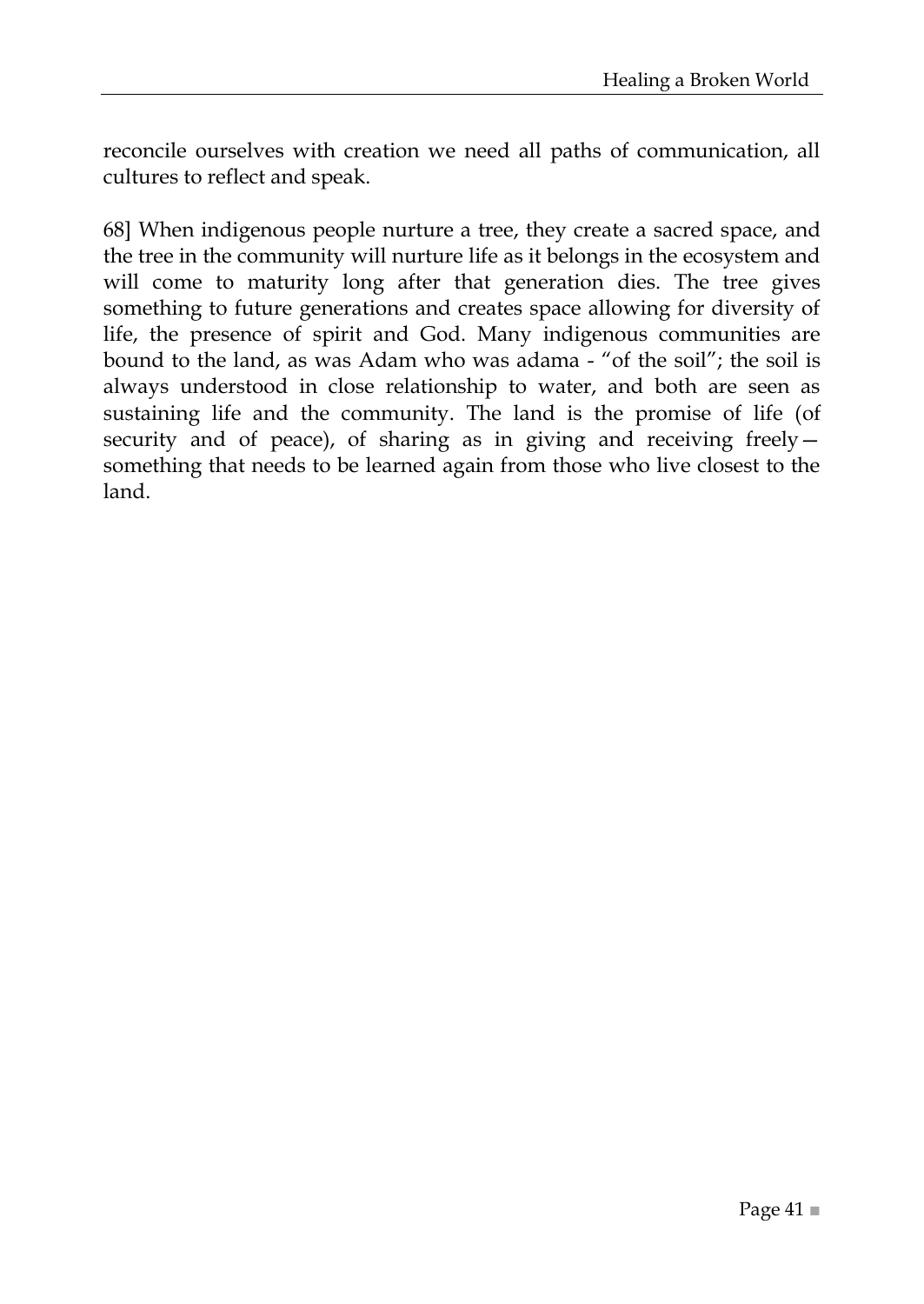reconcile ourselves with creation we need all paths of communication, all cultures to reflect and speak.

68] When indigenous people nurture a tree, they create a sacred space, and the tree in the community will nurture life as it belongs in the ecosystem and will come to maturity long after that generation dies. The tree gives something to future generations and creates space allowing for diversity of life, the presence of spirit and God. Many indigenous communities are bound to the land, as was Adam who was adama - "of the soil"; the soil is always understood in close relationship to water, and both are seen as sustaining life and the community. The land is the promise of life (of security and of peace), of sharing as in giving and receiving freely something that needs to be learned again from those who live closest to the land.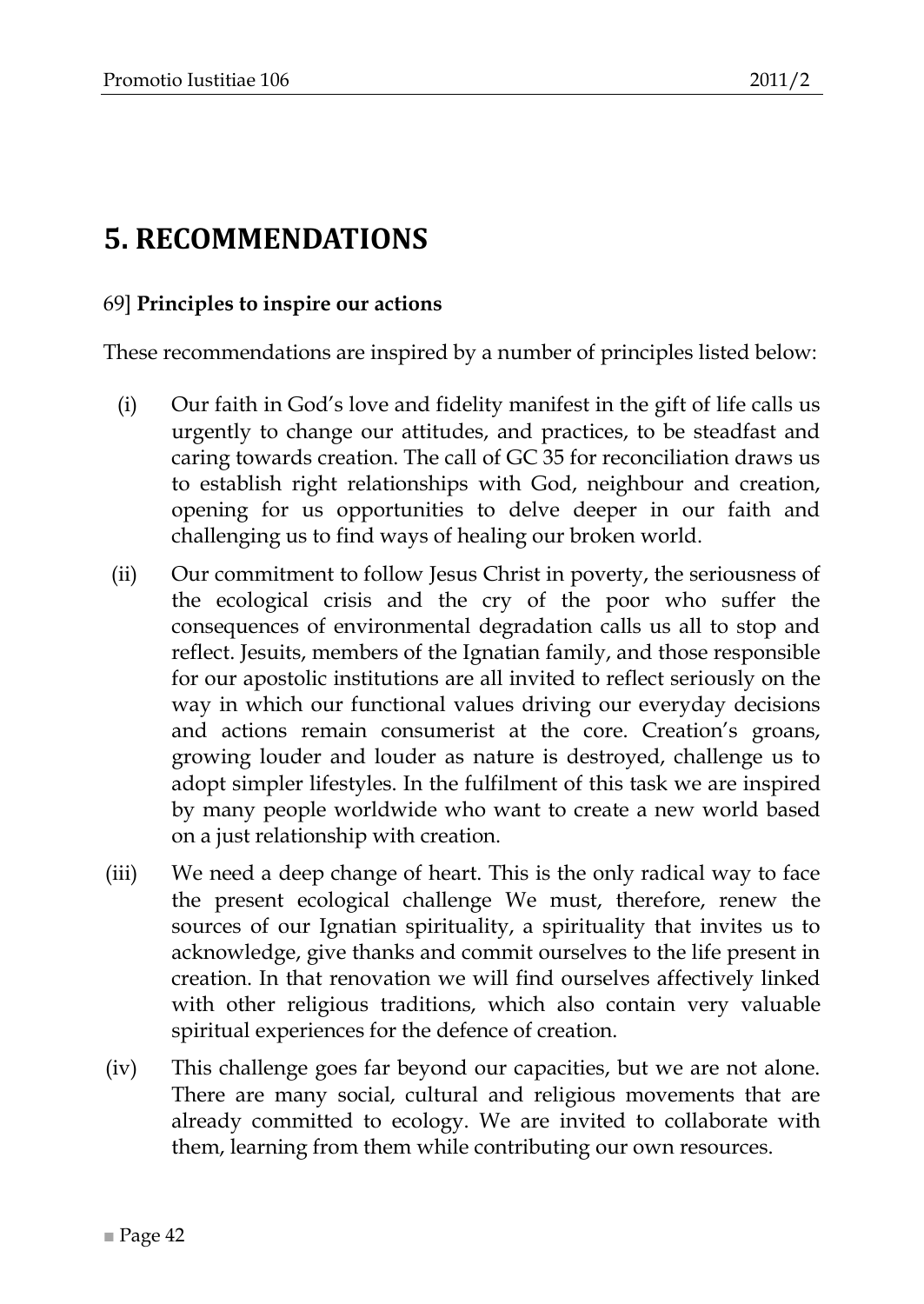## <span id="page-41-0"></span>**5. RECOMMENDATIONS**

#### 69] **Principles to inspire our actions**

These recommendations are inspired by a number of principles listed below:

- (i) Our faith in God's love and fidelity manifest in the gift of life calls us urgently to change our attitudes, and practices, to be steadfast and caring towards creation. The call of GC 35 for reconciliation draws us to establish right relationships with God, neighbour and creation, opening for us opportunities to delve deeper in our faith and challenging us to find ways of healing our broken world.
- (ii) Our commitment to follow Jesus Christ in poverty, the seriousness of the ecological crisis and the cry of the poor who suffer the consequences of environmental degradation calls us all to stop and reflect. Jesuits, members of the Ignatian family, and those responsible for our apostolic institutions are all invited to reflect seriously on the way in which our functional values driving our everyday decisions and actions remain consumerist at the core. Creation's groans, growing louder and louder as nature is destroyed, challenge us to adopt simpler lifestyles. In the fulfilment of this task we are inspired by many people worldwide who want to create a new world based on a just relationship with creation.
- (iii) We need a deep change of heart. This is the only radical way to face the present ecological challenge We must, therefore, renew the sources of our Ignatian spirituality, a spirituality that invites us to acknowledge, give thanks and commit ourselves to the life present in creation. In that renovation we will find ourselves affectively linked with other religious traditions, which also contain very valuable spiritual experiences for the defence of creation.
- (iv) This challenge goes far beyond our capacities, but we are not alone. There are many social, cultural and religious movements that are already committed to ecology. We are invited to collaborate with them, learning from them while contributing our own resources.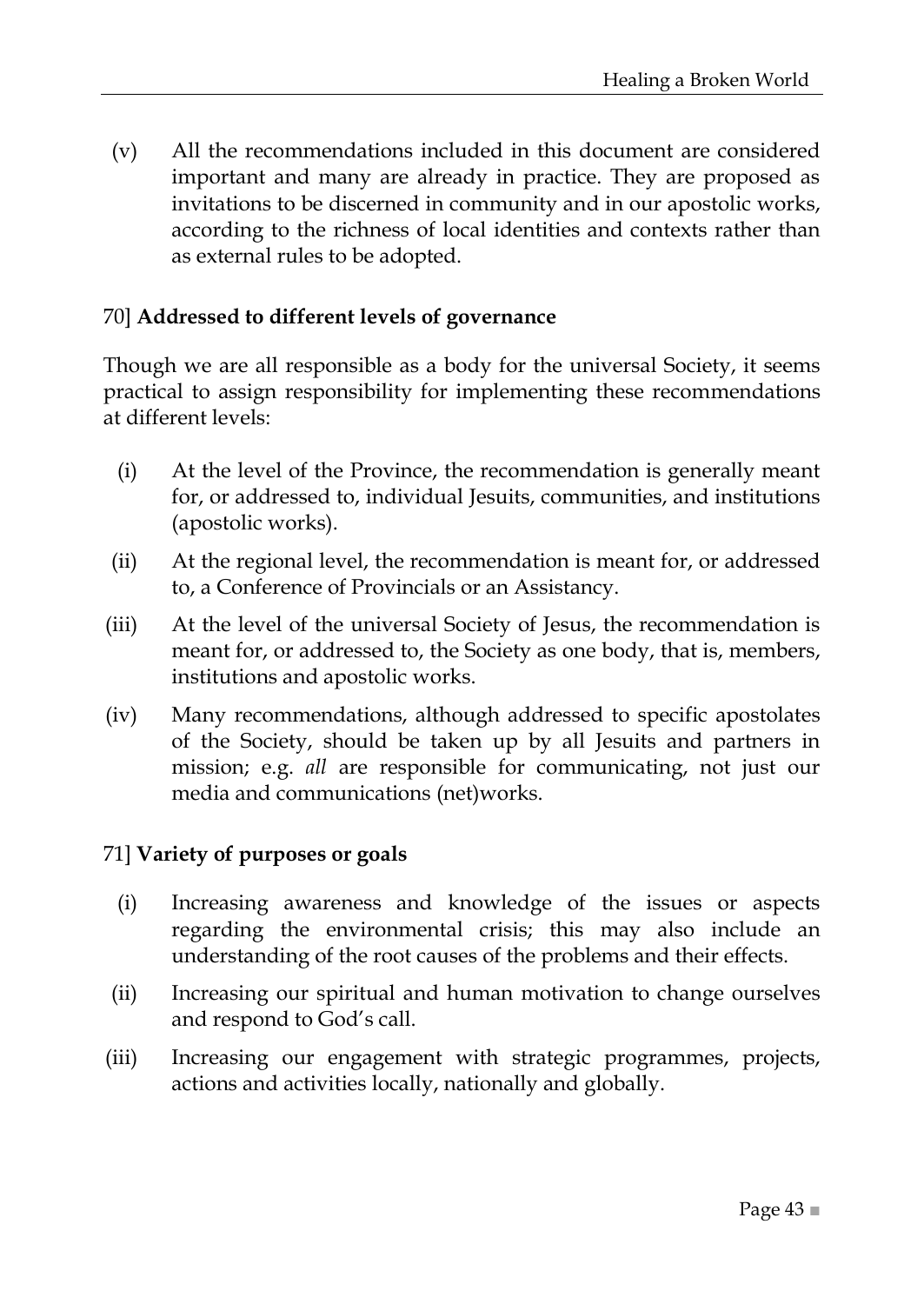(v) All the recommendations included in this document are considered important and many are already in practice. They are proposed as invitations to be discerned in community and in our apostolic works, according to the richness of local identities and contexts rather than as external rules to be adopted.

#### 70] **Addressed to different levels of governance**

Though we are all responsible as a body for the universal Society, it seems practical to assign responsibility for implementing these recommendations at different levels:

- (i) At the level of the Province, the recommendation is generally meant for, or addressed to, individual Jesuits, communities, and institutions (apostolic works).
- (ii) At the regional level, the recommendation is meant for, or addressed to, a Conference of Provincials or an Assistancy.
- (iii) At the level of the universal Society of Jesus, the recommendation is meant for, or addressed to, the Society as one body, that is, members, institutions and apostolic works.
- (iv) Many recommendations, although addressed to specific apostolates of the Society, should be taken up by all Jesuits and partners in mission; e.g. *all* are responsible for communicating, not just our media and communications (net)works.

#### 71] **Variety of purposes or goals**

- (i) Increasing awareness and knowledge of the issues or aspects regarding the environmental crisis; this may also include an understanding of the root causes of the problems and their effects.
- (ii) Increasing our spiritual and human motivation to change ourselves and respond to God's call.
- (iii) Increasing our engagement with strategic programmes, projects, actions and activities locally, nationally and globally.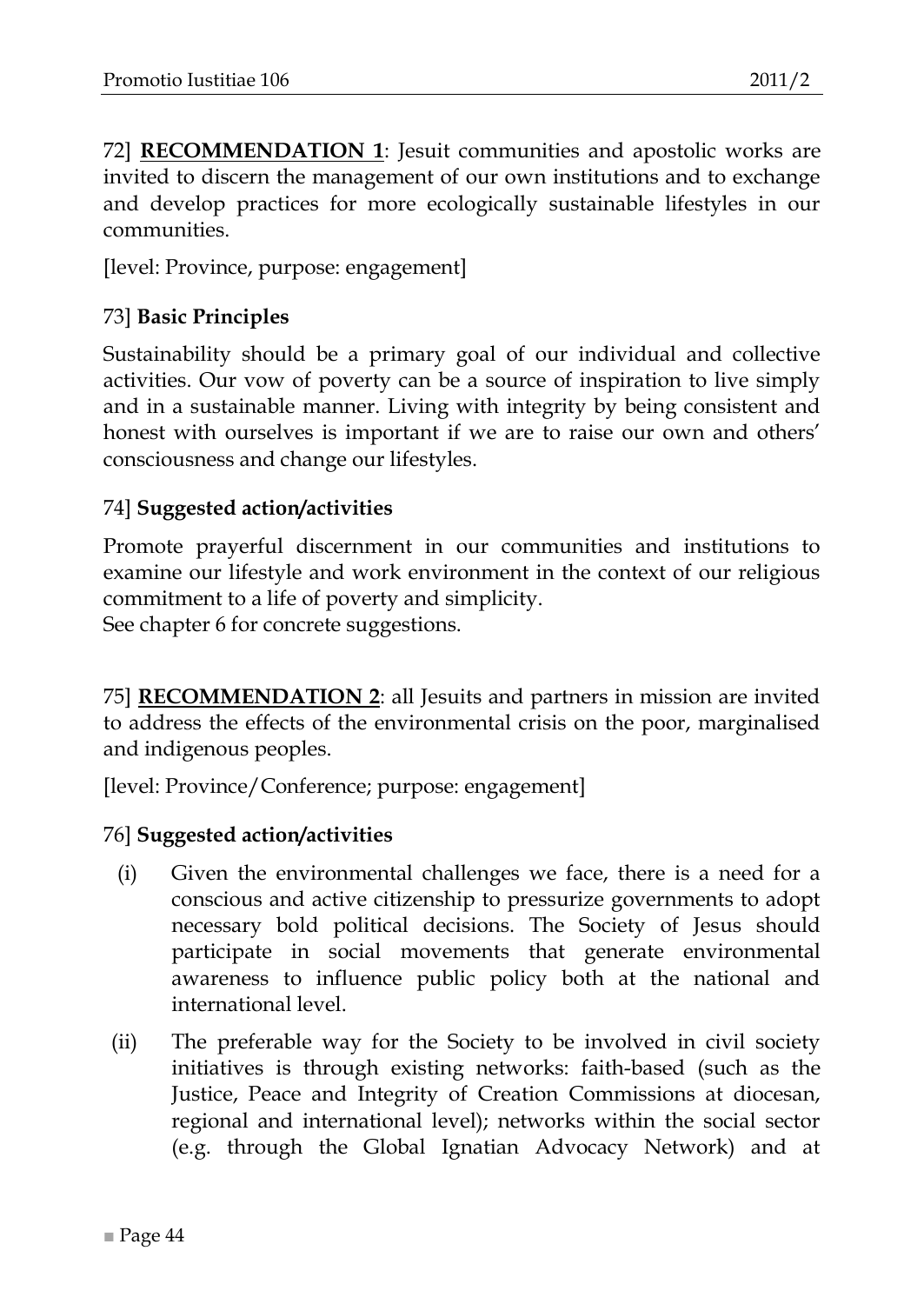72] **RECOMMENDATION 1**: Jesuit communities and apostolic works are invited to discern the management of our own institutions and to exchange and develop practices for more ecologically sustainable lifestyles in our communities.

[level: Province, purpose: engagement]

#### 73] **Basic Principles**

Sustainability should be a primary goal of our individual and collective activities. Our vow of poverty can be a source of inspiration to live simply and in a sustainable manner. Living with integrity by being consistent and honest with ourselves is important if we are to raise our own and others' consciousness and change our lifestyles.

#### 74] **Suggested action/activities**

Promote prayerful discernment in our communities and institutions to examine our lifestyle and work environment in the context of our religious commitment to a life of poverty and simplicity.

See chapter 6 for concrete suggestions.

75] **RECOMMENDATION 2**: all Jesuits and partners in mission are invited to address the effects of the environmental crisis on the poor, marginalised and indigenous peoples.

[level: Province/Conference; purpose: engagement]

- (i) Given the environmental challenges we face, there is a need for a conscious and active citizenship to pressurize governments to adopt necessary bold political decisions. The Society of Jesus should participate in social movements that generate environmental awareness to influence public policy both at the national and international level.
- (ii) The preferable way for the Society to be involved in civil society initiatives is through existing networks: faith-based (such as the Justice, Peace and Integrity of Creation Commissions at diocesan, regional and international level); networks within the social sector (e.g. through the Global Ignatian Advocacy Network) and at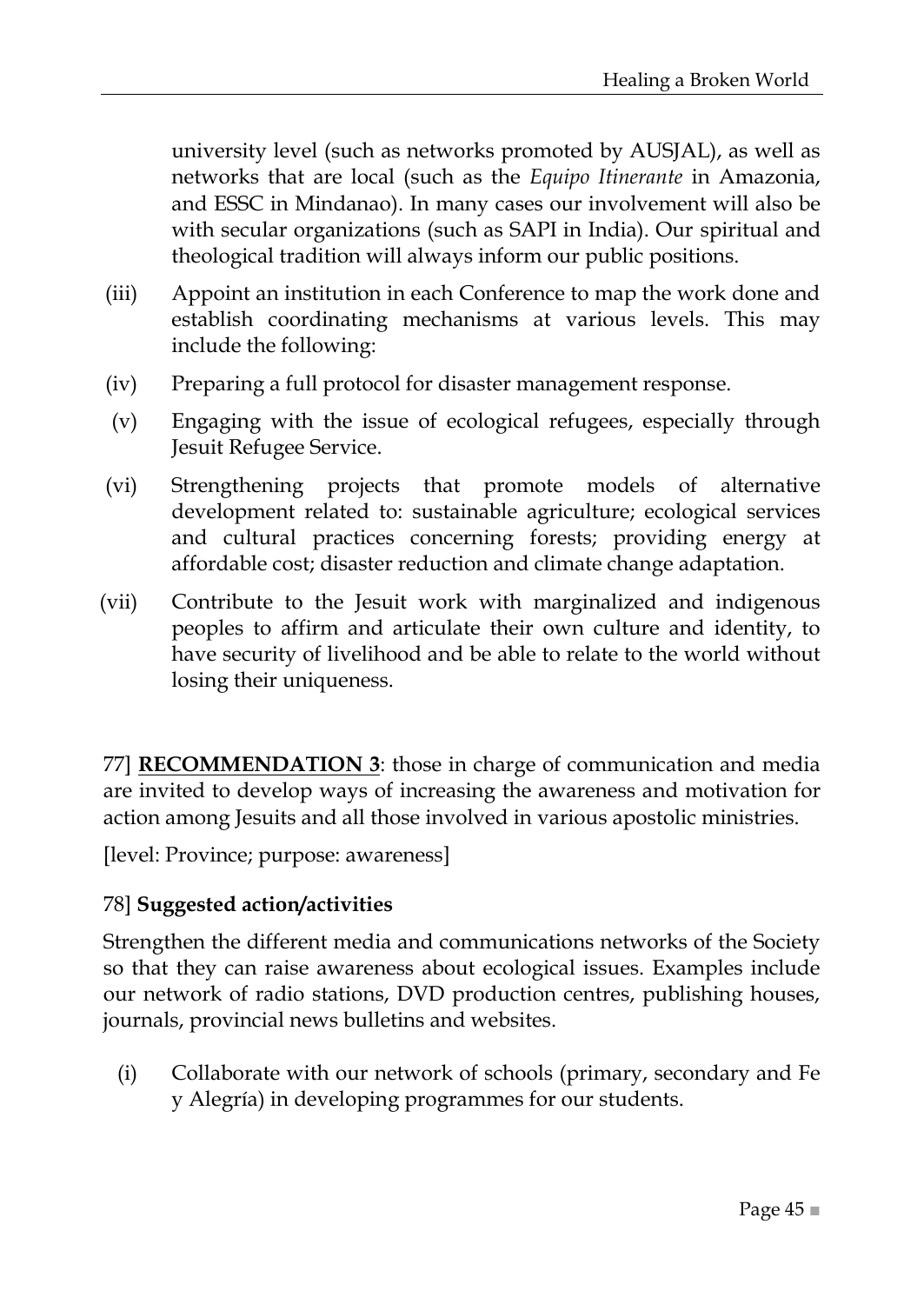university level (such as networks promoted by AUSJAL), as well as networks that are local (such as the *Equipo Itinerante* in Amazonia, and ESSC in Mindanao). In many cases our involvement will also be with secular organizations (such as SAPI in India). Our spiritual and theological tradition will always inform our public positions.

- (iii) Appoint an institution in each Conference to map the work done and establish coordinating mechanisms at various levels. This may include the following:
- (iv) Preparing a full protocol for disaster management response.
- (v) Engaging with the issue of ecological refugees, especially through Jesuit Refugee Service.
- (vi) Strengthening projects that promote models of alternative development related to: sustainable agriculture; ecological services and cultural practices concerning forests; providing energy at affordable cost; disaster reduction and climate change adaptation.
- (vii) Contribute to the Jesuit work with marginalized and indigenous peoples to affirm and articulate their own culture and identity, to have security of livelihood and be able to relate to the world without losing their uniqueness.

77] **RECOMMENDATION 3**: those in charge of communication and media are invited to develop ways of increasing the awareness and motivation for action among Jesuits and all those involved in various apostolic ministries.

[level: Province; purpose: awareness]

#### 78] **Suggested action/activities**

Strengthen the different media and communications networks of the Society so that they can raise awareness about ecological issues. Examples include our network of radio stations, DVD production centres, publishing houses, journals, provincial news bulletins and websites.

(i) Collaborate with our network of schools (primary, secondary and Fe y Alegría) in developing programmes for our students.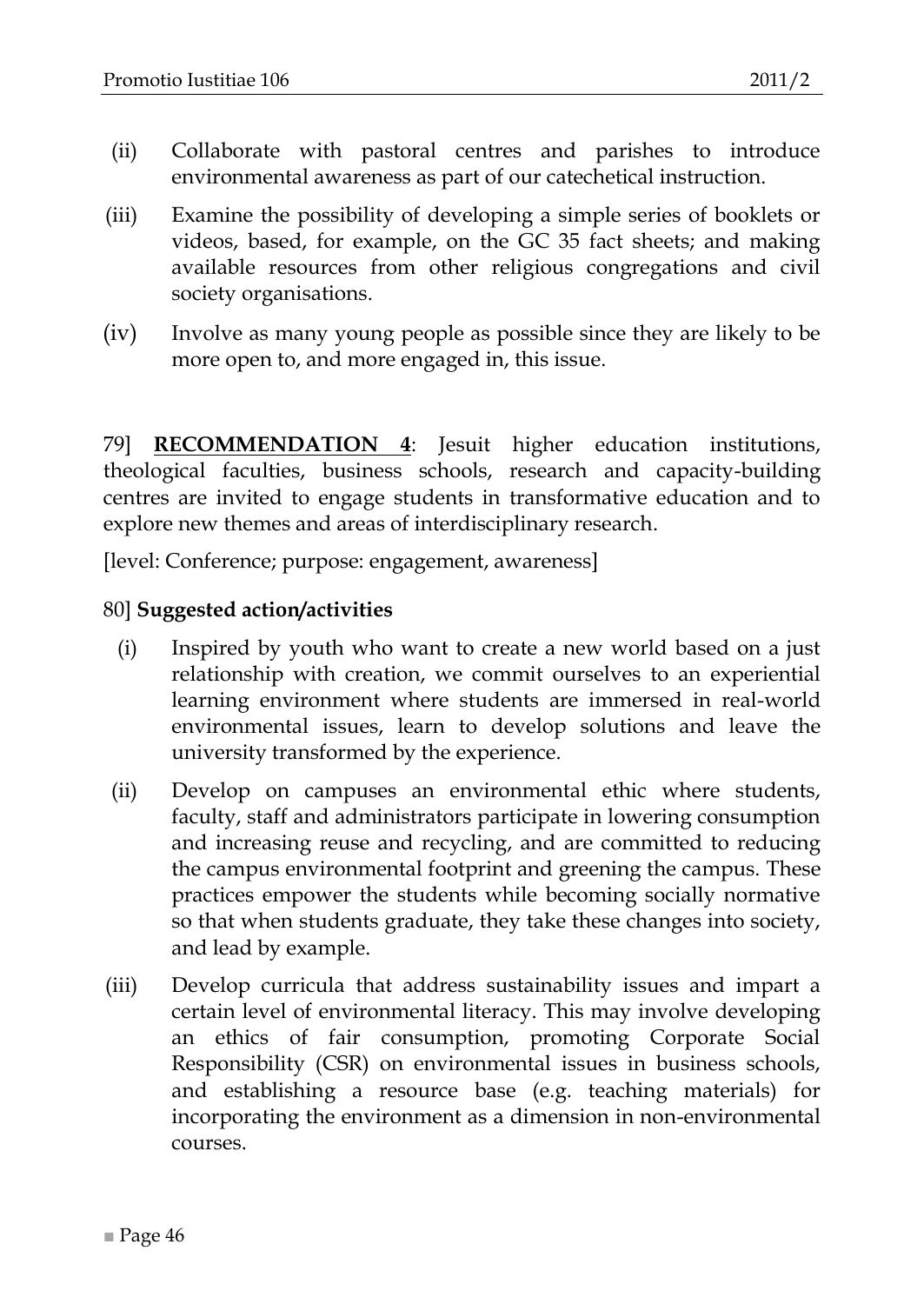- (ii) Collaborate with pastoral centres and parishes to introduce environmental awareness as part of our catechetical instruction.
- (iii) Examine the possibility of developing a simple series of booklets or videos, based, for example, on the GC 35 fact sheets; and making available resources from other religious congregations and civil society organisations.
- (iv) Involve as many young people as possible since they are likely to be more open to, and more engaged in, this issue.

79] **RECOMMENDATION 4**: Jesuit higher education institutions, theological faculties, business schools, research and capacity-building centres are invited to engage students in transformative education and to explore new themes and areas of interdisciplinary research.

[level: Conference; purpose: engagement, awareness]

- (i) Inspired by youth who want to create a new world based on a just relationship with creation, we commit ourselves to an experiential learning environment where students are immersed in real-world environmental issues, learn to develop solutions and leave the university transformed by the experience.
- (ii) Develop on campuses an environmental ethic where students, faculty, staff and administrators participate in lowering consumption and increasing reuse and recycling, and are committed to reducing the campus environmental footprint and greening the campus. These practices empower the students while becoming socially normative so that when students graduate, they take these changes into society, and lead by example.
- (iii) Develop curricula that address sustainability issues and impart a certain level of environmental literacy. This may involve developing an ethics of fair consumption, promoting Corporate Social Responsibility (CSR) on environmental issues in business schools, and establishing a resource base (e.g. teaching materials) for incorporating the environment as a dimension in non-environmental courses.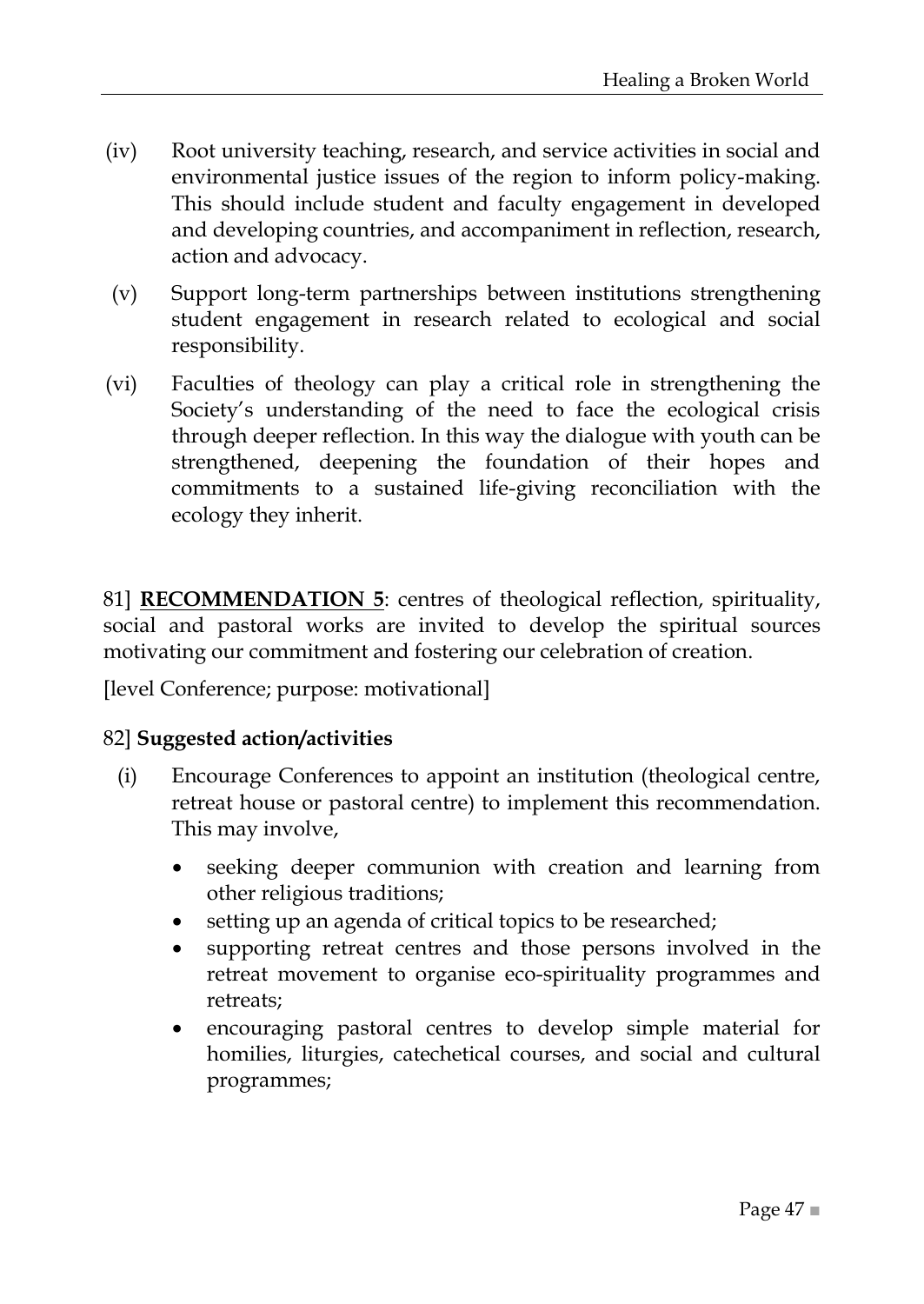- (iv) Root university teaching, research, and service activities in social and environmental justice issues of the region to inform policy-making. This should include student and faculty engagement in developed and developing countries, and accompaniment in reflection, research, action and advocacy.
- (v) Support long-term partnerships between institutions strengthening student engagement in research related to ecological and social responsibility.
- (vi) Faculties of theology can play a critical role in strengthening the Society's understanding of the need to face the ecological crisis through deeper reflection. In this way the dialogue with youth can be strengthened, deepening the foundation of their hopes and commitments to a sustained life-giving reconciliation with the ecology they inherit.

81] **RECOMMENDATION 5**: centres of theological reflection, spirituality, social and pastoral works are invited to develop the spiritual sources motivating our commitment and fostering our celebration of creation.

[level Conference; purpose: motivational]

- (i) Encourage Conferences to appoint an institution (theological centre, retreat house or pastoral centre) to implement this recommendation. This may involve,
	- seeking deeper communion with creation and learning from other religious traditions;
	- setting up an agenda of critical topics to be researched;
	- supporting retreat centres and those persons involved in the retreat movement to organise eco-spirituality programmes and retreats;
	- encouraging pastoral centres to develop simple material for homilies, liturgies, catechetical courses, and social and cultural programmes;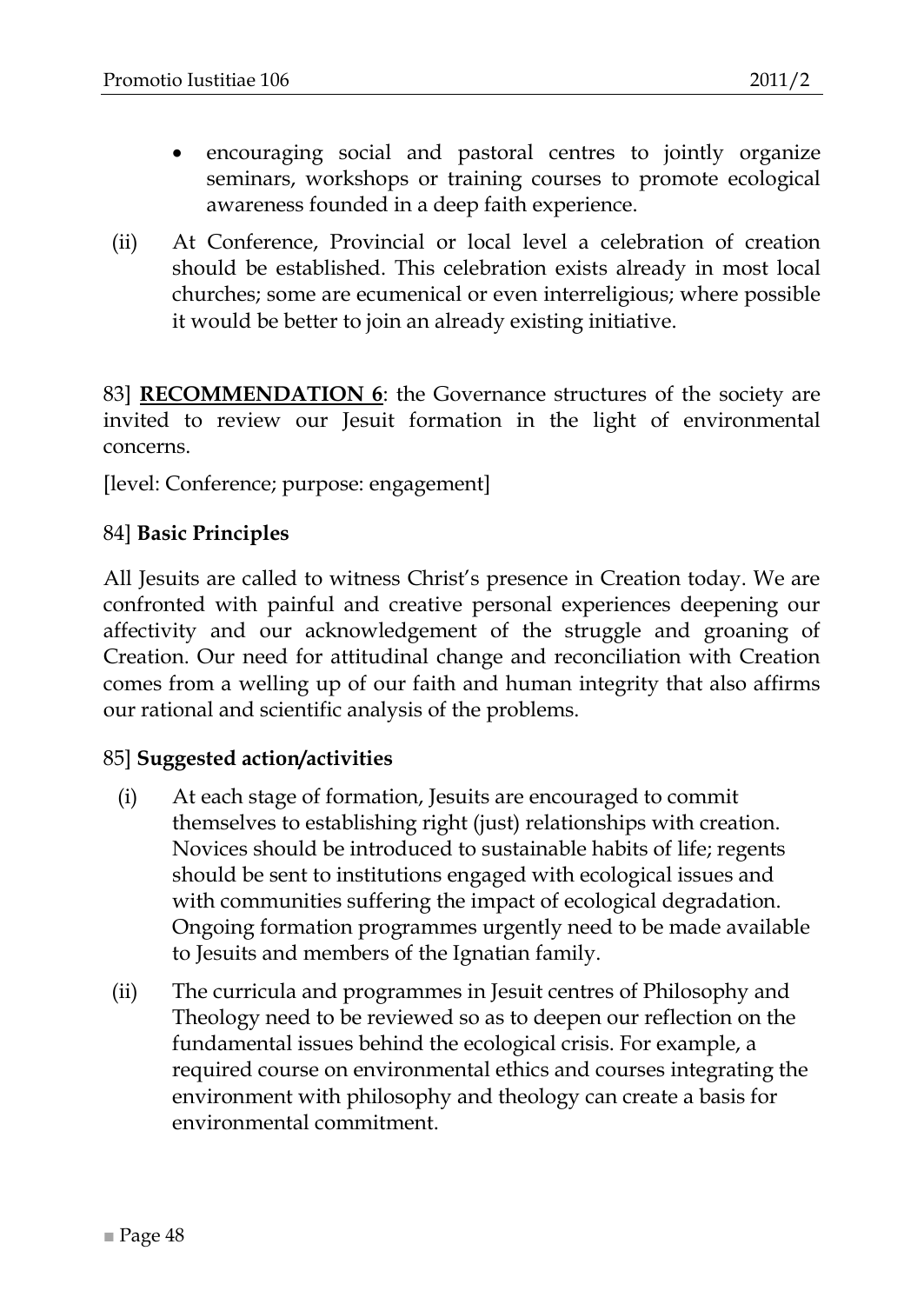- encouraging social and pastoral centres to jointly organize seminars, workshops or training courses to promote ecological awareness founded in a deep faith experience.
- (ii) At Conference, Provincial or local level a celebration of creation should be established. This celebration exists already in most local churches; some are ecumenical or even interreligious; where possible it would be better to join an already existing initiative.

83] **RECOMMENDATION 6**: the Governance structures of the society are invited to review our Jesuit formation in the light of environmental concerns.

[level: Conference; purpose: engagement]

#### 84] **Basic Principles**

All Jesuits are called to witness Christ's presence in Creation today. We are confronted with painful and creative personal experiences deepening our affectivity and our acknowledgement of the struggle and groaning of Creation. Our need for attitudinal change and reconciliation with Creation comes from a welling up of our faith and human integrity that also affirms our rational and scientific analysis of the problems.

- (i) At each stage of formation, Jesuits are encouraged to commit themselves to establishing right (just) relationships with creation. Novices should be introduced to sustainable habits of life; regents should be sent to institutions engaged with ecological issues and with communities suffering the impact of ecological degradation. Ongoing formation programmes urgently need to be made available to Jesuits and members of the Ignatian family.
- (ii) The curricula and programmes in Jesuit centres of Philosophy and Theology need to be reviewed so as to deepen our reflection on the fundamental issues behind the ecological crisis. For example, a required course on environmental ethics and courses integrating the environment with philosophy and theology can create a basis for environmental commitment.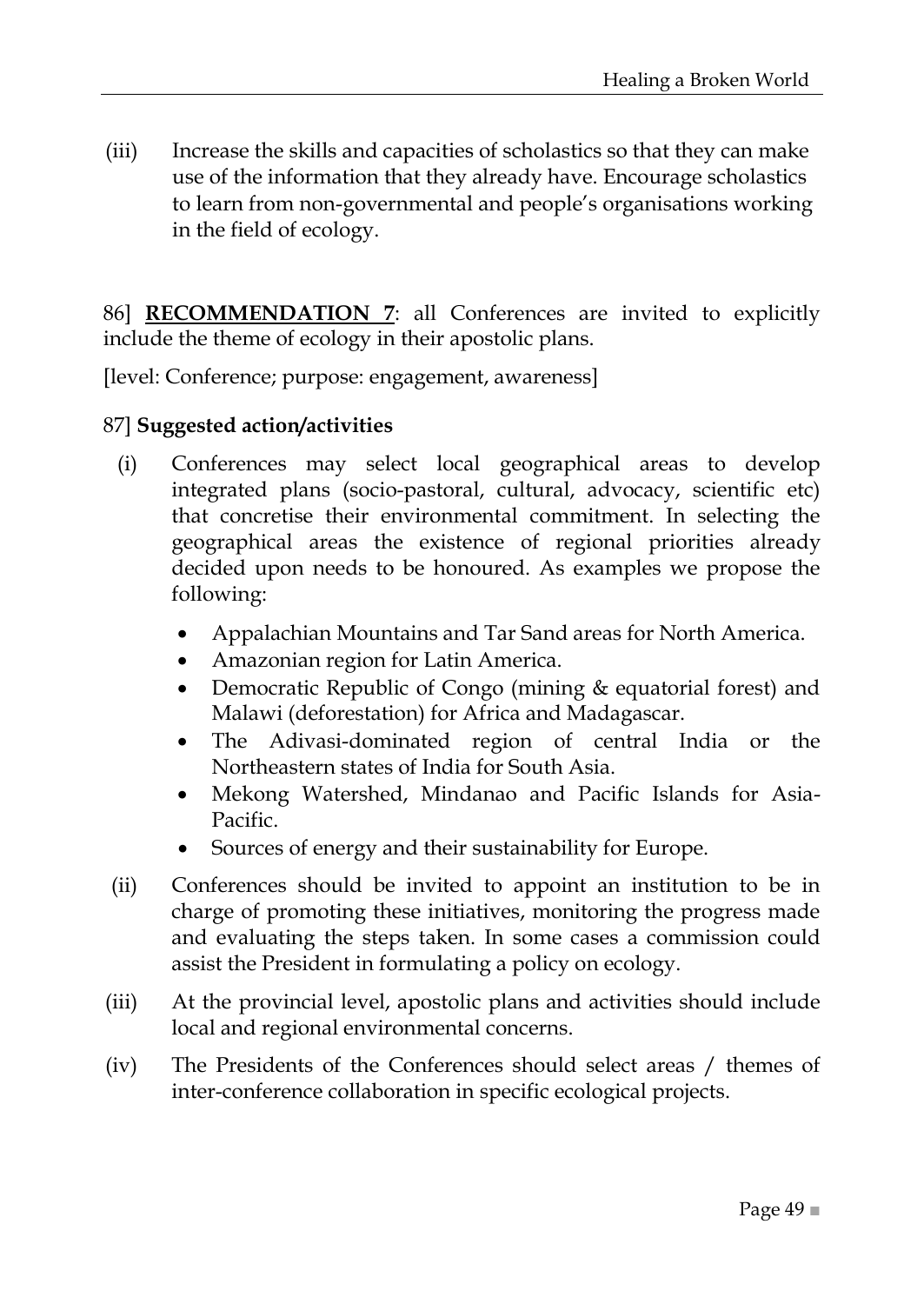(iii) Increase the skills and capacities of scholastics so that they can make use of the information that they already have. Encourage scholastics to learn from non-governmental and people's organisations working in the field of ecology.

86] **RECOMMENDATION 7**: all Conferences are invited to explicitly include the theme of ecology in their apostolic plans.

[level: Conference; purpose: engagement, awareness]

- (i) Conferences may select local geographical areas to develop integrated plans (socio-pastoral, cultural, advocacy, scientific etc) that concretise their environmental commitment. In selecting the geographical areas the existence of regional priorities already decided upon needs to be honoured. As examples we propose the following:
	- Appalachian Mountains and Tar Sand areas for North America.
	- Amazonian region for Latin America.
	- Democratic Republic of Congo (mining & equatorial forest) and Malawi (deforestation) for Africa and Madagascar.
	- The Adivasi-dominated region of central India or the Northeastern states of India for South Asia.
	- Mekong Watershed, Mindanao and Pacific Islands for Asia-Pacific.
	- Sources of energy and their sustainability for Europe.
- (ii) Conferences should be invited to appoint an institution to be in charge of promoting these initiatives, monitoring the progress made and evaluating the steps taken. In some cases a commission could assist the President in formulating a policy on ecology.
- (iii) At the provincial level, apostolic plans and activities should include local and regional environmental concerns.
- (iv) The Presidents of the Conferences should select areas / themes of inter-conference collaboration in specific ecological projects.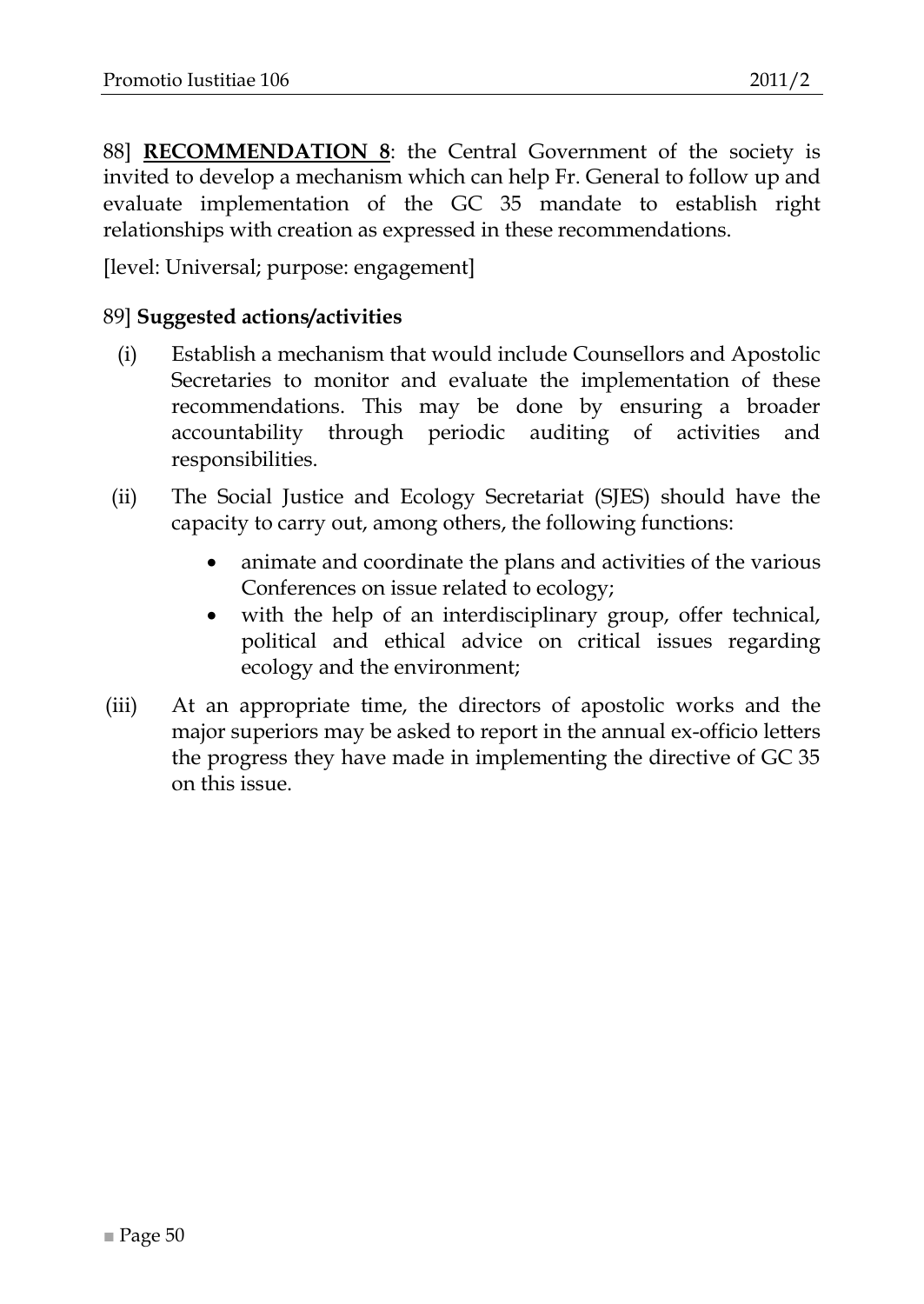88] **RECOMMENDATION 8**: the Central Government of the society is invited to develop a mechanism which can help Fr. General to follow up and evaluate implementation of the GC 35 mandate to establish right relationships with creation as expressed in these recommendations.

[level: Universal; purpose: engagement]

- (i) Establish a mechanism that would include Counsellors and Apostolic Secretaries to monitor and evaluate the implementation of these recommendations. This may be done by ensuring a broader accountability through periodic auditing of activities and responsibilities.
- (ii) The Social Justice and Ecology Secretariat (SJES) should have the capacity to carry out, among others, the following functions:
	- animate and coordinate the plans and activities of the various Conferences on issue related to ecology;
	- with the help of an interdisciplinary group, offer technical, political and ethical advice on critical issues regarding ecology and the environment;
- (iii) At an appropriate time, the directors of apostolic works and the major superiors may be asked to report in the annual ex-officio letters the progress they have made in implementing the directive of GC 35 on this issue.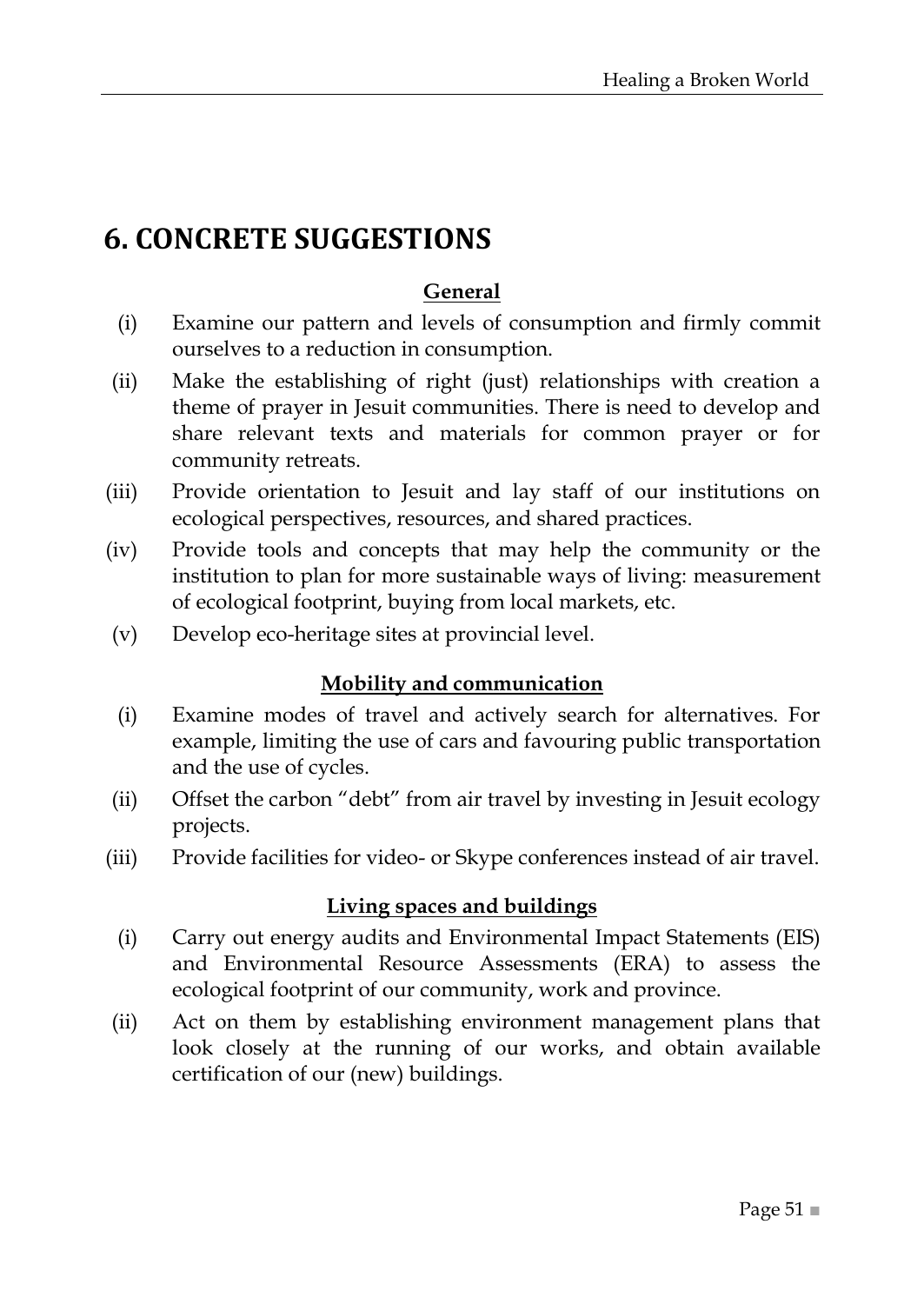## <span id="page-50-0"></span>**6. CONCRETE SUGGESTIONS**

#### **General**

- (i) Examine our pattern and levels of consumption and firmly commit ourselves to a reduction in consumption.
- (ii) Make the establishing of right (just) relationships with creation a theme of prayer in Jesuit communities. There is need to develop and share relevant texts and materials for common prayer or for community retreats.
- (iii) Provide orientation to Jesuit and lay staff of our institutions on ecological perspectives, resources, and shared practices.
- (iv) Provide tools and concepts that may help the community or the institution to plan for more sustainable ways of living: measurement of ecological footprint, buying from local markets, etc.
- (v) Develop eco-heritage sites at provincial level.

#### **Mobility and communication**

- (i) Examine modes of travel and actively search for alternatives. For example, limiting the use of cars and favouring public transportation and the use of cycles.
- (ii) Offset the carbon "debt" from air travel by investing in Jesuit ecology projects.
- (iii) Provide facilities for video- or Skype conferences instead of air travel.

#### **Living spaces and buildings**

- (i) Carry out energy audits and Environmental Impact Statements (EIS) and Environmental Resource Assessments (ERA) to assess the ecological footprint of our community, work and province.
- (ii) Act on them by establishing environment management plans that look closely at the running of our works, and obtain available certification of our (new) buildings.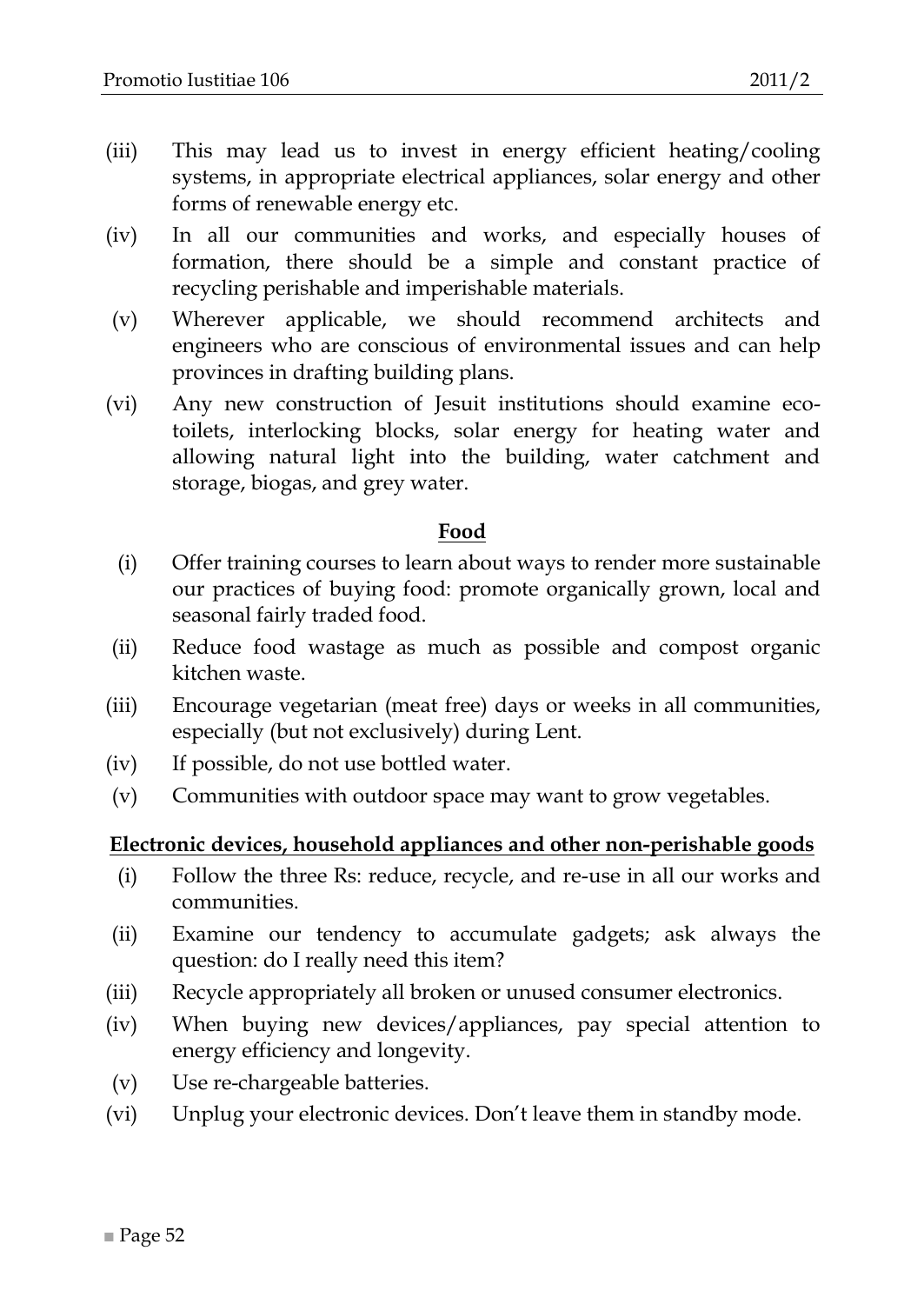- (iii) This may lead us to invest in energy efficient heating/cooling systems, in appropriate electrical appliances, solar energy and other forms of renewable energy etc.
- (iv) In all our communities and works, and especially houses of formation, there should be a simple and constant practice of recycling perishable and imperishable materials.
- (v) Wherever applicable, we should recommend architects and engineers who are conscious of environmental issues and can help provinces in drafting building plans.
- (vi) Any new construction of Jesuit institutions should examine ecotoilets, interlocking blocks, solar energy for heating water and allowing natural light into the building, water catchment and storage, biogas, and grey water.

#### **Food**

- (i) Offer training courses to learn about ways to render more sustainable our practices of buying food: promote organically grown, local and seasonal fairly traded food.
- (ii) Reduce food wastage as much as possible and compost organic kitchen waste.
- (iii) Encourage vegetarian (meat free) days or weeks in all communities, especially (but not exclusively) during Lent.
- (iv) If possible, do not use bottled water.
- (v) Communities with outdoor space may want to grow vegetables.

#### **Electronic devices, household appliances and other non-perishable goods**

- (i) Follow the three Rs: reduce, recycle, and re-use in all our works and communities.
- (ii) Examine our tendency to accumulate gadgets; ask always the question: do I really need this item?
- (iii) Recycle appropriately all broken or unused consumer electronics.
- (iv) When buying new devices/appliances, pay special attention to energy efficiency and longevity.
- (v) Use re-chargeable batteries.
- (vi) Unplug your electronic devices. Don't leave them in standby mode.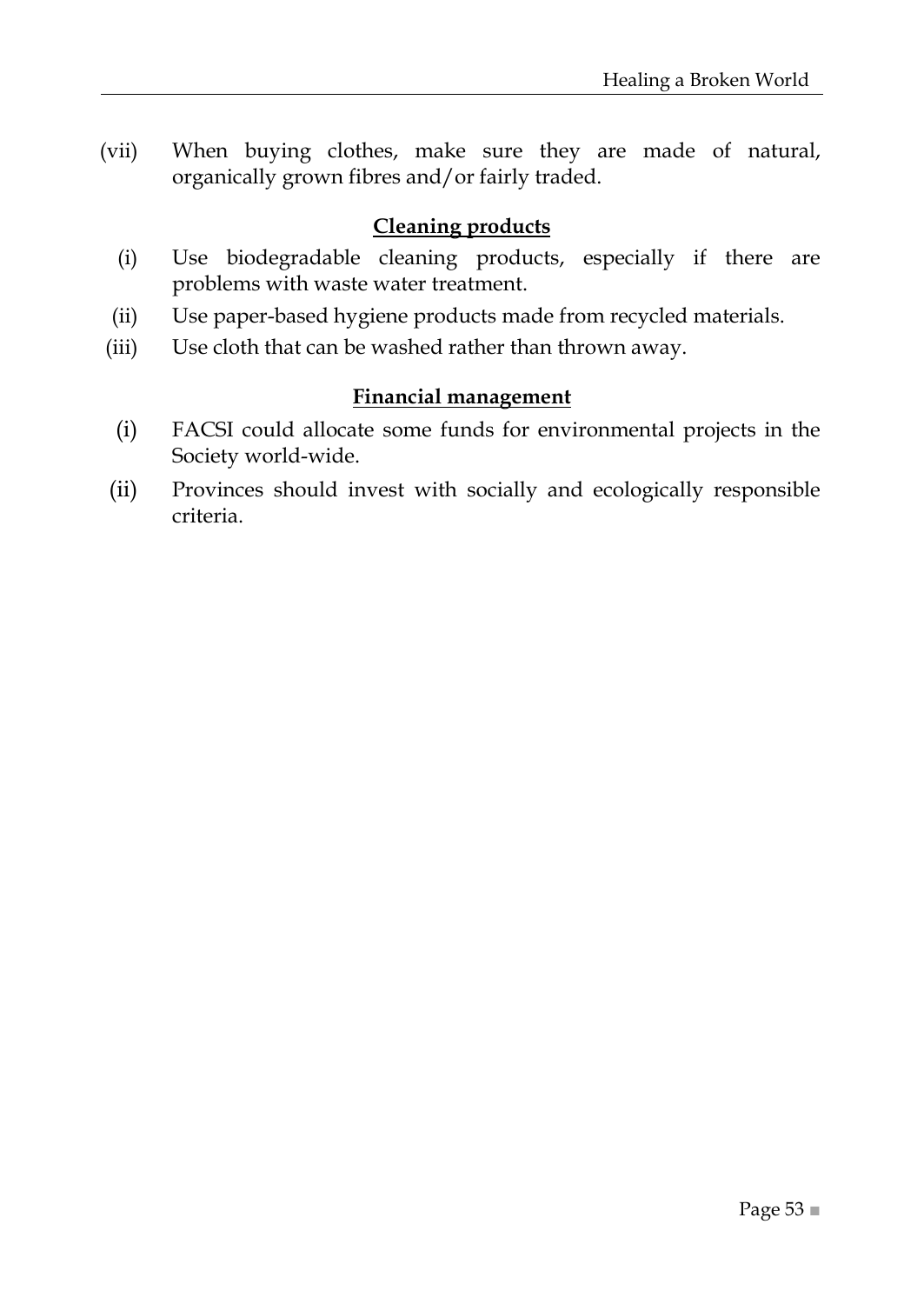(vii) When buying clothes, make sure they are made of natural, organically grown fibres and/or fairly traded.

#### **Cleaning products**

- (i) Use biodegradable cleaning products, especially if there are problems with waste water treatment.
- (ii) Use paper-based hygiene products made from recycled materials.
- (iii) Use cloth that can be washed rather than thrown away.

#### **Financial management**

- (i) FACSI could allocate some funds for environmental projects in the Society world-wide.
- (ii) Provinces should invest with socially and ecologically responsible criteria.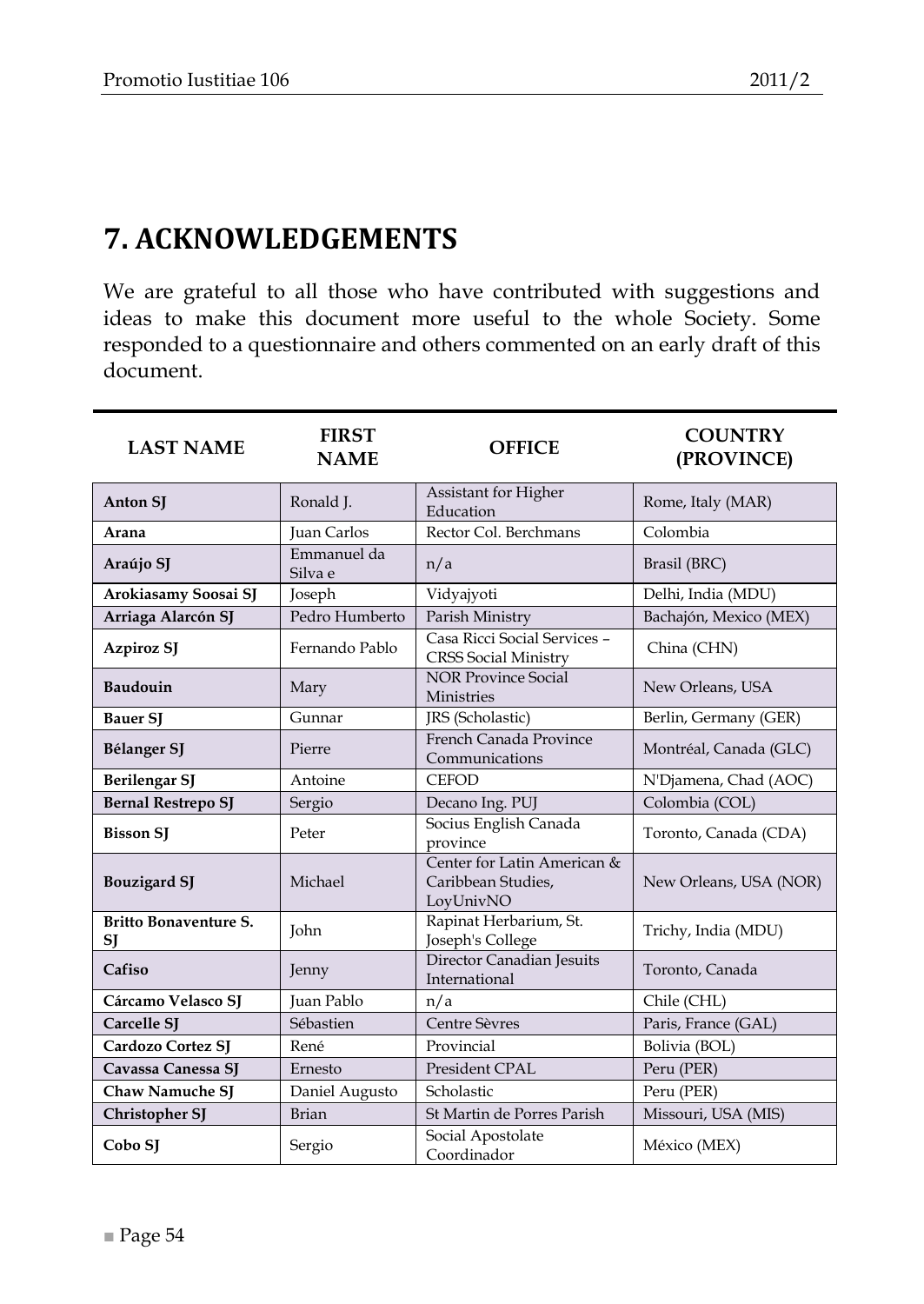## <span id="page-53-0"></span>**7. ACKNOWLEDGEMENTS**

We are grateful to all those who have contributed with suggestions and ideas to make this document more useful to the whole Society. Some responded to a questionnaire and others commented on an early draft of this document.

| <b>LAST NAME</b>                   | <b>FIRST</b><br><b>NAME</b> | <b>OFFICE</b>                                                  | <b>COUNTRY</b><br>(PROVINCE) |
|------------------------------------|-----------------------------|----------------------------------------------------------------|------------------------------|
| <b>Anton SI</b>                    | Ronald J.                   | Assistant for Higher<br>Education                              | Rome, Italy (MAR)            |
| Arana                              | <b>Juan Carlos</b>          | Rector Col. Berchmans                                          | Colombia                     |
| Araújo SJ                          | Emmanuel da<br>Silva e      | n/a                                                            | Brasil (BRC)                 |
| Arokiasamy Soosai SJ               | Joseph                      | Vidyajyoti                                                     | Delhi, India (MDU)           |
| Arriaga Alarcón SJ                 | Pedro Humberto              | Parish Ministry                                                | Bachajón, Mexico (MEX)       |
| Azpiroz SJ                         | Fernando Pablo              | Casa Ricci Social Services -<br><b>CRSS Social Ministry</b>    | China (CHN)                  |
| Baudouin                           | Mary                        | <b>NOR Province Social</b><br>Ministries                       | New Orleans, USA             |
| <b>Bauer SI</b>                    | Gunnar                      | JRS (Scholastic)                                               | Berlin, Germany (GER)        |
| Bélanger SJ                        | Pierre                      | French Canada Province<br>Communications                       | Montréal, Canada (GLC)       |
| <b>Berilengar SJ</b>               | Antoine                     | <b>CEFOD</b>                                                   | N'Djamena, Chad (AOC)        |
| <b>Bernal Restrepo SJ</b>          | Sergio                      | Decano Ing. PUJ                                                | Colombia (COL)               |
| <b>Bisson SJ</b>                   | Peter                       | Socius English Canada<br>province                              | Toronto, Canada (CDA)        |
| <b>Bouzigard SJ</b>                | Michael                     | Center for Latin American &<br>Caribbean Studies,<br>LovUnivNO | New Orleans, USA (NOR)       |
| <b>Britto Bonaventure S.</b><br>SJ | John                        | Rapinat Herbarium, St.<br>Joseph's College                     | Trichy, India (MDU)          |
| Cafiso                             | Jenny                       | Director Canadian Jesuits<br>International                     | Toronto, Canada              |
| Cárcamo Velasco SJ                 | Juan Pablo                  | n/a                                                            | Chile (CHL)                  |
| Carcelle SI                        | Sébastien                   | Centre Sèvres                                                  | Paris, France (GAL)          |
| Cardozo Cortez SJ                  | René                        | Provincial                                                     | Bolivia (BOL)                |
| Cavassa Canessa SJ                 | Ernesto                     | President CPAL                                                 | Peru (PER)                   |
| <b>Chaw Namuche SJ</b>             | Daniel Augusto              | Scholastic                                                     | Peru (PER)                   |
| Christopher SJ                     | <b>Brian</b>                | St Martin de Porres Parish                                     | Missouri, USA (MIS)          |
| Cobo SJ                            | Sergio                      | Social Apostolate<br>Coordinador                               | México (MEX)                 |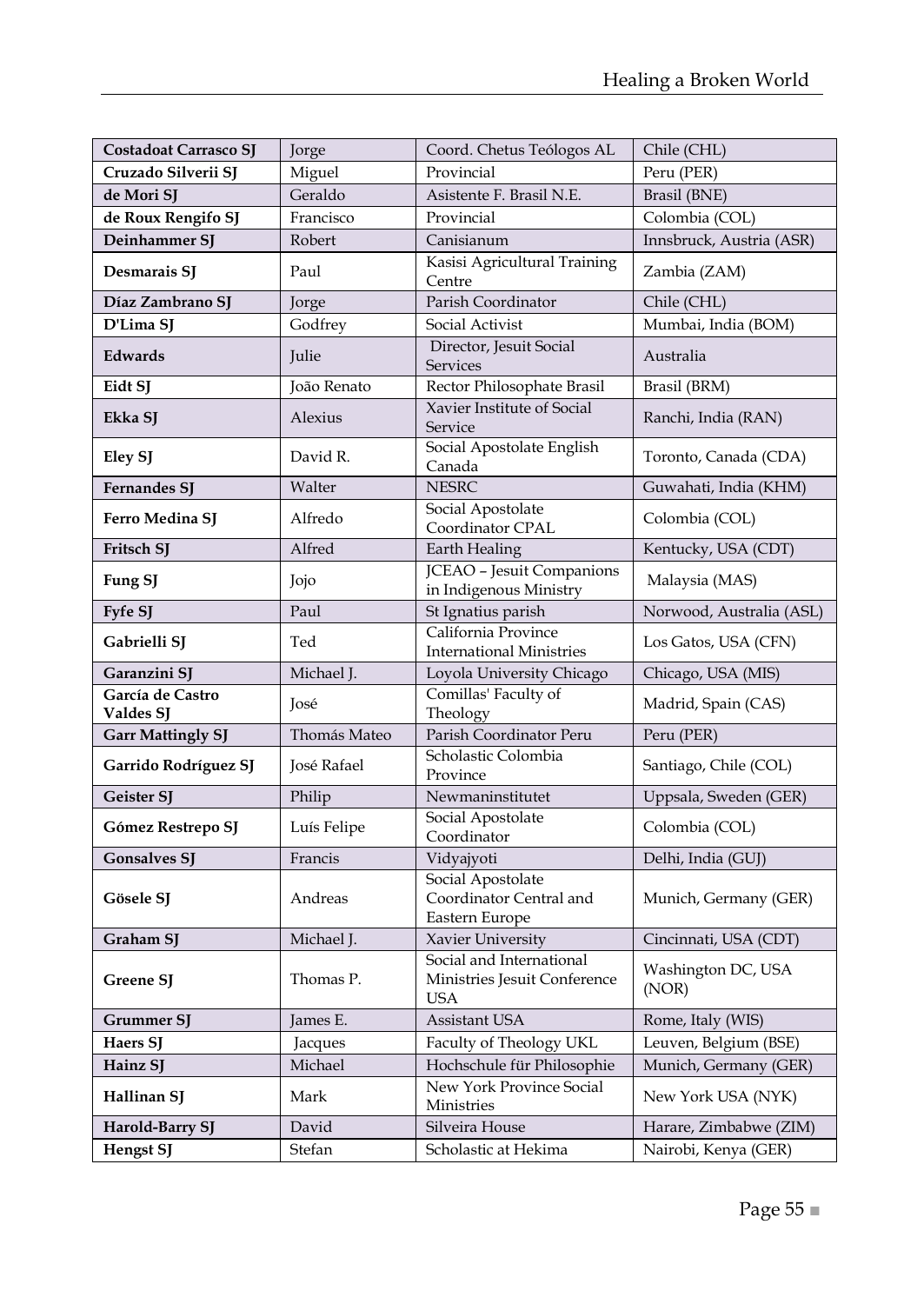| Costadoat Carrasco SJ         | Jorge        | Coord. Chetus Teólogos AL                                              | Chile (CHL)                 |
|-------------------------------|--------------|------------------------------------------------------------------------|-----------------------------|
| Cruzado Silverii SJ           | Miguel       | Provincial                                                             | Peru (PER)                  |
| de Mori SJ                    | Geraldo      | Asistente F. Brasil N.E.                                               | Brasil (BNE)                |
| de Roux Rengifo SJ            | Francisco    | Provincial                                                             | Colombia (COL)              |
| Deinhammer SJ                 | Robert       | Canisianum                                                             | Innsbruck, Austria (ASR)    |
| Desmarais SJ                  | Paul         | Kasisi Agricultural Training<br>Centre                                 | Zambia (ZAM)                |
| Díaz Zambrano SJ              | Jorge        | Parish Coordinator                                                     | Chile (CHL)                 |
| D'Lima SJ                     | Godfrey      | Social Activist                                                        | Mumbai, India (BOM)         |
| Edwards                       | Julie        | Director, Jesuit Social<br><b>Services</b>                             | Australia                   |
| Eidt SJ                       | João Renato  | Rector Philosophate Brasil                                             | Brasil (BRM)                |
| Ekka SJ                       | Alexius      | Xavier Institute of Social<br>Service                                  | Ranchi, India (RAN)         |
| Eley SJ                       | David R.     | Social Apostolate English<br>Canada                                    | Toronto, Canada (CDA)       |
| <b>Fernandes SJ</b>           | Walter       | <b>NESRC</b>                                                           | Guwahati, India (KHM)       |
| Ferro Medina SJ               | Alfredo      | Social Apostolate<br>Coordinator CPAL                                  | Colombia (COL)              |
| Fritsch SJ                    | Alfred       | Earth Healing                                                          | Kentucky, USA (CDT)         |
| Fung SJ                       | Jojo         | <b>JCEAO</b> - Jesuit Companions<br>in Indigenous Ministry             | Malaysia (MAS)              |
| Fyfe SJ                       | Paul         | St Ignatius parish                                                     | Norwood, Australia (ASL)    |
| Gabrielli SJ                  | Ted          | California Province<br><b>International Ministries</b>                 | Los Gatos, USA (CFN)        |
| Garanzini SJ                  | Michael J.   | Loyola University Chicago                                              | Chicago, USA (MIS)          |
| García de Castro<br>Valdes SJ | José         | Comillas' Faculty of<br>Theology                                       | Madrid, Spain (CAS)         |
| <b>Garr Mattingly SJ</b>      | Thomás Mateo | Parish Coordinator Peru                                                | Peru (PER)                  |
| Garrido Rodríguez SJ          | José Rafael  | Scholastic Colombia<br>Province                                        | Santiago, Chile (COL)       |
| Geister SJ                    | Philip       | Newmaninstitutet                                                       | Uppsala, Sweden (GER)       |
| Gómez Restrepo SJ             | Luís Felipe  | Social Apostolate<br>Coordinator                                       | Colombia (COL)              |
| <b>Gonsalves SJ</b>           | Francis      | Vidyajyoti                                                             | Delhi, India (GUJ)          |
| Gösele SJ                     | Andreas      | Social Apostolate<br>Coordinator Central and<br>Eastern Europe         | Munich, Germany (GER)       |
| Graham SJ                     | Michael J.   | Xavier University                                                      | Cincinnati, USA (CDT)       |
| Greene SJ                     | Thomas P.    | Social and International<br>Ministries Jesuit Conference<br><b>USA</b> | Washington DC, USA<br>(NOR) |
| Grummer SJ                    | James E.     | Assistant USA                                                          | Rome, Italy (WIS)           |
| Haers SJ                      | Jacques      | Faculty of Theology UKL                                                | Leuven, Belgium (BSE)       |
| Hainz SI                      | Michael      | Hochschule für Philosophie                                             | Munich, Germany (GER)       |
| Hallinan SJ                   | Mark         | New York Province Social<br>Ministries                                 | New York USA (NYK)          |
| Harold-Barry SJ               | David        | Silveira House                                                         | Harare, Zimbabwe (ZIM)      |
| <b>Hengst SJ</b>              | Stefan       | Scholastic at Hekima                                                   | Nairobi, Kenya (GER)        |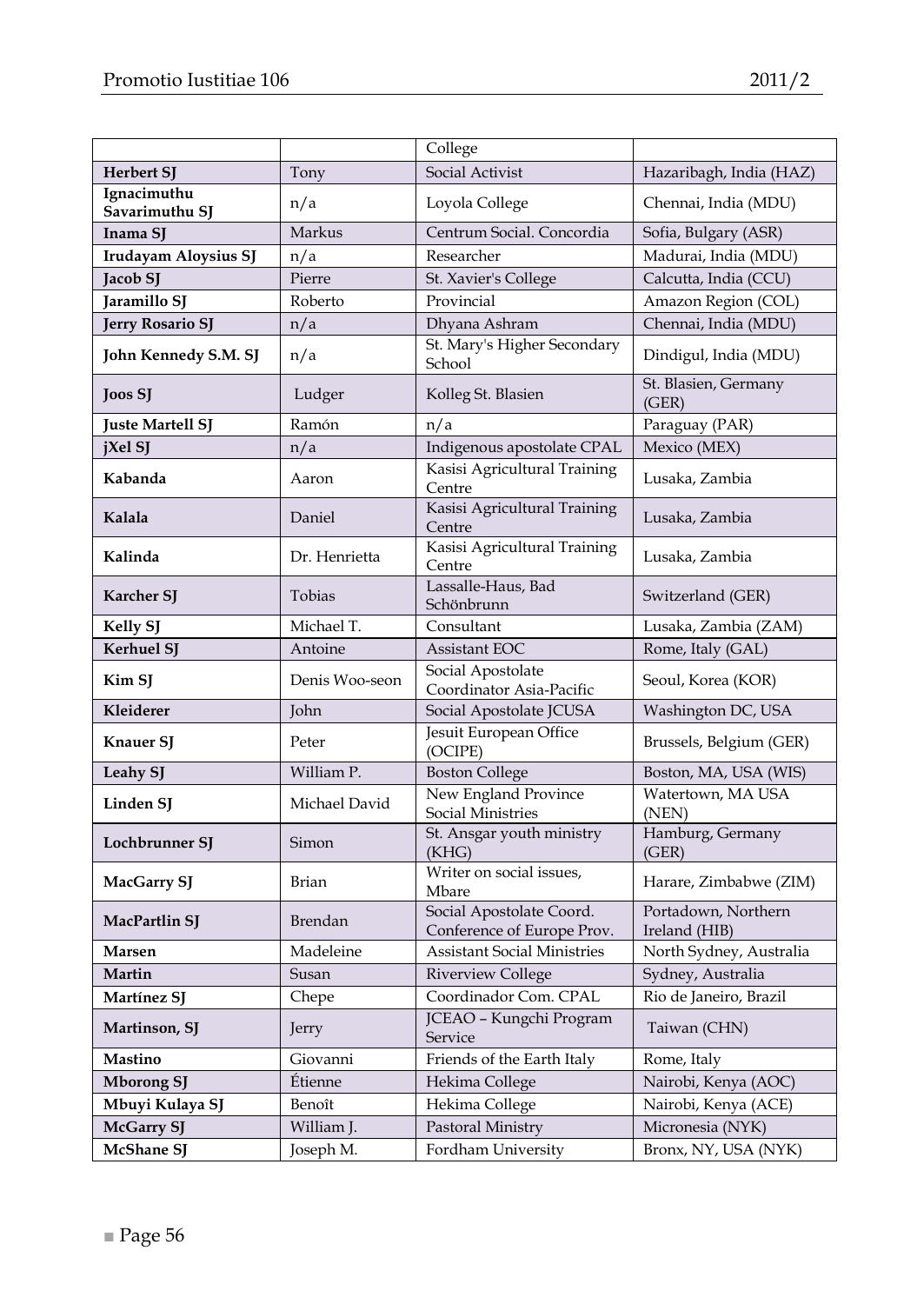|                               |                | College                                                |                                      |
|-------------------------------|----------------|--------------------------------------------------------|--------------------------------------|
| Herbert SJ                    | Tony           | Social Activist                                        | Hazaribagh, India (HAZ)              |
| Ignacimuthu<br>Savarimuthu SJ | n/a            | Loyola College                                         | Chennai, India (MDU)                 |
| Inama SI                      | Markus         | Centrum Social. Concordia                              | Sofia, Bulgary (ASR)                 |
| Irudayam Aloysius SJ          | n/a            | Researcher                                             | Madurai, India (MDU)                 |
| Jacob SJ                      | Pierre         | St. Xavier's College                                   | Calcutta, India (CCU)                |
| Jaramillo SJ                  | Roberto        | Provincial                                             | Amazon Region (COL)                  |
| <b>Jerry Rosario SJ</b>       | n/a            | Dhyana Ashram                                          | Chennai, India (MDU)                 |
| John Kennedy S.M. SJ          | n/a            | St. Mary's Higher Secondary<br>School                  | Dindigul, India (MDU)                |
| Joos SJ                       | Ludger         | Kolleg St. Blasien                                     | St. Blasien, Germany<br>(GER)        |
| <b>Juste Martell SJ</b>       | Ramón          | n/a                                                    | Paraguay (PAR)                       |
| jXel SJ                       | n/a            | Indigenous apostolate CPAL                             | Mexico (MEX)                         |
| Kabanda                       | Aaron          | Kasisi Agricultural Training<br>Centre                 | Lusaka, Zambia                       |
| Kalala                        | Daniel         | Kasisi Agricultural Training<br>Centre                 | Lusaka, Zambia                       |
| Kalinda                       | Dr. Henrietta  | Kasisi Agricultural Training<br>Centre                 | Lusaka, Zambia                       |
| <b>Karcher SJ</b>             | Tobias         | Lassalle-Haus, Bad<br>Schönbrunn                       | Switzerland (GER)                    |
| <b>Kelly SJ</b>               | Michael T.     | Consultant                                             | Lusaka, Zambia (ZAM)                 |
| Kerhuel SJ                    | Antoine        | Assistant EOC                                          | Rome, Italy (GAL)                    |
| Kim SJ                        | Denis Woo-seon | Social Apostolate<br>Coordinator Asia-Pacific          | Seoul, Korea (KOR)                   |
| Kleiderer                     | John           | Social Apostolate JCUSA                                | Washington DC, USA                   |
| Knauer SJ                     | Peter          | Jesuit European Office<br>(OCIPE)                      | Brussels, Belgium (GER)              |
| Leahy SJ                      | William P.     | <b>Boston College</b>                                  | Boston, MA, USA (WIS)                |
| Linden SJ                     | Michael David  | New England Province<br>Social Ministries              | Watertown, MA USA<br>(NEN)           |
| Lochbrunner SJ                | Simon          | St. Ansgar youth ministry<br>(KHG)                     | Hamburg, Germany<br>(GER)            |
| MacGarry SJ                   | Brian          | Writer on social issues,<br>Mbare                      | Harare, Zimbabwe (ZIM)               |
| MacPartlin SJ                 | Brendan        | Social Apostolate Coord.<br>Conference of Europe Prov. | Portadown, Northern<br>Ireland (HIB) |
| Marsen                        | Madeleine      | <b>Assistant Social Ministries</b>                     | North Sydney, Australia              |
| Martin                        | Susan          | Riverview College                                      | Sydney, Australia                    |
| Martínez SJ                   | Chepe          | Coordinador Com. CPAL                                  | Rio de Janeiro, Brazil               |
| Martinson, SJ                 | Jerry          | JCEAO - Kungchi Program<br>Service                     | Taiwan (CHN)                         |
| Mastino                       | Giovanni       | Friends of the Earth Italy                             | Rome, Italy                          |
| <b>Mborong SJ</b>             | Étienne        | Hekima College                                         | Nairobi, Kenya (AOC)                 |
| Mbuyi Kulaya SJ               | Benoît         | Hekima College                                         | Nairobi, Kenya (ACE)                 |
| <b>McGarry SJ</b>             | William J.     | Pastoral Ministry                                      | Micronesia (NYK)                     |
| <b>McShane SJ</b>             | Joseph M.      | Fordham University                                     | Bronx, NY, USA (NYK)                 |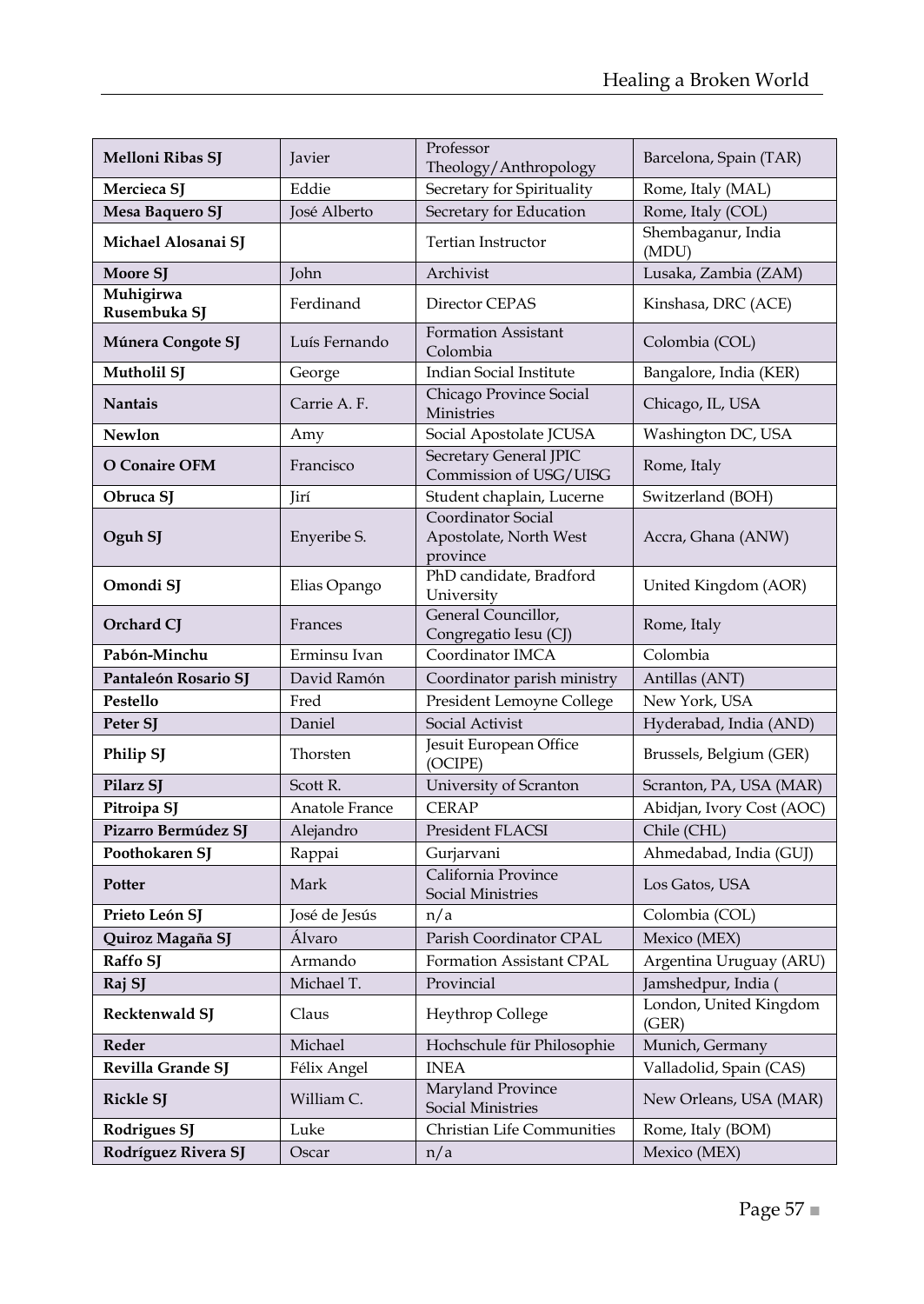| Melloni Ribas SJ          | Javier         | Professor<br>Barcelona, Spain (TAR)                      |                                 |  |
|---------------------------|----------------|----------------------------------------------------------|---------------------------------|--|
| Mercieca SI               | Eddie          | Theology/Anthropology<br>Secretary for Spirituality      | Rome, Italy (MAL)               |  |
| Mesa Baquero SJ           | José Alberto   | Secretary for Education                                  | Rome, Italy (COL)               |  |
| Michael Alosanai SJ       |                | Tertian Instructor                                       | Shembaganur, India<br>(MDU)     |  |
| Moore SJ                  | <b>John</b>    | Archivist                                                | Lusaka, Zambia (ZAM)            |  |
| Muhigirwa<br>Rusembuka SJ | Ferdinand      | Director CEPAS                                           | Kinshasa, DRC (ACE)             |  |
| Múnera Congote SJ         | Luís Fernando  | Formation Assistant<br>Colombia                          | Colombia (COL)                  |  |
| Mutholil SJ               | George         | <b>Indian Social Institute</b>                           | Bangalore, India (KER)          |  |
| <b>Nantais</b>            | Carrie A.F.    | Chicago Province Social<br>Ministries                    | Chicago, IL, USA                |  |
| Newlon                    | Amy            | Social Apostolate JCUSA                                  | Washington DC, USA              |  |
| O Conaire OFM             | Francisco      | <b>Secretary General JPIC</b><br>Commission of USG/UISG  | Rome, Italy                     |  |
| Obruca SJ                 | Jirí           | Student chaplain, Lucerne                                | Switzerland (BOH)               |  |
| Oguh SJ                   | Enyeribe S.    | Coordinator Social<br>Apostolate, North West<br>province | Accra, Ghana (ANW)              |  |
| Omondi SJ                 | Elias Opango   | PhD candidate, Bradford<br>University                    | United Kingdom (AOR)            |  |
| Orchard CJ                | Frances        | General Councillor,<br>Congregatio Iesu (CJ)             | Rome, Italy                     |  |
| Pabón-Minchu              | Erminsu Ivan   | Coordinator IMCA                                         | Colombia                        |  |
| Pantaleón Rosario SJ      | David Ramón    | Coordinator parish ministry                              | Antillas (ANT)                  |  |
| Pestello                  | Fred           | President Lemoyne College                                | New York, USA                   |  |
| Peter SJ                  | Daniel         | Social Activist                                          | Hyderabad, India (AND)          |  |
| Philip SJ                 | Thorsten       | Jesuit European Office<br>(OCIPE)                        | Brussels, Belgium (GER)         |  |
| Pilarz SJ                 | Scott R.       | University of Scranton                                   | Scranton, PA, USA (MAR)         |  |
| Pitroipa SJ               | Anatole France | <b>CERAP</b>                                             | Abidjan, Ivory Cost (AOC)       |  |
| Pizarro Bermúdez SJ       | Alejandro      | President FLACSI                                         | Chile (CHL)                     |  |
| Poothokaren SI            | Rappai         | Gurjarvani                                               | Ahmedabad, India (GUJ)          |  |
| Potter                    | Mark           | California Province<br>Social Ministries                 | Los Gatos, USA                  |  |
| Prieto León SJ            | José de Jesús  | n/a                                                      | Colombia (COL)                  |  |
| Quiroz Magaña SJ          | Álvaro         | Parish Coordinator CPAL                                  | Mexico (MEX)                    |  |
| Raffo SJ                  | Armando        | Formation Assistant CPAL                                 | Argentina Uruguay (ARU)         |  |
| Raj SJ                    | Michael T.     | Provincial                                               | Jamshedpur, India (             |  |
| Recktenwald SJ            | Claus          | Heythrop College                                         | London, United Kingdom<br>(GER) |  |
| Reder                     | Michael        | Hochschule für Philosophie                               | Munich, Germany                 |  |
| Revilla Grande SJ         | Félix Angel    | <b>INEA</b>                                              | Valladolid, Spain (CAS)         |  |
| <b>Rickle SJ</b>          | William C.     | Maryland Province<br>Social Ministries                   | New Orleans, USA (MAR)          |  |
| Rodrigues SJ              | Luke           | Christian Life Communities                               | Rome, Italy (BOM)               |  |
| Rodríguez Rivera SJ       | Oscar          | n/a                                                      | Mexico (MEX)                    |  |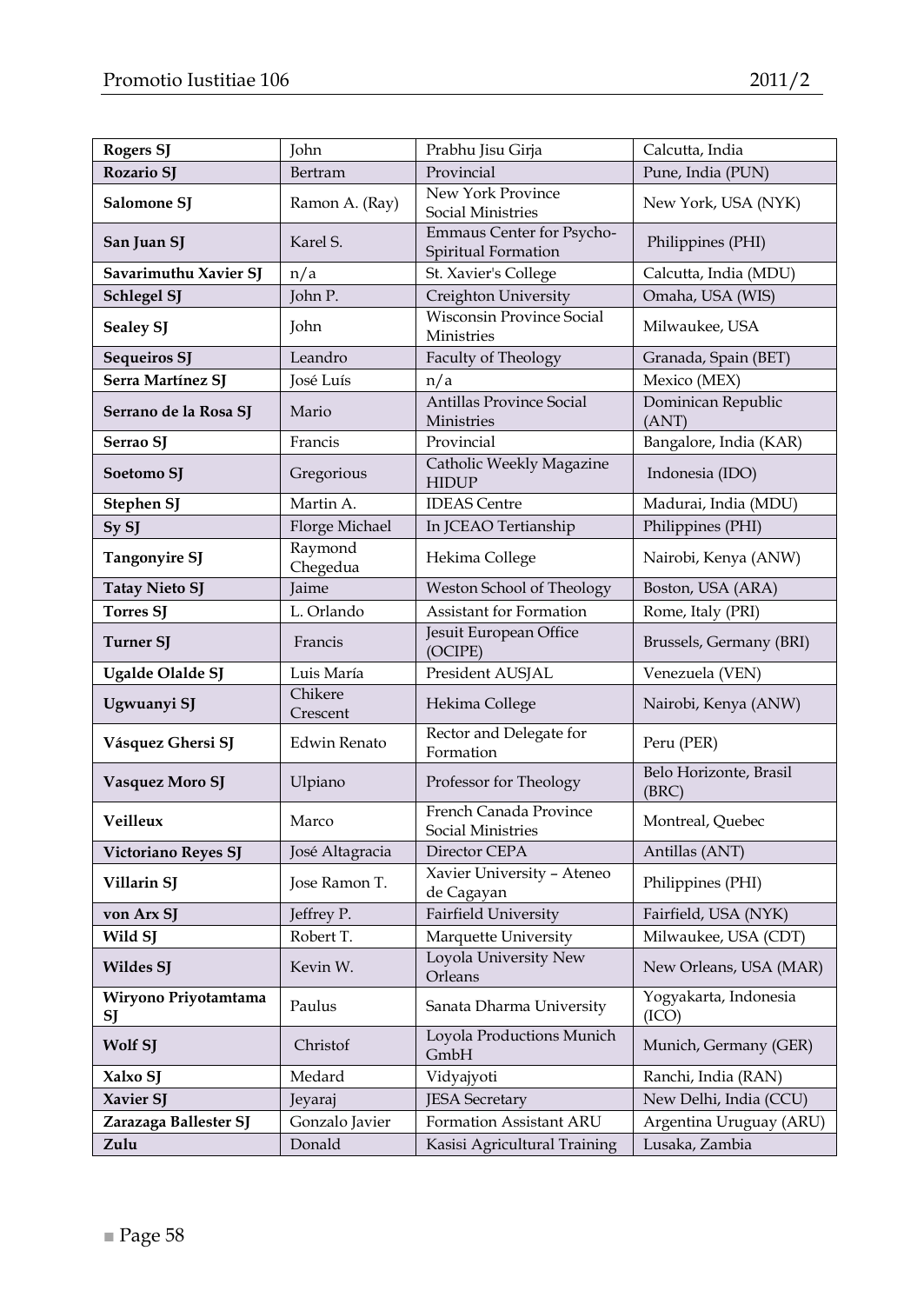| <b>Rogers SJ</b>           | John                | Prabhu Jisu Girja                                | Calcutta, India                 |
|----------------------------|---------------------|--------------------------------------------------|---------------------------------|
| <b>Rozario SI</b>          | Bertram             | Provincial                                       | Pune, India (PUN)               |
| Salomone SJ                | Ramon A. (Ray)      | New York Province<br>Social Ministries           | New York, USA (NYK)             |
| San Juan SJ                | Karel S.            | Emmaus Center for Psycho-<br>Spiritual Formation | Philippines (PHI)               |
| Savarimuthu Xavier SJ      | $n/\overline{a}$    | St. Xavier's College                             | Calcutta, India (MDU)           |
| Schlegel SJ                | John P.             | Creighton University                             | Omaha, USA (WIS)                |
| Sealey SJ                  | John                | <b>Wisconsin Province Social</b><br>Ministries   | Milwaukee, USA                  |
| <b>Sequeiros SJ</b>        | Leandro             | Faculty of Theology                              | Granada, Spain (BET)            |
| Serra Martínez SJ          | José Luís           | n/a                                              | Mexico (MEX)                    |
| Serrano de la Rosa SJ      | Mario               | <b>Antillas Province Social</b><br>Ministries    | Dominican Republic<br>(ANT)     |
| Serrao SJ                  | Francis             | Provincial                                       | Bangalore, India (KAR)          |
| Soetomo SJ                 | Gregorious          | Catholic Weekly Magazine<br>HIDUP                | Indonesia (IDO)                 |
| Stephen SJ                 | Martin A.           | <b>IDEAS</b> Centre                              | Madurai, India (MDU)            |
| Sy SJ                      | Florge Michael      | In JCEAO Tertianship                             | Philippines (PHI)               |
| <b>Tangonyire SJ</b>       | Raymond<br>Chegedua | Hekima College                                   | Nairobi, Kenya (ANW)            |
| <b>Tatay Nieto SJ</b>      | <b>Jaime</b>        | Weston School of Theology                        | Boston, USA (ARA)               |
| <b>Torres SJ</b>           | L. Orlando          | <b>Assistant for Formation</b>                   | Rome, Italy (PRI)               |
| <b>Turner SJ</b>           | Francis             | Jesuit European Office<br>(OCIPE)                | Brussels, Germany (BRI)         |
| Ugalde Olalde SJ           | Luis María          | President AUSJAL                                 | Venezuela (VEN)                 |
| Ugwuanyi SJ                | Chikere<br>Crescent | Hekima College                                   | Nairobi, Kenya (ANW)            |
| Vásquez Ghersi SJ          | Edwin Renato        | Rector and Delegate for<br>Formation             | Peru (PER)                      |
| Vasquez Moro SJ            | Ulpiano             | Professor for Theology                           | Belo Horizonte, Brasil<br>(BRC) |
| Veilleux                   | Marco               | French Canada Province<br>Social Ministries      | Montreal, Quebec                |
| Victoriano Reyes SJ        | José Altagracia     | Director CEPA                                    | Antillas (ANT)                  |
| Villarin SJ                | Jose Ramon T.       | Xavier University - Ateneo<br>de Cagayan         | Philippines (PHI)               |
| von Arx SJ                 | Jeffrey P.          | Fairfield University                             | Fairfield, USA (NYK)            |
| Wild SJ                    | Robert T.           | Marquette University                             | Milwaukee, USA (CDT)            |
| Wildes SJ                  | Kevin W.            | Loyola University New<br>Orleans                 | New Orleans, USA (MAR)          |
| Wiryono Priyotamtama<br>SJ | Paulus              | Sanata Dharma University                         | Yogyakarta, Indonesia<br>(ICO)  |
| Wolf SJ                    | Christof            | Loyola Productions Munich<br>GmbH                | Munich, Germany (GER)           |
| Xalxo SJ                   | Medard              | Vidyajyoti                                       | Ranchi, India (RAN)             |
| Xavier SJ                  | Jeyaraj             | <b>JESA</b> Secretary                            | New Delhi, India (CCU)          |
| Zarazaga Ballester SJ      | Gonzalo Javier      | Formation Assistant ARU                          | Argentina Uruguay (ARU)         |
| Zulu                       | Donald              | Kasisi Agricultural Training                     | Lusaka, Zambia                  |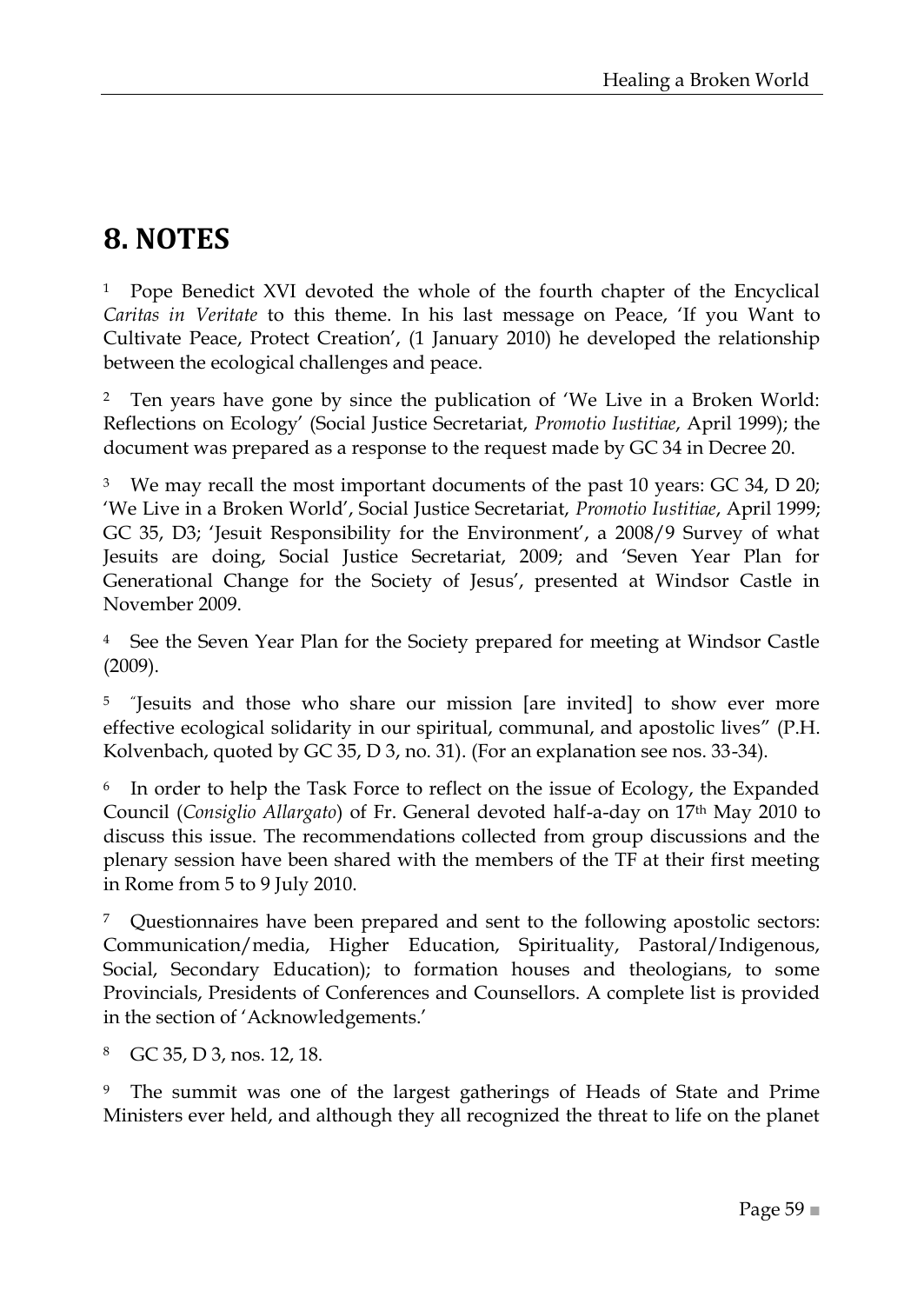## <span id="page-58-0"></span>**8. NOTES**

<sup>1</sup> Pope Benedict XVI devoted the whole of the fourth chapter of the Encyclical Caritas in Veritate to this theme. In his last message on Peace, 'If you Want to Cultivate Peace, Protect Creation', (1 January 2010) he developed the relationship between the ecological challenges and peace.

<sup>2</sup> Ten years have gone by since the publication of 'We Live in a Broken World: Reflections on Ecology' (Social Justice Secretariat, *Promotio Iustitiae*, April 1999); the document was prepared as a response to the request made by GC 34 in Decree 20.

<sup>3</sup> We may recall the most important documents of the past 10 years: GC 34, D 20; ‗We Live in a Broken World', Social Justice Secretariat, *Promotio Iustitiae*, April 1999; GC 35, D3; 'Jesuit Responsibility for the Environment', a 2008/9 Survey of what Jesuits are doing, Social Justice Secretariat, 2009; and ‗Seven Year Plan for Generational Change for the Society of Jesus', presented at Windsor Castle in November 2009.

<sup>4</sup> See the Seven Year Plan for the Society prepared for meeting at Windsor Castle (2009).

<sup>5</sup> "Jesuits and those who share our mission [are invited] to show ever more effective ecological solidarity in our spiritual, communal, and apostolic lives" (P.H. Kolvenbach, quoted by GC 35, D 3, no. 31). (For an explanation see nos. 33-34).

6 In order to help the Task Force to reflect on the issue of Ecology, the Expanded Council (*Consiglio Allargato*) of Fr. General devoted half-a-day on 17th May 2010 to discuss this issue. The recommendations collected from group discussions and the plenary session have been shared with the members of the TF at their first meeting in Rome from 5 to 9 July 2010.

<sup>7</sup> Questionnaires have been prepared and sent to the following apostolic sectors: Communication/media, Higher Education, Spirituality, Pastoral/Indigenous, Social, Secondary Education); to formation houses and theologians, to some Provincials, Presidents of Conferences and Counsellors. A complete list is provided in the section of 'Acknowledgements.'

<sup>8</sup> GC 35, D 3, nos. 12, 18.

<sup>9</sup> The summit was one of the largest gatherings of Heads of State and Prime Ministers ever held, and although they all recognized the threat to life on the planet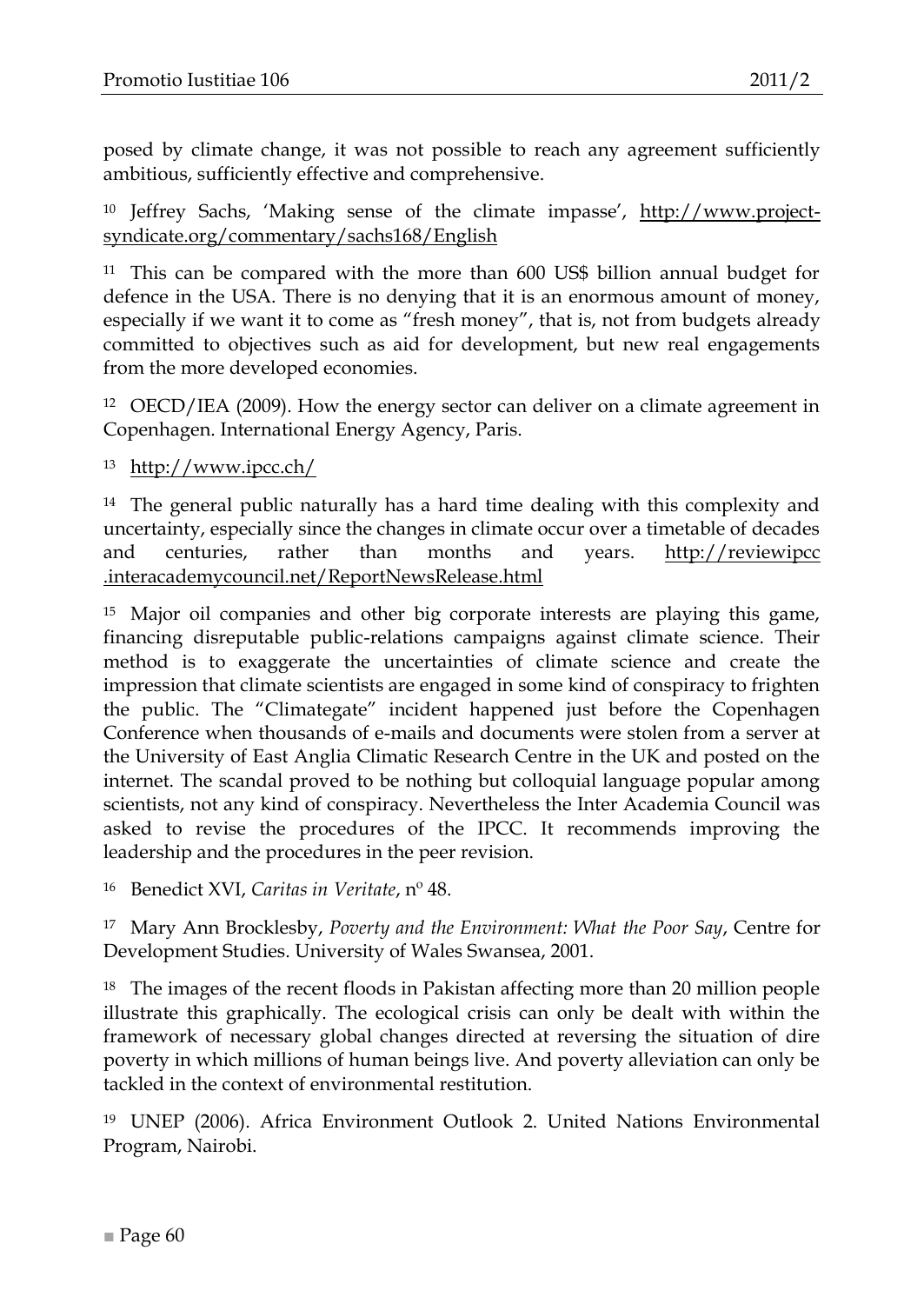posed by climate change, it was not possible to reach any agreement sufficiently ambitious, sufficiently effective and comprehensive.

<sup>10</sup> Jeffrey Sachs, ‗Making sense of the climate impasse', [http://www.project](http://www.project-syndicate.org/commentary/sachs168/English)[syndicate.org/commentary/sachs168/English](http://www.project-syndicate.org/commentary/sachs168/English)

<sup>11</sup> This can be compared with the more than 600 US\$ billion annual budget for defence in the USA. There is no denying that it is an enormous amount of money, especially if we want it to come as "fresh money", that is, not from budgets already committed to objectives such as aid for development, but new real engagements from the more developed economies.

<sup>12</sup> OECD/IEA (2009). How the energy sector can deliver on a climate agreement in Copenhagen. International Energy Agency, Paris.

<sup>13</sup> <http://www.ipcc.ch/>

<sup>14</sup> The general public naturally has a hard time dealing with this complexity and uncertainty, especially since the changes in climate occur over a timetable of decades and centuries, rather than months and years. http://reviewipcc .interacademycouncil.net/ReportNewsRelease.html

<sup>15</sup> Major oil companies and other big corporate interests are playing this game, financing disreputable public-relations campaigns against climate science. Their method is to exaggerate the uncertainties of climate science and create the impression that climate scientists are engaged in some kind of conspiracy to frighten the public. The "Climategate" incident happened just before the Copenhagen Conference when thousands of e-mails and documents were stolen from a server at the University of East Anglia Climatic Research Centre in the UK and posted on the internet. The scandal proved to be nothing but colloquial language popular among scientists, not any kind of conspiracy. Nevertheless the Inter Academia Council was asked to revise the procedures of the IPCC. It recommends improving the leadership and the procedures in the peer revision.

<sup>16</sup> Benedict XVI, *Caritas in Veritate*, nº 48.

<sup>17</sup> Mary Ann Brocklesby, *Poverty and the Environment: What the Poor Say*, Centre for Development Studies. University of Wales Swansea, 2001.

<sup>18</sup> The images of the recent floods in Pakistan affecting more than 20 million people illustrate this graphically. The ecological crisis can only be dealt with within the framework of necessary global changes directed at reversing the situation of dire poverty in which millions of human beings live. And poverty alleviation can only be tackled in the context of environmental restitution.

<sup>19</sup> UNEP (2006). Africa Environment Outlook 2. United Nations Environmental Program, Nairobi.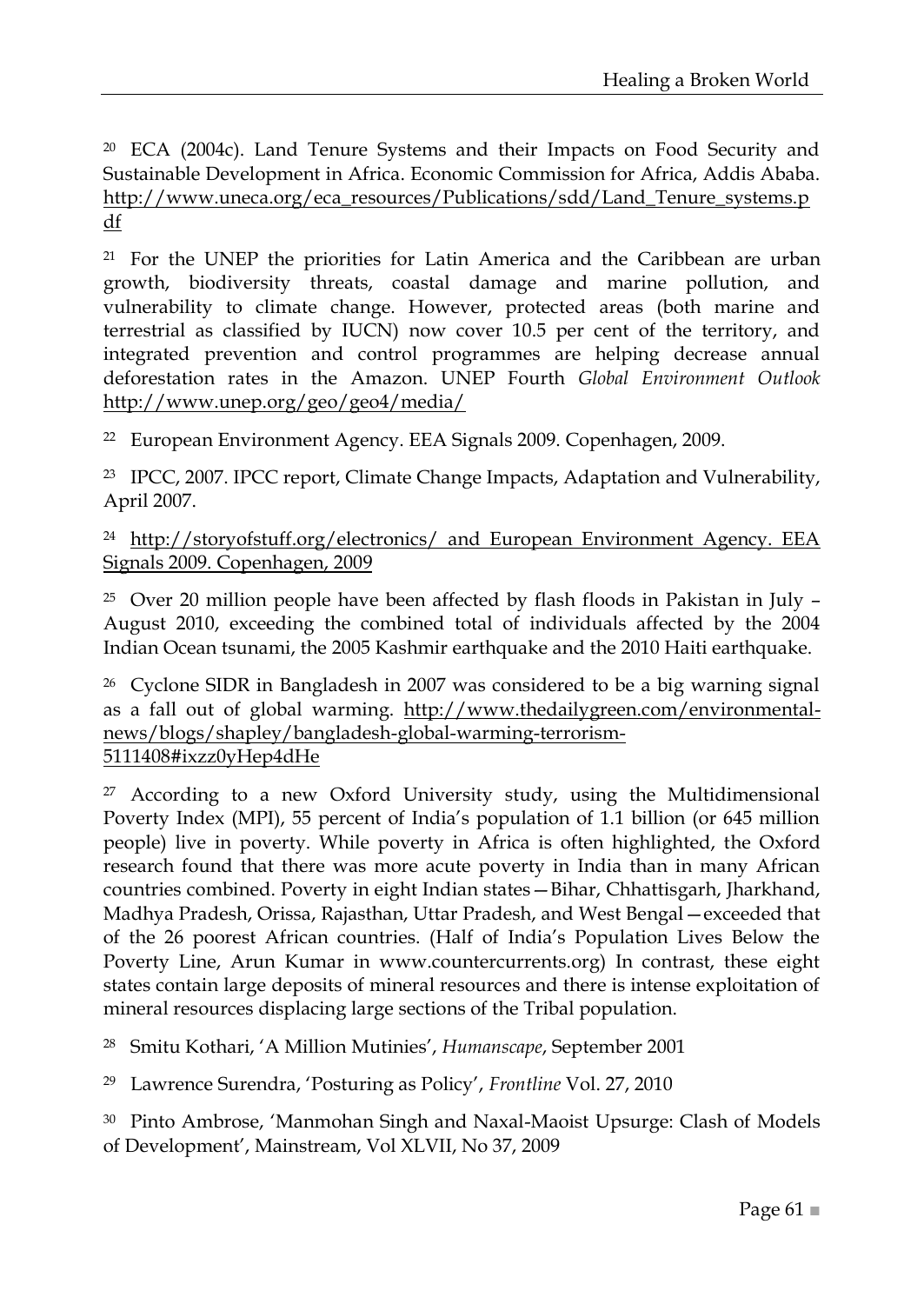<sup>20</sup> ECA (2004c). Land Tenure Systems and their Impacts on Food Security and Sustainable Development in Africa. Economic Commission for Africa, Addis Ababa. [http://www.uneca.org/eca\\_resources/Publications/sdd/Land\\_Tenure\\_systems.p](http://www.uneca.org/eca_resources/Publications/sdd/Land_Tenure_systems.pdf) [df](http://www.uneca.org/eca_resources/Publications/sdd/Land_Tenure_systems.pdf)

<sup>21</sup> For the UNEP the priorities for Latin America and the Caribbean are urban growth, biodiversity threats, coastal damage and marine pollution, and vulnerability to climate change. However, protected areas (both marine and terrestrial as classified by IUCN) now cover 10.5 per cent of the territory, and integrated prevention and control programmes are helping decrease annual deforestation rates in the Amazon. UNEP Fourth *Global Environment Outlook* <http://www.unep.org/geo/geo4/media/>

<sup>22</sup> European Environment Agency. EEA Signals 2009. Copenhagen, 2009.

<sup>23</sup> IPCC, 2007. IPCC report, Climate Change Impacts, Adaptation and Vulnerability, April 2007.

<sup>24</sup> <http://storyofstuff.org/electronics/> and European Environment Agency. EEA Signals 2009. Copenhagen, 2009

<sup>25</sup> Over 20 million people have been affected by flash floods in Pakistan in July  $-$ August 2010, exceeding the combined total of individuals affected by the 2004 Indian Ocean tsunami, the 2005 Kashmir earthquake and the 2010 Haiti earthquake.

<sup>26</sup> Cyclone SIDR in Bangladesh in 2007 was considered to be a big warning signal as a fall out of global warming. [http://www.thedailygreen.com/environmental](http://www.thedailygreen.com/environmental-news/blogs/shapley/bangladesh-global-warming-terrorism-5111408#ixzz0yHep4dHe)[news/blogs/shapley/bangladesh-global-warming-terrorism-](http://www.thedailygreen.com/environmental-news/blogs/shapley/bangladesh-global-warming-terrorism-5111408#ixzz0yHep4dHe)[5111408#ixzz0yHep4dHe](http://www.thedailygreen.com/environmental-news/blogs/shapley/bangladesh-global-warming-terrorism-5111408#ixzz0yHep4dHe)

<sup>27</sup> According to a new Oxford University study, using the Multidimensional Poverty Index (MPI), 55 percent of India's population of 1.1 billion (or 645 million people) live in poverty. While poverty in Africa is often highlighted, the Oxford research found that there was more acute poverty in India than in many African countries combined. Poverty in eight Indian states—Bihar, Chhattisgarh, Jharkhand, Madhya Pradesh, Orissa, Rajasthan, Uttar Pradesh, and West Bengal—exceeded that of the 26 poorest African countries. (Half of India's Population Lives Below the Poverty Line, Arun Kumar in www.countercurrents.org) In contrast, these eight states contain large deposits of mineral resources and there is intense exploitation of mineral resources displacing large sections of the Tribal population.

<sup>28</sup> Smitu Kothari, ‗A Million Mutinies', *Humanscape*, September 2001

<sup>29</sup> Lawrence Surendra, ‗Posturing as Policy', *Frontline* Vol. 27, 2010

<sup>30</sup> Pinto Ambrose, 'Manmohan Singh and Naxal-Maoist Upsurge: Clash of Models of Development', Mainstream, Vol XLVII, No 37, 2009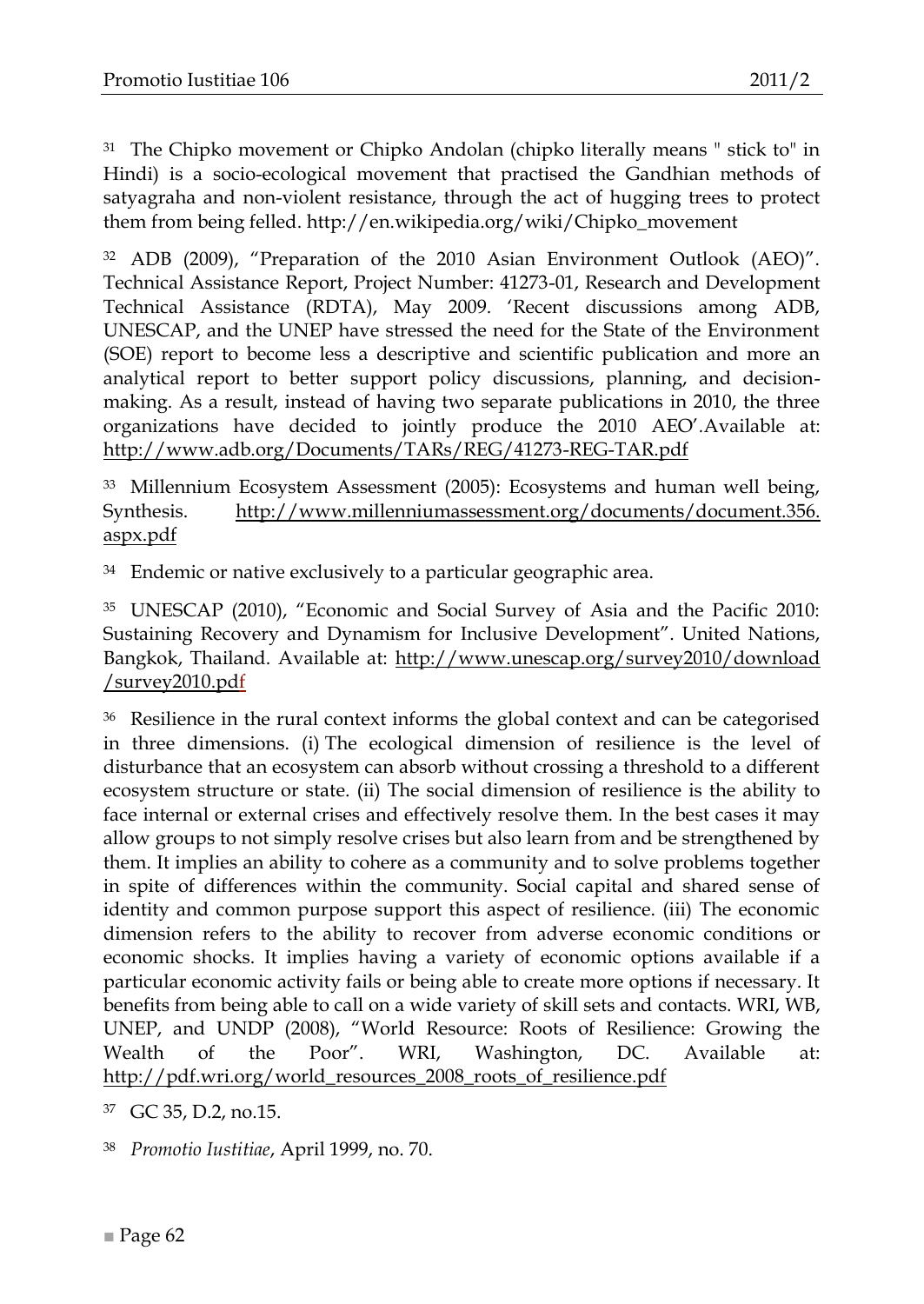<sup>31</sup> The Chipko movement or Chipko Andolan (chipko literally means " stick to" in [Hindi\)](http://en.wikipedia.org/wiki/Hindi) is a [socio-ecological](http://en.wikipedia.org/wiki/Social_ecology) movement that practised the [Gandhian](http://en.wikipedia.org/wiki/Gandhian) methods of [satyagraha](http://en.wikipedia.org/wiki/Satyagraha) and non-violent resistance, through the act of hugging trees to protect them from being felled. http://en.wikipedia.org/wiki/Chipko\_movement

 $32$  ADB (2009), "Preparation of the 2010 Asian Environment Outlook (AEO)". Technical Assistance Report, Project Number: 41273-01, Research and Development Technical Assistance (RDTA), May 2009. 'Recent discussions among ADB, UNESCAP, and the UNEP have stressed the need for the State of the Environment (SOE) report to become less a descriptive and scientific publication and more an analytical report to better support policy discussions, planning, and decisionmaking. As a result, instead of having two separate publications in 2010, the three organizations have decided to jointly produce the 2010 AEO'*.*Available at: <http://www.adb.org/Documents/TARs/REG/41273-REG-TAR.pdf>

<sup>33</sup> Millennium Ecosystem Assessment (2005): Ecosystems and human well being, Synthesis. [http://www.millenniumassessment.org/documents/document.356.](http://www.millenniumassessment.org/documents/document.356.%20aspx.pdf)  [aspx.pdf](http://www.millenniumassessment.org/documents/document.356.%20aspx.pdf)

 $34$  Endemic or native exclusively to a particular geographic area.

<sup>35</sup> UNESCAP (2010), "Economic and Social Survey of Asia and the Pacific 2010: Sustaining Recovery and Dynamism for Inclusive Development". United Nations, Bangkok, Thailand. Available at: [http://www.unescap.org/survey2010/download](http://www.unescap.org/survey2010/download%20/survey2010.pdf)  [/survey2010.pdf](http://www.unescap.org/survey2010/download%20/survey2010.pdf)

<sup>36</sup> Resilience in the rural context informs the global context and can be categorised in three dimensions. (i) The ecological dimension of resilience is the level of disturbance that an ecosystem can absorb without crossing a threshold to a different ecosystem structure or state. (ii) The social dimension of resilience is the ability to face internal or external crises and effectively resolve them. In the best cases it may allow groups to not simply resolve crises but also learn from and be strengthened by them. It implies an ability to cohere as a community and to solve problems together in spite of differences within the community. Social capital and shared sense of identity and common purpose support this aspect of resilience. (iii) The economic dimension refers to the ability to recover from adverse economic conditions or economic shocks. It implies having a variety of economic options available if a particular economic activity fails or being able to create more options if necessary. It benefits from being able to call on a wide variety of skill sets and contacts. WRI, WB, UNEP, and UNDP (2008), "World Resource: Roots of Resilience: Growing the Wealth of the Poor". WRI, Washington, DC. Available at: [http://pdf.wri.org/world\\_resources\\_2008\\_roots\\_of\\_resilience.pdf](http://pdf.wri.org/world_resources_2008_roots_of_resilience.pdf)

<sup>37</sup> GC 35, D.2, no.15.

<sup>38</sup> *Promotio Iustitiae*, April 1999, no. 70.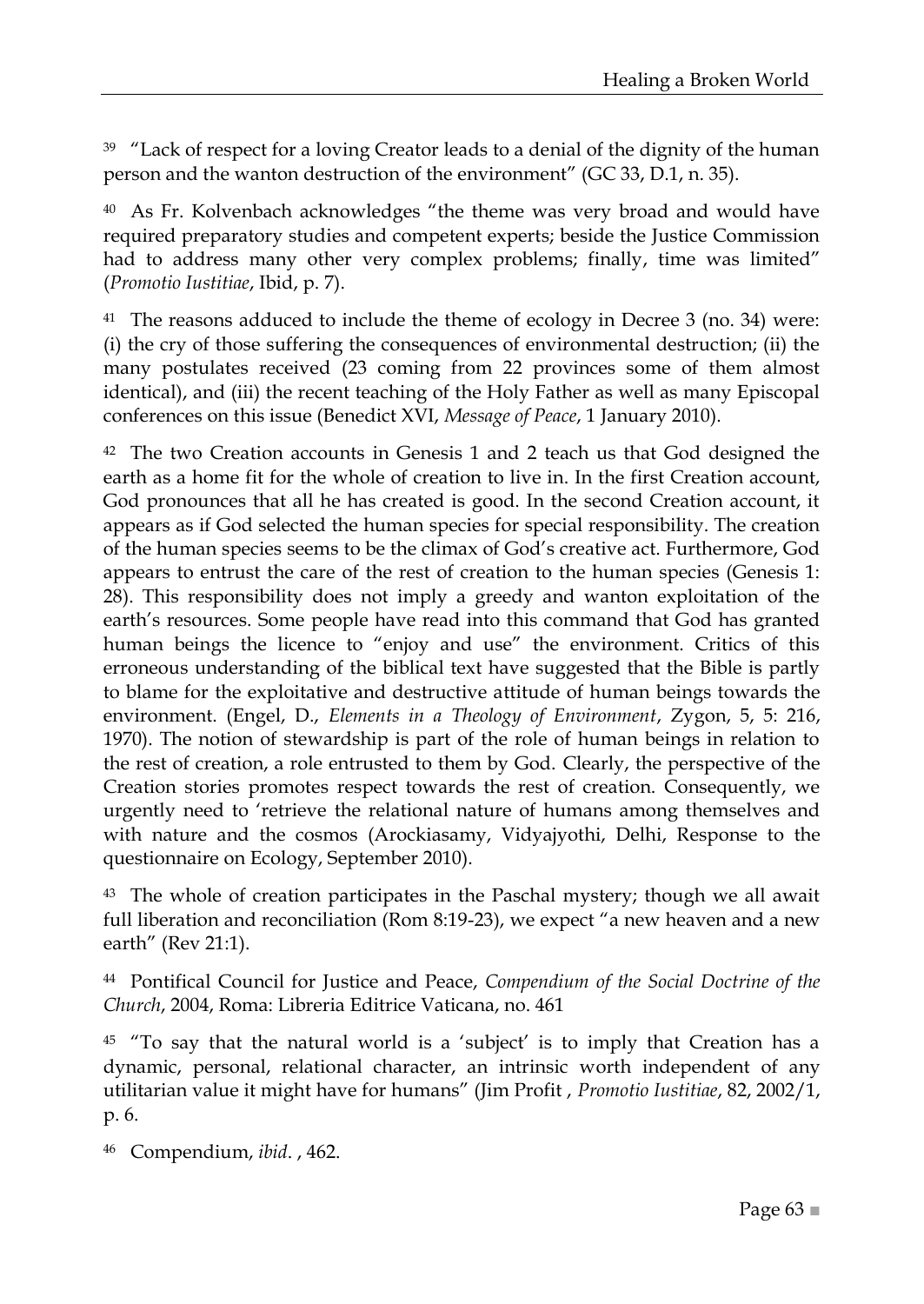$39$   $\textdegree$  Lack of respect for a loving Creator leads to a denial of the dignity of the human person and the wanton destruction of the environment" (GC 33, D.1, n. 35).

 $40$  As Fr. Kolvenbach acknowledges "the theme was very broad and would have required preparatory studies and competent experts; beside the Justice Commission had to address many other very complex problems; finally, time was limited" (*Promotio Iustitiae*, Ibid, p. 7).

<sup>41</sup> The reasons adduced to include the theme of ecology in Decree 3 (no. 34) were: (i) the cry of those suffering the consequences of environmental destruction; (ii) the many postulates received (23 coming from 22 provinces some of them almost identical), and (iii) the recent teaching of the Holy Father as well as many Episcopal conferences on this issue (Benedict XVI, *Message of Peace*, 1 January 2010).

<sup>42</sup> The two Creation accounts in Genesis 1 and 2 teach us that God designed the earth as a home fit for the whole of creation to live in. In the first Creation account, God pronounces that all he has created is good. In the second Creation account, it appears as if God selected the human species for special responsibility. The creation of the human species seems to be the climax of God's creative act. Furthermore, God appears to entrust the care of the rest of creation to the human species (Genesis 1: 28). This responsibility does not imply a greedy and wanton exploitation of the earth's resources. Some people have read into this command that God has granted human beings the licence to "enjoy and use" the environment. Critics of this erroneous understanding of the biblical text have suggested that the Bible is partly to blame for the exploitative and destructive attitude of human beings towards the environment. (Engel, D., *Elements in a Theology of Environment*, Zygon, 5, 5: 216, 1970). The notion of stewardship is part of the role of human beings in relation to the rest of creation, a role entrusted to them by God. Clearly, the perspective of the Creation stories promotes respect towards the rest of creation. Consequently, we urgently need to 'retrieve the relational nature of humans among themselves and with nature and the cosmos (Arockiasamy, Vidyajyothi, Delhi, Response to the questionnaire on Ecology, September 2010).

<sup>43</sup> The whole of creation participates in the Paschal mystery; though we all await full liberation and reconciliation (Rom 8:19-23), we expect "a new heaven and a new earth" (Rev 21:1).

<sup>44</sup> Pontifical Council for Justice and Peace, *Compendium of the Social Doctrine of the Church*, 2004, Roma: Libreria Editrice Vaticana, no. 461

<sup>45</sup> "To say that the natural world is a 'subject' is to imply that Creation has a dynamic, personal, relational character, an intrinsic worth independent of any utilitarian value it might have for humans‖ (Jim Profit , *Promotio Iustitiae*, 82, 2002/1, p. 6.

<sup>46</sup> Compendium, *ibid*. , 462.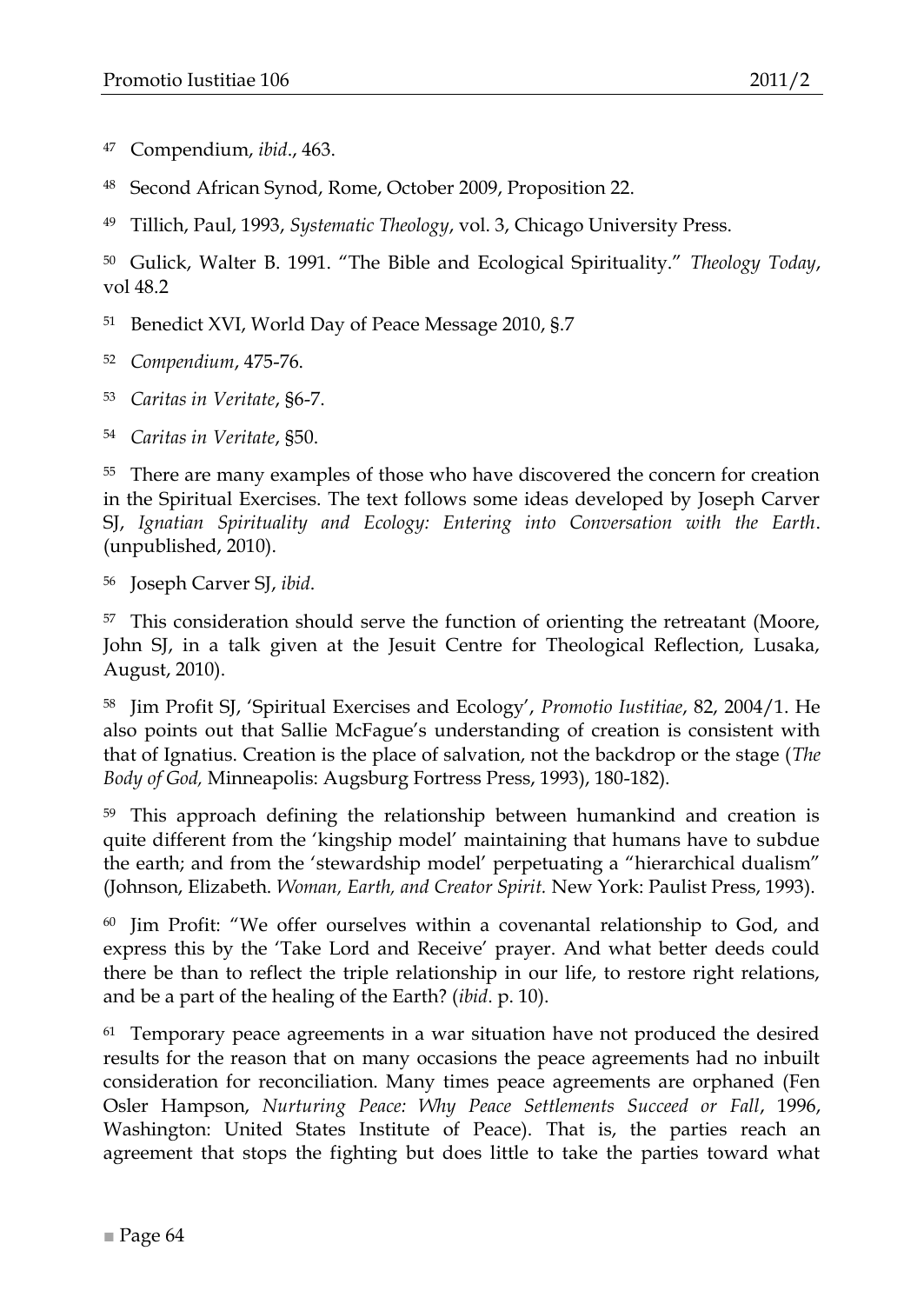<sup>47</sup> Compendium, *ibid*., 463.

Second African Synod, Rome, October 2009, Proposition 22.

<sup>49</sup> Tillich, Paul, 1993, *Systematic Theology*, vol. 3, Chicago University Press.

<sup>50</sup> Gulick, Walter B. 1991. "The Bible and Ecological Spirituality." Theology Today, vol 48.2

<sup>51</sup> Benedict XVI, World Day of Peace Message 2010, §.7

<sup>52</sup> *Compendium*, 475-76.

<sup>53</sup> *Caritas in Veritate*, §6-7.

<sup>54</sup> *Caritas in Veritate*, §50.

<sup>55</sup> There are many examples of those who have discovered the concern for creation in the Spiritual Exercises. The text follows some ideas developed by Joseph Carver SJ, *Ignatian Spirituality and Ecology: Entering into Conversation with the Earth*. (unpublished, 2010).

<sup>56</sup> Joseph Carver SJ, *ibid*.

<sup>57</sup> This consideration should serve the function of orienting the retreatant (Moore, John SJ, in a talk given at the Jesuit Centre for Theological Reflection, Lusaka, August, 2010).

<sup>58</sup> Jim Profit SJ, ‗Spiritual Exercises and Ecology', *Promotio Iustitiae*, 82, 2004/1. He also points out that Sallie McFague's understanding of creation is consistent with that of Ignatius. Creation is the place of salvation, not the backdrop or the stage (*The Body of God,* Minneapolis: Augsburg Fortress Press, 1993), 180-182).

<sup>59</sup> This approach defining the relationship between humankind and creation is quite different from the 'kingship model' maintaining that humans have to subdue the earth; and from the 'stewardship model' perpetuating a "hierarchical dualism" (Johnson, Elizabeth. *Woman, Earth, and Creator Spirit.* New York: Paulist Press, 1993).

 $60$  Jim Profit: "We offer ourselves within a covenantal relationship to God, and express this by the 'Take Lord and Receive' prayer. And what better deeds could there be than to reflect the triple relationship in our life, to restore right relations, and be a part of the healing of the Earth? (*ibid*. p. 10).

<sup>61</sup> Temporary peace agreements in a war situation have not produced the desired results for the reason that on many occasions the peace agreements had no inbuilt consideration for reconciliation. Many times peace agreements are orphaned (Fen Osler Hampson, *Nurturing Peace: Why Peace Settlements Succeed or Fall*, 1996, Washington: United States Institute of Peace). That is, the parties reach an agreement that stops the fighting but does little to take the parties toward what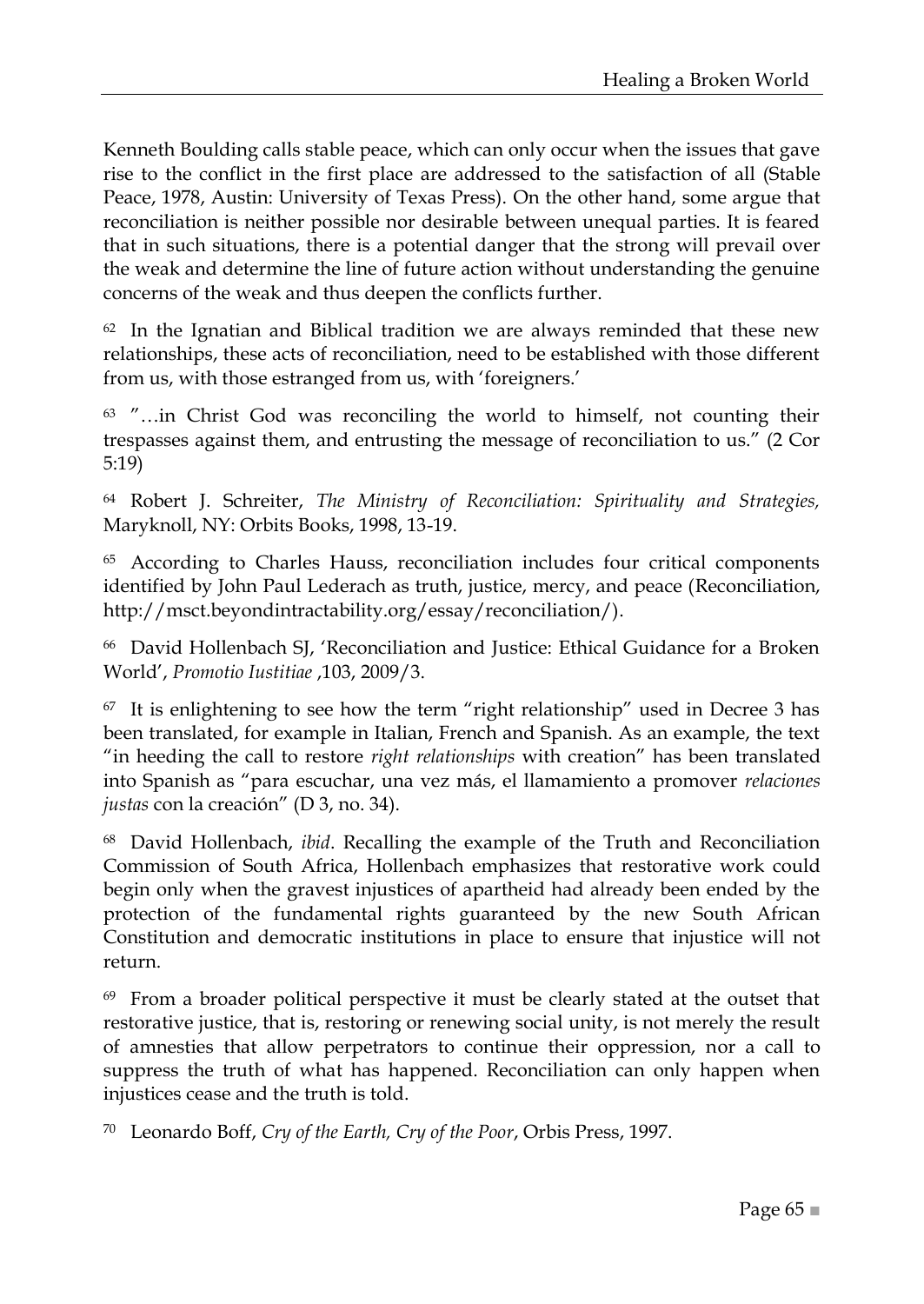Kenneth Boulding calls stable peace, which can only occur when the issues that gave rise to the conflict in the first place are addressed to the satisfaction of all (Stable Peace, 1978, Austin: University of Texas Press). On the other hand, some argue that reconciliation is neither possible nor desirable between unequal parties. It is feared that in such situations, there is a potential danger that the strong will prevail over the weak and determine the line of future action without understanding the genuine concerns of the weak and thus deepen the conflicts further.

 $62$  In the Ignatian and Biblical tradition we are always reminded that these new relationships, these acts of reconciliation, need to be established with those different from us, with those estranged from us, with 'foreigners.'

 $63$  "...in Christ God was reconciling the world to himself, not counting their trespasses against them, and entrusting the message of reconciliation to us.‖ (2 Cor 5:19)

<sup>64</sup> Robert J. Schreiter, *The Ministry of Reconciliation: Spirituality and Strategies,* Maryknoll, NY: Orbits Books, 1998, 13-19.

<sup>65</sup> According to Charles Hauss, reconciliation includes four critical components identified by John Paul Lederach as truth, justice, mercy, and peace (Reconciliation, http://msct.beyondintractability.org/essay/reconciliation/).

<sup>66</sup> David Hollenbach SJ, 'Reconciliation and Justice: Ethical Guidance for a Broken World', *Promotio Iustitiae* ,103, 2009/3.

 $67$  It is enlightening to see how the term "right relationship" used in Decree 3 has been translated, for example in Italian, French and Spanish. As an example, the text ―in heeding the call to restore *right relationships* with creation‖ has been translated into Spanish as ―para escuchar, una vez más, el llamamiento a promover *relaciones justas* con la creación" (D 3, no. 34).

<sup>68</sup> David Hollenbach, *ibid*. Recalling the example of the Truth and Reconciliation Commission of South Africa, Hollenbach emphasizes that restorative work could begin only when the gravest injustices of apartheid had already been ended by the protection of the fundamental rights guaranteed by the new South African Constitution and democratic institutions in place to ensure that injustice will not return.

<sup>69</sup> From a broader political perspective it must be clearly stated at the outset that restorative justice, that is, restoring or renewing social unity, is not merely the result of amnesties that allow perpetrators to continue their oppression, nor a call to suppress the truth of what has happened. Reconciliation can only happen when injustices cease and the truth is told.

<sup>70</sup> Leonardo Boff, *Cry of the Earth, Cry of the Poor*, Orbis Press, 1997.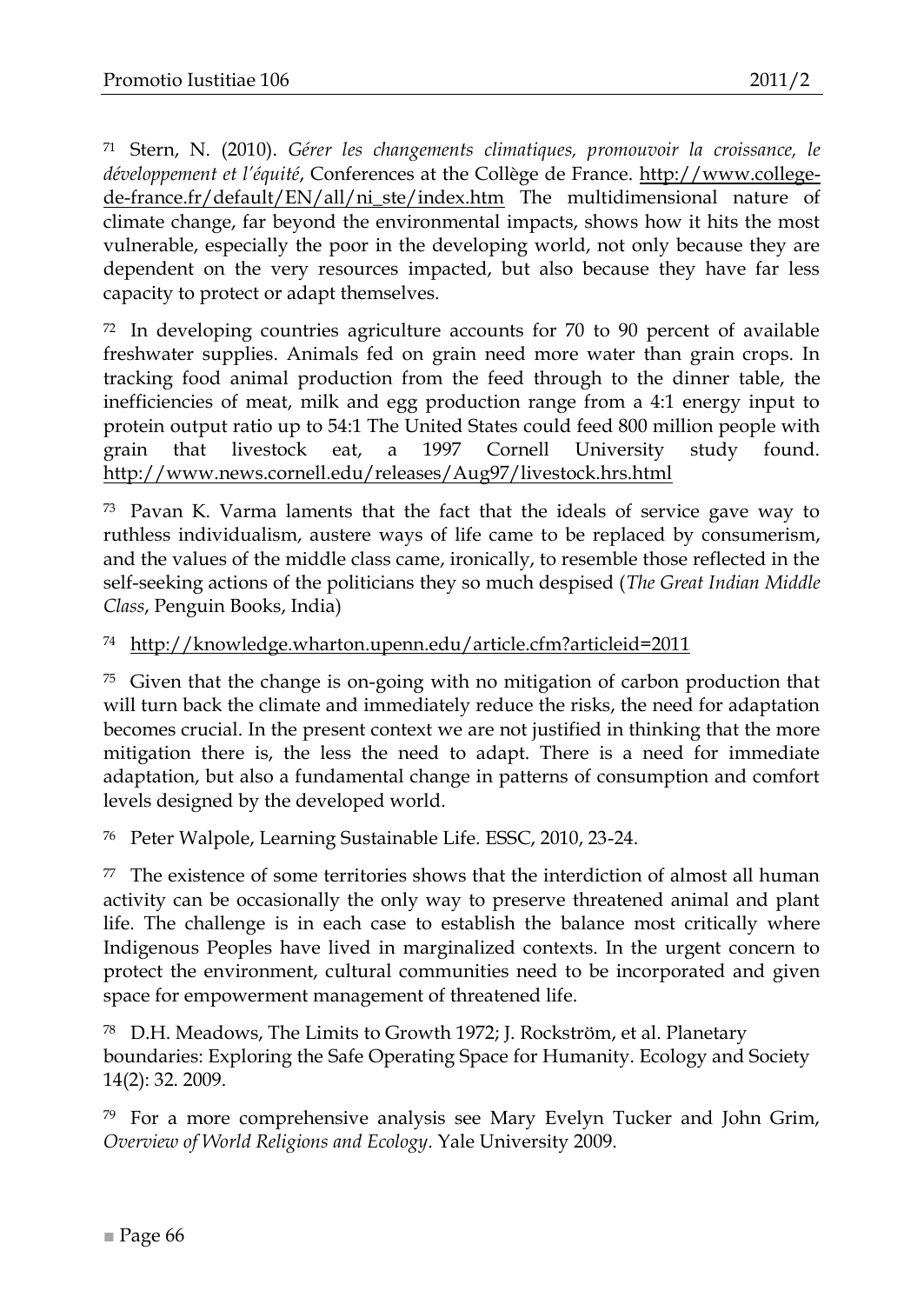<sup>71</sup> Stern, N. (2010). *Gérer les changements climatiques, promouvoir la croissance, le développement et l'équité*, Conferences at the Collège de France. [http://www.college](http://www.college-de-france.fr/default/EN/all/ni_ste/index.htm)[de-france.fr/default/EN/all/ni\\_ste/index.htm](http://www.college-de-france.fr/default/EN/all/ni_ste/index.htm) The multidimensional nature of climate change, far beyond the environmental impacts, shows how it hits the most vulnerable, especially the poor in the developing world, not only because they are dependent on the very resources impacted, but also because they have far less capacity to protect or adapt themselves.

<sup>72</sup> In developing countries agriculture accounts for 70 to 90 percent of available freshwater supplies. Animals fed on grain need more water than grain crops. In tracking food animal production from the feed through to the dinner table, the inefficiencies of meat, milk and egg production range from a 4:1 energy input to protein output ratio up to 54:1 The United States could feed 800 million people with grain that livestock eat, a 1997 Cornell University study found. <http://www.news.cornell.edu/releases/Aug97/livestock.hrs.html>

<sup>73</sup> Pavan K. Varma laments that the fact that the ideals of service gave way to ruthless individualism, austere ways of life came to be replaced by consumerism, and the values of the middle class came, ironically, to resemble those reflected in the self-seeking actions of the politicians they so much despised (*The Great Indian Middle Class*, Penguin Books, India)

<sup>74</sup> http://knowledge.wharton.upenn.edu/article.cfm?articleid=2011

<sup>75</sup> Given that the change is on-going with no mitigation of carbon production that will turn back the climate and immediately reduce the risks, the need for adaptation becomes crucial. In the present context we are not justified in thinking that the more mitigation there is, the less the need to adapt. There is a need for immediate adaptation, but also a fundamental change in patterns of consumption and comfort levels designed by the developed world.

<sup>76</sup> Peter Walpole, Learning Sustainable Life. ESSC, 2010, 23-24.

<sup>77</sup> The existence of some territories shows that the interdiction of almost all human activity can be occasionally the only way to preserve threatened animal and plant life. The challenge is in each case to establish the balance most critically where Indigenous Peoples have lived in marginalized contexts. In the urgent concern to protect the environment, cultural communities need to be incorporated and given space for empowerment management of threatened life.

<sup>78</sup> D.H. Meadows, The Limits to Growth 1972; J. Rockström, et al. Planetary boundaries: Exploring the Safe Operating Space for Humanity. Ecology and Society 14(2): 32. 2009.

<sup>79</sup> For a more comprehensive analysis see Mary Evelyn Tucker and John Grim, *Overview of World Religions and Ecology*. Yale University 2009.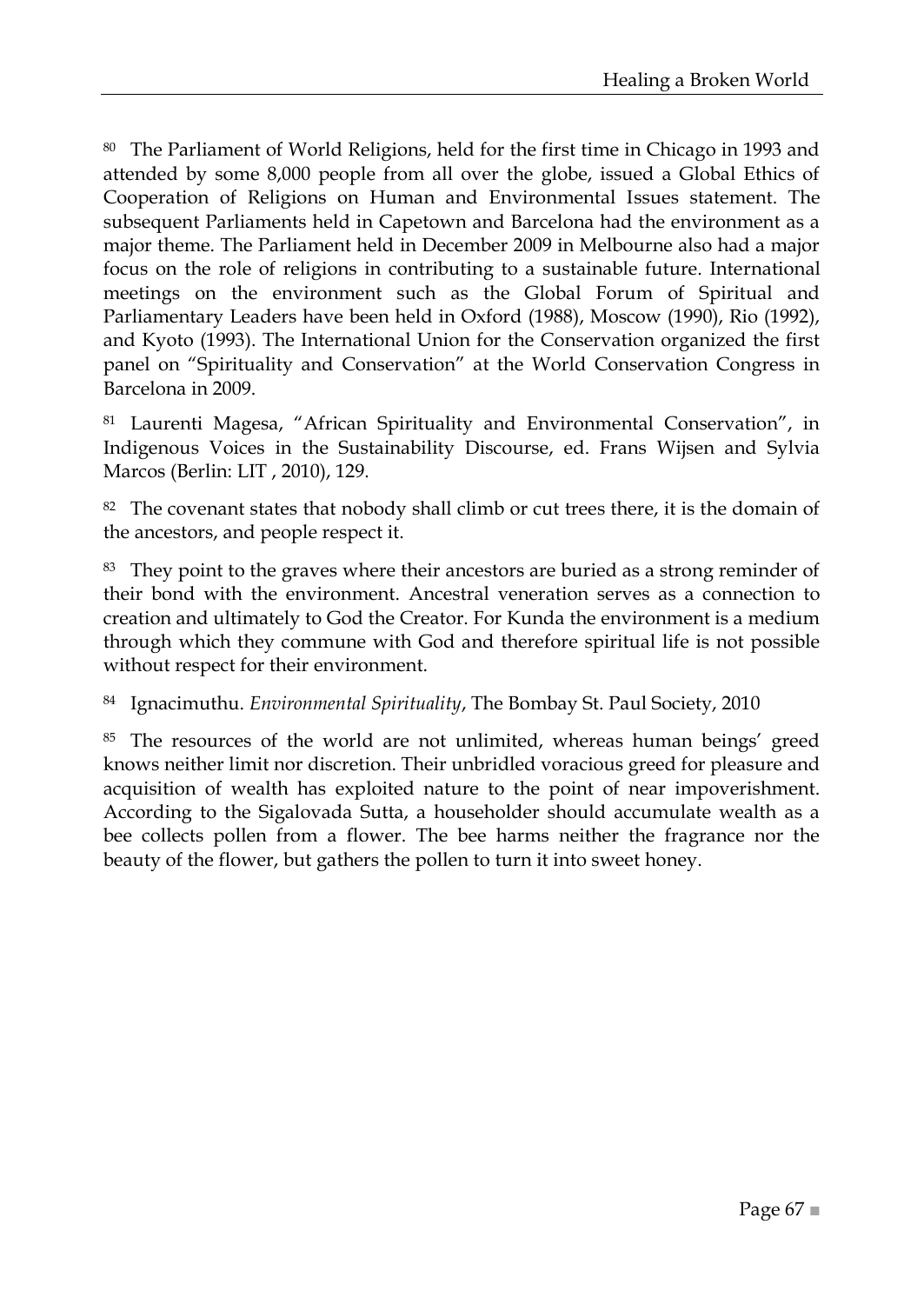<sup>80</sup> The Parliament of World Religions, held for the first time in Chicago in 1993 and attended by some 8,000 people from all over the globe, issued a Global Ethics of Cooperation of Religions on Human and Environmental Issues statement. The subsequent Parliaments held in Capetown and Barcelona had the environment as a major theme. The Parliament held in December 2009 in Melbourne also had a major focus on the role of religions in contributing to a sustainable future. International meetings on the environment such as the Global Forum of Spiritual and Parliamentary Leaders have been held in Oxford (1988), Moscow (1990), Rio (1992), and Kyoto (1993). The International Union for the Conservation organized the first panel on "Spirituality and Conservation" at the World Conservation Congress in Barcelona in 2009.

81 Laurenti Magesa, "African Spirituality and Environmental Conservation", in Indigenous Voices in the Sustainability Discourse, ed. Frans Wijsen and Sylvia Marcos (Berlin: LIT , 2010), 129.

 $82$  The covenant states that nobody shall climb or cut trees there, it is the domain of the ancestors, and people respect it.

<sup>83</sup> They point to the graves where their ancestors are buried as a strong reminder of their bond with the environment. Ancestral veneration serves as a connection to creation and ultimately to God the Creator. For Kunda the environment is a medium through which they commune with God and therefore spiritual life is not possible without respect for their environment.

<sup>84</sup> Ignacimuthu. *Environmental Spirituality*, The Bombay St. Paul Society, 2010

<sup>85</sup> The resources of the world are not unlimited, whereas human beings' greed knows neither limit nor discretion. Their unbridled voracious greed for pleasure and acquisition of wealth has exploited nature to the point of near impoverishment. According to the Sigalovada Sutta, a householder should accumulate wealth as a bee collects pollen from a flower. The bee harms neither the fragrance nor the beauty of the flower, but gathers the pollen to turn it into sweet honey.